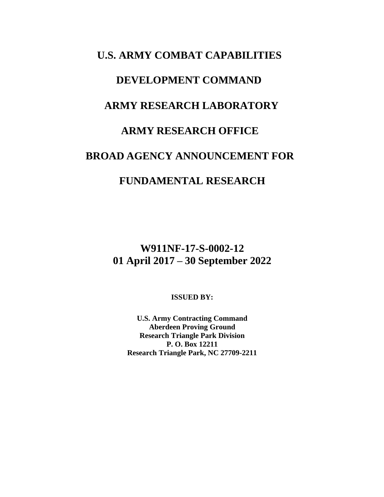# **U.S. ARMY COMBAT CAPABILITIES DEVELOPMENT COMMAND ARMY RESEARCH LABORATORY ARMY RESEARCH OFFICE BROAD AGENCY ANNOUNCEMENT FOR FUNDAMENTAL RESEARCH**

**W911NF-17-S-0002-12 01 April 2017 – 30 September 2022**

**ISSUED BY:**

**U.S. Army Contracting Command Aberdeen Proving Ground Research Triangle Park Division P. O. Box 12211 Research Triangle Park, NC 27709-2211**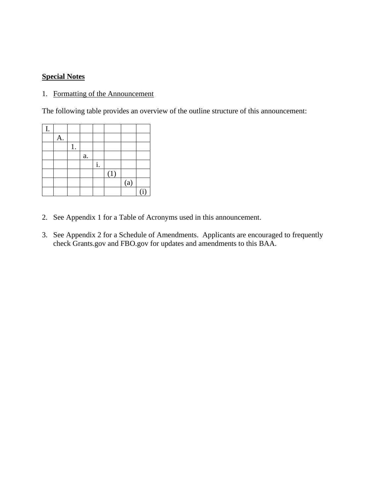# **Special Notes**

# 1. Formatting of the Announcement

The following table provides an overview of the outline structure of this announcement:

| I. |    |            |    |     |     |                |
|----|----|------------|----|-----|-----|----------------|
|    | A. |            |    |     |     |                |
|    |    |            |    |     |     |                |
|    |    | ${\bf a}.$ |    |     |     |                |
|    |    |            | i. |     |     |                |
|    |    |            |    | (1) |     |                |
|    |    |            |    |     | (a) |                |
|    |    |            |    |     |     | $\overline{1}$ |

- 2. See Appendix 1 for a Table of Acronyms used in this announcement.
- 3. See Appendix 2 for a Schedule of Amendments. Applicants are encouraged to frequently check Grants.gov and FBO.gov for updates and amendments to this BAA.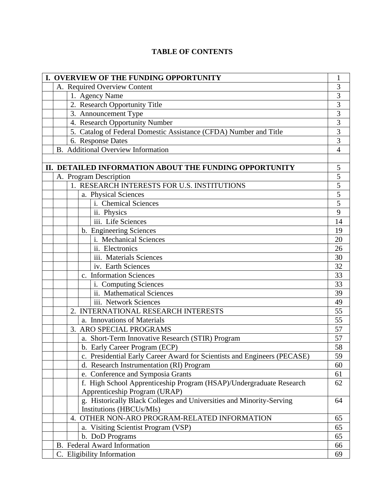# **TABLE OF CONTENTS**

| I. OVERVIEW OF THE FUNDING OPPORTUNITY                            |                                                                          |                     |  |  |  |  |
|-------------------------------------------------------------------|--------------------------------------------------------------------------|---------------------|--|--|--|--|
| A. Required Overview Content                                      |                                                                          |                     |  |  |  |  |
|                                                                   | 1. Agency Name                                                           |                     |  |  |  |  |
|                                                                   | 2. Research Opportunity Title                                            |                     |  |  |  |  |
| 3. Announcement Type                                              |                                                                          |                     |  |  |  |  |
| 4. Research Opportunity Number                                    |                                                                          |                     |  |  |  |  |
| 5. Catalog of Federal Domestic Assistance (CFDA) Number and Title |                                                                          |                     |  |  |  |  |
| 6. Response Dates                                                 |                                                                          |                     |  |  |  |  |
| <b>B.</b> Additional Overview Information                         |                                                                          |                     |  |  |  |  |
|                                                                   |                                                                          |                     |  |  |  |  |
| II. DETAILED INFORMATION ABOUT THE FUNDING OPPORTUNITY            |                                                                          |                     |  |  |  |  |
|                                                                   | A. Program Description                                                   | $\overline{5}$<br>5 |  |  |  |  |
|                                                                   | 1. RESEARCH INTERESTS FOR U.S. INSTITUTIONS                              |                     |  |  |  |  |
|                                                                   | a. Physical Sciences                                                     | $\frac{5}{5}$       |  |  |  |  |
|                                                                   | i. Chemical Sciences                                                     |                     |  |  |  |  |
|                                                                   | ii. Physics                                                              | 9                   |  |  |  |  |
|                                                                   | iii. Life Sciences                                                       | 14                  |  |  |  |  |
|                                                                   | b. Engineering Sciences                                                  | 19                  |  |  |  |  |
|                                                                   | i. Mechanical Sciences                                                   | 20                  |  |  |  |  |
|                                                                   | ii. Electronics                                                          | 26                  |  |  |  |  |
|                                                                   | iii. Materials Sciences                                                  | 30                  |  |  |  |  |
|                                                                   | iv. Earth Sciences                                                       | 32                  |  |  |  |  |
|                                                                   | c. Information Sciences                                                  | 33                  |  |  |  |  |
|                                                                   | i. Computing Sciences                                                    | 33                  |  |  |  |  |
|                                                                   | ii. Mathematical Sciences                                                | 39                  |  |  |  |  |
|                                                                   | iii. Network Sciences                                                    | 49<br>55            |  |  |  |  |
| 2. INTERNATIONAL RESEARCH INTERESTS                               |                                                                          |                     |  |  |  |  |
| a. Innovations of Materials                                       |                                                                          |                     |  |  |  |  |
|                                                                   | 3. ARO SPECIAL PROGRAMS                                                  | 57                  |  |  |  |  |
|                                                                   | a. Short-Term Innovative Research (STIR) Program                         | 57                  |  |  |  |  |
|                                                                   | b. Early Career Program (ECP)                                            | 58                  |  |  |  |  |
|                                                                   | c. Presidential Early Career Award for Scientists and Engineers (PECASE) | 59                  |  |  |  |  |
|                                                                   | d. Research Instrumentation (RI) Program                                 | 60                  |  |  |  |  |
|                                                                   | e. Conference and Symposia Grants                                        | 61                  |  |  |  |  |
|                                                                   | f. High School Apprenticeship Program (HSAP)/Undergraduate Research      | 62                  |  |  |  |  |
|                                                                   | Apprenticeship Program (URAP)                                            |                     |  |  |  |  |
|                                                                   | g. Historically Black Colleges and Universities and Minority-Serving     | 64                  |  |  |  |  |
|                                                                   | Institutions (HBCUs/MIs)                                                 |                     |  |  |  |  |
|                                                                   | 4. OTHER NON-ARO PROGRAM-RELATED INFORMATION                             | 65                  |  |  |  |  |
|                                                                   | a. Visiting Scientist Program (VSP)                                      | 65                  |  |  |  |  |
|                                                                   | b. DoD Programs                                                          | 65<br>66            |  |  |  |  |
| B. Federal Award Information                                      |                                                                          |                     |  |  |  |  |
| C. Eligibility Information<br>69                                  |                                                                          |                     |  |  |  |  |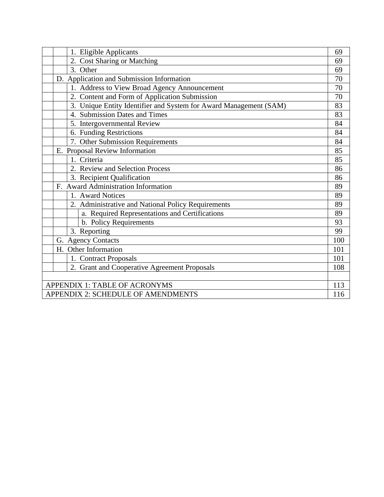|                                           |                                     | 1. Eligible Applicants                                            | 69  |
|-------------------------------------------|-------------------------------------|-------------------------------------------------------------------|-----|
|                                           |                                     | 2. Cost Sharing or Matching                                       | 69  |
|                                           |                                     | 3. Other                                                          | 69  |
|                                           |                                     | D. Application and Submission Information                         | 70  |
|                                           |                                     | 1. Address to View Broad Agency Announcement                      | 70  |
|                                           |                                     | 2. Content and Form of Application Submission                     | 70  |
|                                           |                                     | 3. Unique Entity Identifier and System for Award Management (SAM) | 83  |
|                                           |                                     | 4. Submission Dates and Times                                     | 83  |
|                                           |                                     | 5. Intergovernmental Review                                       | 84  |
|                                           |                                     | 6. Funding Restrictions                                           | 84  |
|                                           |                                     | 7. Other Submission Requirements                                  | 84  |
|                                           |                                     | E. Proposal Review Information                                    | 85  |
|                                           |                                     | 1. Criteria                                                       | 85  |
|                                           |                                     | 2. Review and Selection Process                                   | 86  |
|                                           |                                     | 3. Recipient Qualification                                        | 86  |
|                                           | F. Award Administration Information |                                                                   | 89  |
|                                           |                                     | 1. Award Notices                                                  | 89  |
|                                           |                                     | 2. Administrative and National Policy Requirements                | 89  |
|                                           |                                     | a. Required Representations and Certifications                    | 89  |
|                                           |                                     | b. Policy Requirements                                            | 93  |
|                                           |                                     | 3. Reporting                                                      | 99  |
|                                           | G. Agency Contacts                  |                                                                   | 100 |
|                                           | H. Other Information                |                                                                   | 101 |
|                                           |                                     | 1. Contract Proposals                                             | 101 |
|                                           |                                     | 2. Grant and Cooperative Agreement Proposals                      | 108 |
|                                           |                                     |                                                                   |     |
| APPENDIX 1: TABLE OF ACRONYMS             |                                     |                                                                   | 113 |
| <b>APPENDIX 2: SCHEDULE OF AMENDMENTS</b> |                                     | 116                                                               |     |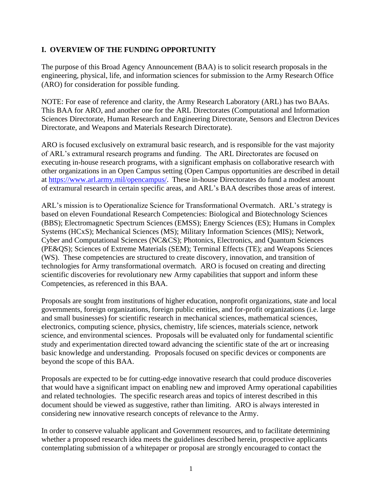# **I. OVERVIEW OF THE FUNDING OPPORTUNITY**

The purpose of this Broad Agency Announcement (BAA) is to solicit research proposals in the engineering, physical, life, and information sciences for submission to the Army Research Office (ARO) for consideration for possible funding.

NOTE: For ease of reference and clarity, the Army Research Laboratory (ARL) has two BAAs. This BAA for ARO, and another one for the ARL Directorates (Computational and Information Sciences Directorate, Human Research and Engineering Directorate, Sensors and Electron Devices Directorate, and Weapons and Materials Research Directorate).

ARO is focused exclusively on extramural basic research, and is responsible for the vast majority of ARL's extramural research programs and funding. The ARL Directorates are focused on executing in-house research programs, with a significant emphasis on collaborative research with other organizations in an Open Campus setting (Open Campus opportunities are described in detail at [https://www.arl.army.mil/opencampus/.](https://www.arl.army.mil/opencampus/) These in-house Directorates do fund a modest amount of extramural research in certain specific areas, and ARL's BAA describes those areas of interest.

ARL's mission is to Operationalize Science for Transformational Overmatch. ARL's strategy is based on eleven Foundational Research Competencies: Biological and Biotechnology Sciences (BBS); Electromagnetic Spectrum Sciences (EMSS); Energy Sciences (ES); Humans in Complex Systems (HCxS); Mechanical Sciences (MS); Military Information Sciences (MIS); Network, Cyber and Computational Sciences (NC&CS); Photonics, Electronics, and Quantum Sciences (PE&QS); Sciences of Extreme Materials (SEM); Terminal Effects (TE); and Weapons Sciences (WS). These competencies are structured to create discovery, innovation, and transition of technologies for Army transformational overmatch. ARO is focused on creating and directing scientific discoveries for revolutionary new Army capabilities that support and inform these Competencies, as referenced in this BAA.

Proposals are sought from institutions of higher education, nonprofit organizations, state and local governments, foreign organizations, foreign public entities, and for-profit organizations (i.e. large and small businesses) for scientific research in mechanical sciences, mathematical sciences, electronics, computing science, physics, chemistry, life sciences, materials science, network science, and environmental sciences. Proposals will be evaluated only for fundamental scientific study and experimentation directed toward advancing the scientific state of the art or increasing basic knowledge and understanding. Proposals focused on specific devices or components are beyond the scope of this BAA.

Proposals are expected to be for cutting-edge innovative research that could produce discoveries that would have a significant impact on enabling new and improved Army operational capabilities and related technologies. The specific research areas and topics of interest described in this document should be viewed as suggestive, rather than limiting. ARO is always interested in considering new innovative research concepts of relevance to the Army.

In order to conserve valuable applicant and Government resources, and to facilitate determining whether a proposed research idea meets the guidelines described herein, prospective applicants contemplating submission of a whitepaper or proposal are strongly encouraged to contact the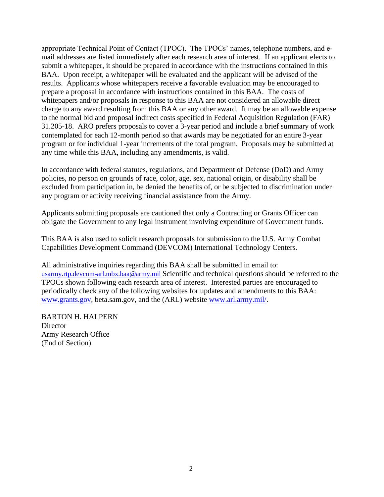appropriate Technical Point of Contact (TPOC). The TPOCs' names, telephone numbers, and email addresses are listed immediately after each research area of interest. If an applicant elects to submit a whitepaper, it should be prepared in accordance with the instructions contained in this BAA. Upon receipt, a whitepaper will be evaluated and the applicant will be advised of the results. Applicants whose whitepapers receive a favorable evaluation may be encouraged to prepare a proposal in accordance with instructions contained in this BAA. The costs of whitepapers and/or proposals in response to this BAA are not considered an allowable direct charge to any award resulting from this BAA or any other award. It may be an allowable expense to the normal bid and proposal indirect costs specified in Federal Acquisition Regulation (FAR) 31.205-18. ARO prefers proposals to cover a 3-year period and include a brief summary of work contemplated for each 12-month period so that awards may be negotiated for an entire 3-year program or for individual 1-year increments of the total program. Proposals may be submitted at any time while this BAA, including any amendments, is valid.

In accordance with federal statutes, regulations, and Department of Defense (DoD) and Army policies, no person on grounds of race, color, age, sex, national origin, or disability shall be excluded from participation in, be denied the benefits of, or be subjected to discrimination under any program or activity receiving financial assistance from the Army.

Applicants submitting proposals are cautioned that only a Contracting or Grants Officer can obligate the Government to any legal instrument involving expenditure of Government funds.

This BAA is also used to solicit research proposals for submission to the U.S. Army Combat Capabilities Development Command (DEVCOM) International Technology Centers.

All administrative inquiries regarding this BAA shall be submitted in email to: [usarmy.rtp.devcom-arl.mbx.baa@army.mil](mailto:usarmy.rtp.devcom-arl.mbx.baa@army.mil) Scientific and technical questions should be referred to the TPOCs shown following each research area of interest. Interested parties are encouraged to periodically check any of the following websites for updates and amendments to this BAA: [www.grants.gov,](http://www.grants.gov/) beta.sam.gov, and the (ARL) website [www.arl.army.mil/.](http://www.arl.army.mil/)

BARTON H. HALPERN **Director** Army Research Office (End of Section)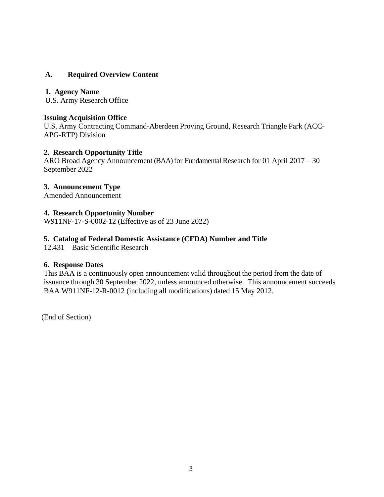# **A. Required Overview Content**

## **1. Agency Name**

U.S. Army Research Office

## **Issuing Acquisition Office**

U.S. Army Contracting Command-Aberdeen Proving Ground, Research Triangle Park (ACC-APG-RTP) Division

## **2. Research Opportunity Title**

ARO Broad Agency Announcement (BAA) for Fundamental Research for 01 April 2017 – 30 September 2022

## **3. Announcement Type**

Amended Announcement

## **4. Research Opportunity Number**

W911NF-17-S-0002-12 (Effective as of 23 June 2022)

## **5. Catalog of Federal Domestic Assistance (CFDA) Number and Title**

12.431 – Basic Scientific Research

## **6. Response Dates**

This BAA is a continuously open announcement valid throughout the period from the date of issuance through 30 September 2022, unless announced otherwise. This announcement succeeds BAA W911NF-12-R-0012 (including all modifications) dated 15 May 2012.

(End of Section)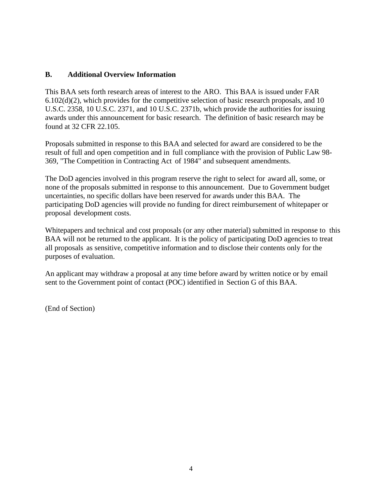## **B. Additional Overview Information**

This BAA sets forth research areas of interest to the ARO. This BAA is issued under FAR  $6.102(d)(2)$ , which provides for the competitive selection of basic research proposals, and 10 U.S.C. 2358, 10 U.S.C. 2371, and 10 U.S.C. 2371b, which provide the authorities for issuing awards under this announcement for basic research. The definition of basic research may be found at 32 CFR 22.105.

Proposals submitted in response to this BAA and selected for award are considered to be the result of full and open competition and in full compliance with the provision of Public Law 98- 369, "The Competition in Contracting Act of 1984" and subsequent amendments.

The DoD agencies involved in this program reserve the right to select for award all, some, or none of the proposals submitted in response to this announcement. Due to Government budget uncertainties, no specific dollars have been reserved for awards under this BAA. The participating DoD agencies will provide no funding for direct reimbursement of whitepaper or proposal development costs.

Whitepapers and technical and cost proposals (or any other material) submitted in response to this BAA will not be returned to the applicant. It is the policy of participating DoD agencies to treat all proposals as sensitive, competitive information and to disclose their contents only for the purposes of evaluation.

An applicant may withdraw a proposal at any time before award by written notice or by email sent to the Government point of contact (POC) identified in Section G of this BAA.

(End of Section)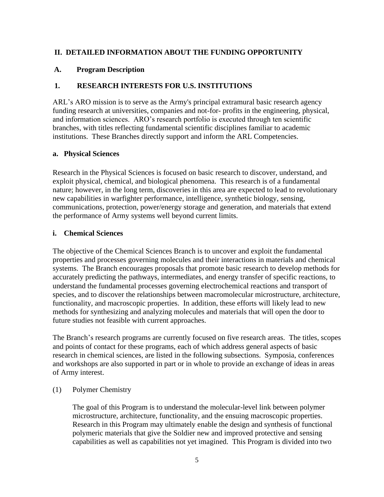## **II. DETAILED INFORMATION ABOUT THE FUNDING OPPORTUNITY**

## **A. Program Description**

## **1. RESEARCH INTERESTS FOR U.S. INSTITUTIONS**

ARL's ARO mission is to serve as the Army's principal extramural basic research agency funding research at universities, companies and not-for- profits in the engineering, physical, and information sciences. ARO's research portfolio is executed through ten scientific branches, with titles reflecting fundamental scientific disciplines familiar to academic institutions. These Branches directly support and inform the ARL Competencies.

## **a. Physical Sciences**

Research in the Physical Sciences is focused on basic research to discover, understand, and exploit physical, chemical, and biological phenomena. This research is of a fundamental nature; however, in the long term, discoveries in this area are expected to lead to revolutionary new capabilities in warfighter performance, intelligence, synthetic biology, sensing, communications, protection, power/energy storage and generation, and materials that extend the performance of Army systems well beyond current limits.

## **i. Chemical Sciences**

The objective of the Chemical Sciences Branch is to uncover and exploit the fundamental properties and processes governing molecules and their interactions in materials and chemical systems. The Branch encourages proposals that promote basic research to develop methods for accurately predicting the pathways, intermediates, and energy transfer of specific reactions, to understand the fundamental processes governing electrochemical reactions and transport of species, and to discover the relationships between macromolecular microstructure, architecture, functionality, and macroscopic properties. In addition, these efforts will likely lead to new methods for synthesizing and analyzing molecules and materials that will open the door to future studies not feasible with current approaches.

The Branch's research programs are currently focused on five research areas. The titles, scopes and points of contact for these programs, each of which address general aspects of basic research in chemical sciences, are listed in the following subsections. Symposia, conferences and workshops are also supported in part or in whole to provide an exchange of ideas in areas of Army interest.

## (1) Polymer Chemistry

The goal of this Program is to understand the molecular-level link between polymer microstructure, architecture, functionality, and the ensuing macroscopic properties. Research in this Program may ultimately enable the design and synthesis of functional polymeric materials that give the Soldier new and improved protective and sensing capabilities as well as capabilities not yet imagined. This Program is divided into two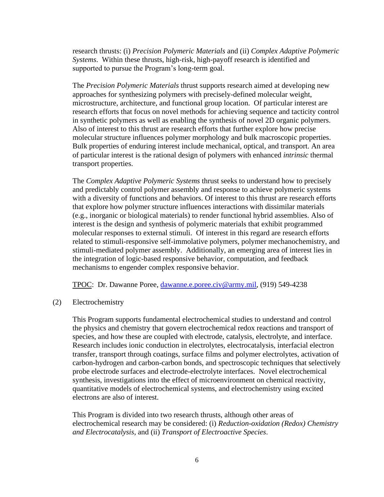research thrusts: (i) *Precision Polymeric Materials* and (ii) *Complex Adaptive Polymeric Systems*. Within these thrusts, high-risk, high-payoff research is identified and supported to pursue the Program's long-term goal.

The *Precision Polymeric Materials* thrust supports research aimed at developing new approaches for synthesizing polymers with precisely-defined molecular weight, microstructure, architecture, and functional group location. Of particular interest are research efforts that focus on novel methods for achieving sequence and tacticity control in synthetic polymers as well as enabling the synthesis of novel 2D organic polymers. Also of interest to this thrust are research efforts that further explore how precise molecular structure influences polymer morphology and bulk macroscopic properties. Bulk properties of enduring interest include mechanical, optical, and transport. An area of particular interest is the rational design of polymers with enhanced *intrinsic* thermal transport properties.

The *Complex Adaptive Polymeric Systems* thrust seeks to understand how to precisely and predictably control polymer assembly and response to achieve polymeric systems with a diversity of functions and behaviors. Of interest to this thrust are research efforts that explore how polymer structure influences interactions with dissimilar materials (e.g., inorganic or biological materials) to render functional hybrid assemblies. Also of interest is the design and synthesis of polymeric materials that exhibit programmed molecular responses to external stimuli. Of interest in this regard are research efforts related to stimuli-responsive self-immolative polymers, polymer mechanochemistry, and stimuli-mediated polymer assembly. Additionally, an emerging area of interest lies in the integration of logic-based responsive behavior, computation, and feedback mechanisms to engender complex responsive behavior.

TPOC: Dr. Dawanne Poree, [dawanne.e.poree.civ@army.mil,](mailto:dawanne.e.poree.civ@mail.mil) (919) 549-4238

(2) Electrochemistry

This Program supports fundamental electrochemical studies to understand and control the physics and chemistry that govern electrochemical redox reactions and transport of species, and how these are coupled with electrode, catalysis, electrolyte, and interface. Research includes ionic conduction in electrolytes, electrocatalysis, interfacial electron transfer, transport through coatings, surface films and polymer electrolytes, activation of carbon-hydrogen and carbon-carbon bonds, and spectroscopic techniques that selectively probe electrode surfaces and electrode-electrolyte interfaces. Novel electrochemical synthesis, investigations into the effect of microenvironment on chemical reactivity, quantitative models of electrochemical systems, and electrochemistry using excited electrons are also of interest.

This Program is divided into two research thrusts, although other areas of electrochemical research may be considered: (i) *Reduction-oxidation (Redox) Chemistry and Electrocatalysis*, and (ii) *Transport of Electroactive Species*.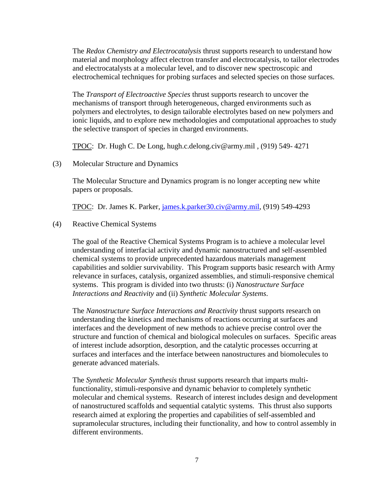The *Redox Chemistry and Electrocatalysis* thrust supports research to understand how material and morphology affect electron transfer and electrocatalysis, to tailor electrodes and electrocatalysts at a molecular level, and to discover new spectroscopic and electrochemical techniques for probing surfaces and selected species on those surfaces.

The *Transport of Electroactive Species* thrust supports research to uncover the mechanisms of transport through heterogeneous, charged environments such as polymers and electrolytes, to design tailorable electrolytes based on new polymers and ionic liquids, and to explore new methodologies and computational approaches to study the selective transport of species in charged environments.

TPOC: Dr. Hugh C. De Long, hugh.c.delong.civ@army.mil , (919) 549- 4271

(3) Molecular Structure and Dynamics

The Molecular Structure and Dynamics program is no longer accepting new white papers or proposals.

TPOC: Dr. James K. Parker, [james.k.parker30.civ@army.mil,](mailto:james.k.parker30.civ@mail.mil) (919) 549-4293

(4) Reactive Chemical Systems

The goal of the Reactive Chemical Systems Program is to achieve a molecular level understanding of interfacial activity and dynamic nanostructured and self-assembled chemical systems to provide unprecedented hazardous materials management capabilities and soldier survivability. This Program supports basic research with Army relevance in surfaces, catalysis, organized assemblies, and stimuli-responsive chemical systems. This program is divided into two thrusts: (i) *Nanostructure Surface Interactions and Reactivity* and (ii) *Synthetic Molecular Systems*.

The *Nanostructure Surface Interactions and Reactivity* thrust supports research on understanding the kinetics and mechanisms of reactions occurring at surfaces and interfaces and the development of new methods to achieve precise control over the structure and function of chemical and biological molecules on surfaces. Specific areas of interest include adsorption, desorption, and the catalytic processes occurring at surfaces and interfaces and the interface between nanostructures and biomolecules to generate advanced materials.

The *Synthetic Molecular Synthesis* thrust supports research that imparts multifunctionality, stimuli-responsive and dynamic behavior to completely synthetic molecular and chemical systems. Research of interest includes design and development of nanostructured scaffolds and sequential catalytic systems. This thrust also supports research aimed at exploring the properties and capabilities of self-assembled and supramolecular structures, including their functionality, and how to control assembly in different environments.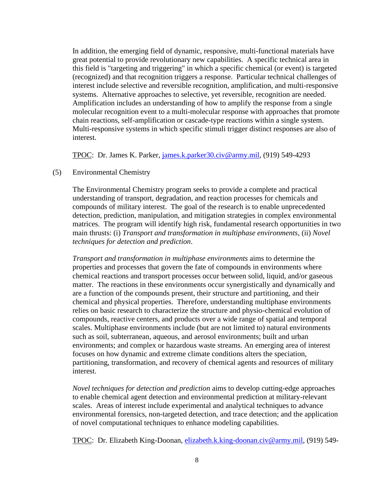In addition, the emerging field of dynamic, responsive, multi-functional materials have great potential to provide revolutionary new capabilities. A specific technical area in this field is "targeting and triggering" in which a specific chemical (or event) is targeted (recognized) and that recognition triggers a response. Particular technical challenges of interest include selective and reversible recognition, amplification, and multi-responsive systems. Alternative approaches to selective, yet reversible, recognition are needed. Amplification includes an understanding of how to amplify the response from a single molecular recognition event to a multi-molecular response with approaches that promote chain reactions, self-amplification or cascade-type reactions within a single system. Multi-responsive systems in which specific stimuli trigger distinct responses are also of interest.

TPOC: Dr. James K. Parker, [james.k.parker30.civ@army.mil,](mailto:james.k.parker30.civ@mail.mil) (919) 549-4293

#### (5) Environmental Chemistry

The Environmental Chemistry program seeks to provide a complete and practical understanding of transport, degradation, and reaction processes for chemicals and compounds of military interest. The goal of the research is to enable unprecedented detection, prediction, manipulation, and mitigation strategies in complex environmental matrices. The program will identify high risk, fundamental research opportunities in two main thrusts: (i) *Transport and transformation in multiphase environments*, (ii) *Novel techniques for detection and prediction*.

*Transport and transformation in multiphase environments* aims to determine the properties and processes that govern the fate of compounds in environments where chemical reactions and transport processes occur between solid, liquid, and/or gaseous matter. The reactions in these environments occur synergistically and dynamically and are a function of the compounds present, their structure and partitioning, and their chemical and physical properties. Therefore, understanding multiphase environments relies on basic research to characterize the structure and physio-chemical evolution of compounds, reactive centers, and products over a wide range of spatial and temporal scales. Multiphase environments include (but are not limited to) natural environments such as soil, subterranean, aqueous, and aerosol environments; built and urban environments; and complex or hazardous waste streams. An emerging area of interest focuses on how dynamic and extreme climate conditions alters the speciation, partitioning, transformation, and recovery of chemical agents and resources of military interest.

*Novel techniques for detection and prediction* aims to develop cutting-edge approaches to enable chemical agent detection and environmental prediction at military-relevant scales. Areas of interest include experimental and analytical techniques to advance environmental forensics, non-targeted detection, and trace detection; and the application of novel computational techniques to enhance modeling capabilities.

TPOC: Dr. Elizabeth King-Doonan, elizabeth.k.king-doonan.civ@army.mil, (919) 549-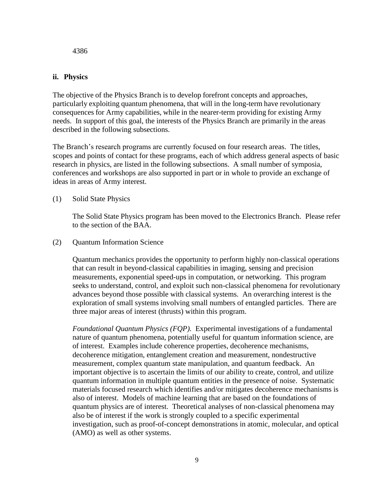4386

## **ii. Physics**

The objective of the Physics Branch is to develop forefront concepts and approaches, particularly exploiting quantum phenomena, that will in the long-term have revolutionary consequences for Army capabilities, while in the nearer-term providing for existing Army needs. In support of this goal, the interests of the Physics Branch are primarily in the areas described in the following subsections.

The Branch's research programs are currently focused on four research areas. The titles, scopes and points of contact for these programs, each of which address general aspects of basic research in physics, are listed in the following subsections. A small number of symposia, conferences and workshops are also supported in part or in whole to provide an exchange of ideas in areas of Army interest.

(1) Solid State Physics

The Solid State Physics program has been moved to the Electronics Branch. Please refer to the section of the BAA.

(2) Quantum Information Science

Quantum mechanics provides the opportunity to perform highly non-classical operations that can result in beyond-classical capabilities in imaging, sensing and precision measurements, exponential speed-ups in computation, or networking. This program seeks to understand, control, and exploit such non-classical phenomena for revolutionary advances beyond those possible with classical systems. An overarching interest is the exploration of small systems involving small numbers of entangled particles. There are three major areas of interest (thrusts) within this program.

*Foundational Quantum Physics (FQP).* Experimental investigations of a fundamental nature of quantum phenomena, potentially useful for quantum information science, are of interest. Examples include coherence properties, decoherence mechanisms, decoherence mitigation, entanglement creation and measurement, nondestructive measurement, complex quantum state manipulation, and quantum feedback. An important objective is to ascertain the limits of our ability to create, control, and utilize quantum information in multiple quantum entities in the presence of noise. Systematic materials focused research which identifies and/or mitigates decoherence mechanisms is also of interest. Models of machine learning that are based on the foundations of quantum physics are of interest. Theoretical analyses of non-classical phenomena may also be of interest if the work is strongly coupled to a specific experimental investigation, such as proof-of-concept demonstrations in atomic, molecular, and optical (AMO) as well as other systems.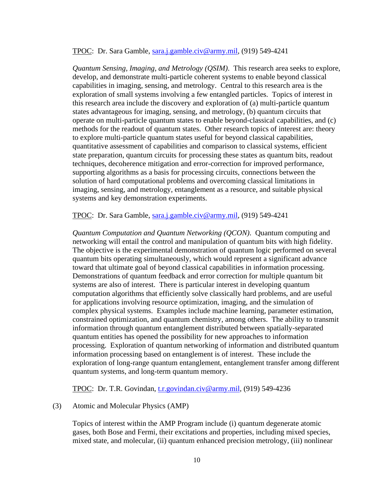#### TPOC: Dr. Sara Gamble, [sara.j.gamble.civ@army.mil,](mailto:sara.j.gamble.civ@mail.mil) (919) 549-4241

*Quantum Sensing, Imaging, and Metrology (QSIM)*. This research area seeks to explore, develop, and demonstrate multi-particle coherent systems to enable beyond classical capabilities in imaging, sensing, and metrology. Central to this research area is the exploration of small systems involving a few entangled particles. Topics of interest in this research area include the discovery and exploration of (a) multi-particle quantum states advantageous for imaging, sensing, and metrology, (b) quantum circuits that operate on multi-particle quantum states to enable beyond-classical capabilities, and (c) methods for the readout of quantum states. Other research topics of interest are: theory to explore multi-particle quantum states useful for beyond classical capabilities, quantitative assessment of capabilities and comparison to classical systems, efficient state preparation, quantum circuits for processing these states as quantum bits, readout techniques, decoherence mitigation and error-correction for improved performance, supporting algorithms as a basis for processing circuits, connections between the solution of hard computational problems and overcoming classical limitations in imaging, sensing, and metrology, entanglement as a resource, and suitable physical systems and key demonstration experiments.

TPOC: Dr. Sara Gamble, [sara.j.gamble.civ@army.mil,](mailto:sara.j.gamble.civ@mail.mil) (919) 549-4241

*Quantum Computation and Quantum Networking (QCON)*. Quantum computing and networking will entail the control and manipulation of quantum bits with high fidelity. The objective is the experimental demonstration of quantum logic performed on several quantum bits operating simultaneously, which would represent a significant advance toward that ultimate goal of beyond classical capabilities in information processing. Demonstrations of quantum feedback and error correction for multiple quantum bit systems are also of interest. There is particular interest in developing quantum computation algorithms that efficiently solve classically hard problems, and are useful for applications involving resource optimization, imaging, and the simulation of complex physical systems. Examples include machine learning, parameter estimation, constrained optimization, and quantum chemistry, among others. The ability to transmit information through quantum entanglement distributed between spatially-separated quantum entities has opened the possibility for new approaches to information processing. Exploration of quantum networking of information and distributed quantum information processing based on entanglement is of interest. These include the exploration of long-range quantum entanglement, entanglement transfer among different quantum systems, and long-term quantum memory.

TPOC: Dr. T.R. Govindan, [t.r.govindan.civ@army.mil,](mailto:t.r.govindan.civ@mail.mil) (919) 549-4236

#### (3) Atomic and Molecular Physics (AMP)

Topics of interest within the AMP Program include (i) quantum degenerate atomic gases, both Bose and Fermi, their excitations and properties, including mixed species, mixed state, and molecular, (ii) quantum enhanced precision metrology, (iii) nonlinear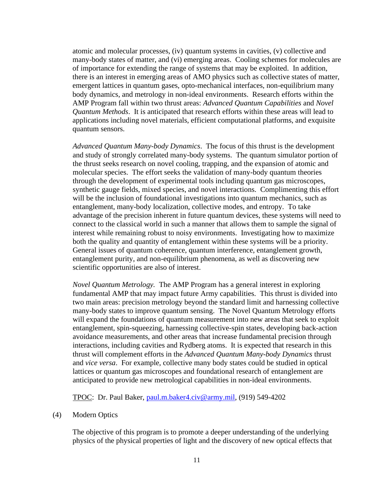atomic and molecular processes, (iv) quantum systems in cavities, (v) collective and many-body states of matter, and (vi) emerging areas. Cooling schemes for molecules are of importance for extending the range of systems that may be exploited. In addition, there is an interest in emerging areas of AMO physics such as collective states of matter, emergent lattices in quantum gases, opto-mechanical interfaces, non-equilibrium many body dynamics, and metrology in non-ideal environments. Research efforts within the AMP Program fall within two thrust areas: *Advanced Quantum Capabilities* and *Novel Quantum Methods*. It is anticipated that research efforts within these areas will lead to applications including novel materials, efficient computational platforms, and exquisite quantum sensors.

*Advanced Quantum Many-body Dynamics*. The focus of this thrust is the development and study of strongly correlated many-body systems. The quantum simulator portion of the thrust seeks research on novel cooling, trapping, and the expansion of atomic and molecular species. The effort seeks the validation of many-body quantum theories through the development of experimental tools including quantum gas microscopes, synthetic gauge fields, mixed species, and novel interactions. Complimenting this effort will be the inclusion of foundational investigations into quantum mechanics, such as entanglement, many-body localization, collective modes, and entropy. To take advantage of the precision inherent in future quantum devices, these systems will need to connect to the classical world in such a manner that allows them to sample the signal of interest while remaining robust to noisy environments. Investigating how to maximize both the quality and quantity of entanglement within these systems will be a priority. General issues of quantum coherence, quantum interference, entanglement growth, entanglement purity, and non-equilibrium phenomena, as well as discovering new scientific opportunities are also of interest.

*Novel Quantum Metrology.* The AMP Program has a general interest in exploring fundamental AMP that may impact future Army capabilities. This thrust is divided into two main areas: precision metrology beyond the standard limit and harnessing collective many-body states to improve quantum sensing. The Novel Quantum Metrology efforts will expand the foundations of quantum measurement into new areas that seek to exploit entanglement, spin-squeezing, harnessing collective-spin states, developing back-action avoidance measurements, and other areas that increase fundamental precision through interactions, including cavities and Rydberg atoms. It is expected that research in this thrust will complement efforts in the *Advanced Quantum Many-body Dynamics* thrust and *vice versa*. For example, collective many body states could be studied in optical lattices or quantum gas microscopes and foundational research of entanglement are anticipated to provide new metrological capabilities in non-ideal environments.

TPOC: Dr. Paul Baker, [paul.m.baker4.civ@army.mil,](mailto:paul.m.baker4.civ@mail.mil) (919) 549-4202

#### (4) Modern Optics

The objective of this program is to promote a deeper understanding of the underlying physics of the physical properties of light and the discovery of new optical effects that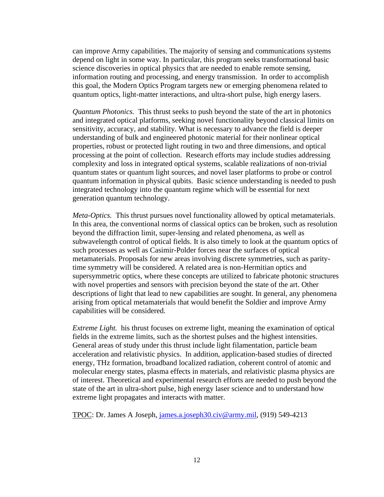can improve Army capabilities. The majority of sensing and communications systems depend on light in some way. In particular, this program seeks transformational basic science discoveries in optical physics that are needed to enable remote sensing, information routing and processing, and energy transmission. In order to accomplish this goal, the Modern Optics Program targets new or emerging phenomena related to quantum optics, light-matter interactions, and ultra-short pulse, high energy lasers.

*Quantum Photonics.* This thrust seeks to push beyond the state of the art in photonics and integrated optical platforms, seeking novel functionality beyond classical limits on sensitivity, accuracy, and stability. What is necessary to advance the field is deeper understanding of bulk and engineered photonic material for their nonlinear optical properties, robust or protected light routing in two and three dimensions, and optical processing at the point of collection. Research efforts may include studies addressing complexity and loss in integrated optical systems, scalable realizations of non-trivial quantum states or quantum light sources, and novel laser platforms to probe or control quantum information in physical qubits. Basic science understanding is needed to push integrated technology into the quantum regime which will be essential for next generation quantum technology.

*Meta-Optics.* This thrust pursues novel functionality allowed by optical metamaterials. In this area, the conventional norms of classical optics can be broken, such as resolution beyond the diffraction limit, super-lensing and related phenomena, as well as subwavelength control of optical fields. It is also timely to look at the quantum optics of such processes as well as Casimir-Polder forces near the surfaces of optical metamaterials. Proposals for new areas involving discrete symmetries, such as paritytime symmetry will be considered. A related area is non-Hermitian optics and supersymmetric optics, where these concepts are utilized to fabricate photonic structures with novel properties and sensors with precision beyond the state of the art. Other descriptions of light that lead to new capabilities are sought. In general, any phenomena arising from optical metamaterials that would benefit the Soldier and improve Army capabilities will be considered.

*Extreme Light.* his thrust focuses on extreme light, meaning the examination of optical fields in the extreme limits, such as the shortest pulses and the highest intensities. General areas of study under this thrust include light filamentation, particle beam acceleration and relativistic physics. In addition, application-based studies of directed energy, THz formation, broadband localized radiation, coherent control of atomic and molecular energy states, plasma effects in materials, and relativistic plasma physics are of interest. Theoretical and experimental research efforts are needed to push beyond the state of the art in ultra-short pulse, high energy laser science and to understand how extreme light propagates and interacts with matter.

TPOC: Dr. James A Joseph, [james.a.joseph30.civ@army.mil,](mailto:james.a.joseph30.civ@mail.mil) (919) 549-4213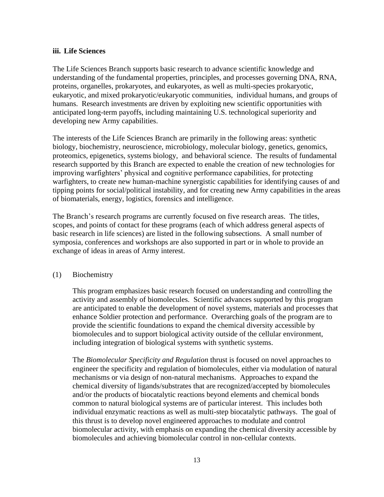#### **iii. Life Sciences**

The Life Sciences Branch supports basic research to advance scientific knowledge and understanding of the fundamental properties, principles, and processes governing DNA, RNA, proteins, organelles, prokaryotes, and eukaryotes, as well as multi-species prokaryotic, eukaryotic, and mixed prokaryotic/eukaryotic communities, individual humans, and groups of humans. Research investments are driven by exploiting new scientific opportunities with anticipated long-term payoffs, including maintaining U.S. technological superiority and developing new Army capabilities.

The interests of the Life Sciences Branch are primarily in the following areas: synthetic biology, biochemistry, neuroscience, microbiology, molecular biology, genetics, genomics, proteomics, epigenetics, systems biology, and behavioral science. The results of fundamental research supported by this Branch are expected to enable the creation of new technologies for improving warfighters' physical and cognitive performance capabilities, for protecting warfighters, to create new human-machine synergistic capabilities for identifying causes of and tipping points for social/political instability, and for creating new Army capabilities in the areas of biomaterials, energy, logistics, forensics and intelligence.

The Branch's research programs are currently focused on five research areas. The titles, scopes, and points of contact for these programs (each of which address general aspects of basic research in life sciences) are listed in the following subsections. A small number of symposia, conferences and workshops are also supported in part or in whole to provide an exchange of ideas in areas of Army interest.

#### (1) Biochemistry

This program emphasizes basic research focused on understanding and controlling the activity and assembly of biomolecules. Scientific advances supported by this program are anticipated to enable the development of novel systems, materials and processes that enhance Soldier protection and performance. Overarching goals of the program are to provide the scientific foundations to expand the chemical diversity accessible by biomolecules and to support biological activity outside of the cellular environment, including integration of biological systems with synthetic systems.

The *Biomolecular Specificity and Regulation* thrust is focused on novel approaches to engineer the specificity and regulation of biomolecules, either via modulation of natural mechanisms or via design of non-natural mechanisms. Approaches to expand the chemical diversity of ligands/substrates that are recognized/accepted by biomolecules and/or the products of biocatalytic reactions beyond elements and chemical bonds common to natural biological systems are of particular interest. This includes both individual enzymatic reactions as well as multi-step biocatalytic pathways. The goal of this thrust is to develop novel engineered approaches to modulate and control biomolecular activity, with emphasis on expanding the chemical diversity accessible by biomolecules and achieving biomolecular control in non-cellular contexts.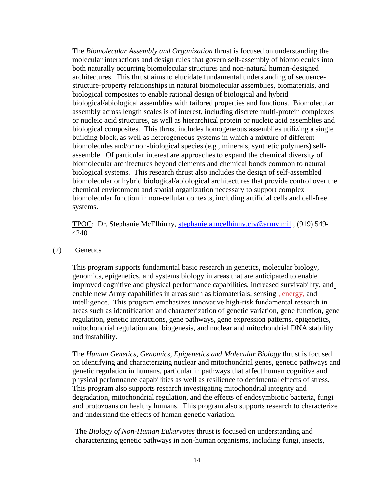The *Biomolecular Assembly and Organization* thrust is focused on understanding the molecular interactions and design rules that govern self-assembly of biomolecules into both naturally occurring biomolecular structures and non-natural human-designed architectures. This thrust aims to elucidate fundamental understanding of sequencestructure-property relationships in natural biomolecular assemblies, biomaterials, and biological composites to enable rational design of biological and hybrid biological/abiological assemblies with tailored properties and functions. Biomolecular assembly across length scales is of interest, including discrete multi-protein complexes or nucleic acid structures, as well as hierarchical protein or nucleic acid assemblies and biological composites. This thrust includes homogeneous assemblies utilizing a single building block, as well as heterogeneous systems in which a mixture of different biomolecules and/or non-biological species (e.g., minerals, synthetic polymers) selfassemble. Of particular interest are approaches to expand the chemical diversity of biomolecular architectures beyond elements and chemical bonds common to natural biological systems. This research thrust also includes the design of self-assembled biomolecular or hybrid biological/abiological architectures that provide control over the chemical environment and spatial organization necessary to support complex biomolecular function in non-cellular contexts, including artificial cells and cell-free systems.

TPOC: Dr. Stephanie McElhinny, [stephanie.a.mcelhinny.civ@army.mil](mailto:stephanie.a.mcelhinny.civ@mail.mil) , (919) 549- 4240

(2) Genetics

This program supports fundamental basic research in genetics, molecular biology, genomics, epigenetics, and systems biology in areas that are anticipated to enable improved cognitive and physical performance capabilities, increased survivability, and enable new Army capabilities in areas such as biomaterials, sensing, energy, and intelligence. This program emphasizes innovative high-risk fundamental research in areas such as identification and characterization of genetic variation, gene function, gene regulation, genetic interactions, gene pathways, gene expression patterns, epigenetics, mitochondrial regulation and biogenesis, and nuclear and mitochondrial DNA stability and instability.

The *Human Genetics, Genomics, Epigenetics and Molecular Biology* thrust is focused on identifying and characterizing nuclear and mitochondrial genes, genetic pathways and genetic regulation in humans, particular in pathways that affect human cognitive and physical performance capabilities as well as resilience to detrimental effects of stress. This program also supports research investigating mitochondrial integrity and degradation, mitochondrial regulation, and the effects of endosymbiotic bacteria, fungi and protozoans on healthy humans. This program also supports research to characterize and understand the effects of human genetic variation.

The *Biology of Non-Human Eukaryotes* thrust is focused on understanding and characterizing genetic pathways in non-human organisms, including fungi, insects,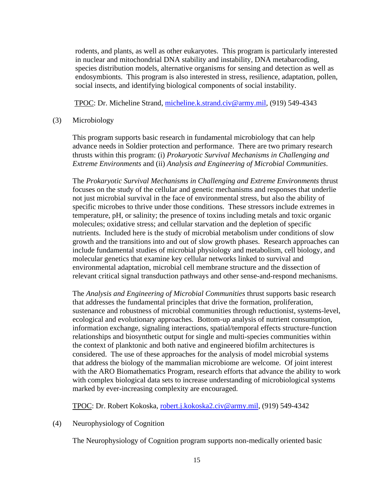rodents, and plants, as well as other eukaryotes. This program is particularly interested in nuclear and mitochondrial DNA stability and instability, DNA metabarcoding, species distribution models, alternative organisms for sensing and detection as well as endosymbionts. This program is also interested in stress, resilience, adaptation, pollen, social insects, and identifying biological components of social instability.

TPOC: Dr. Micheline Strand, [micheline.k.strand.civ@army.mil,](mailto:micheline.k.strand.civ@mail.mil) (919) 549-4343

#### (3) Microbiology

This program supports basic research in fundamental microbiology that can help advance needs in Soldier protection and performance. There are two primary research thrusts within this program: (i) *Prokaryotic Survival Mechanisms in Challenging and Extreme Environments* and (ii) *Analysis and Engineering of Microbial Communities*.

The *Prokaryotic Survival Mechanisms in Challenging and Extreme Environments* thrust focuses on the study of the cellular and genetic mechanisms and responses that underlie not just microbial survival in the face of environmental stress, but also the ability of specific microbes to thrive under those conditions. These stressors include extremes in temperature, pH, or salinity; the presence of toxins including metals and toxic organic molecules; oxidative stress; and cellular starvation and the depletion of specific nutrients. Included here is the study of microbial metabolism under conditions of slow growth and the transitions into and out of slow growth phases. Research approaches can include fundamental studies of microbial physiology and metabolism, cell biology, and molecular genetics that examine key cellular networks linked to survival and environmental adaptation, microbial cell membrane structure and the dissection of relevant critical signal transduction pathways and other sense-and-respond mechanisms.

The *Analysis and Engineering of Microbial Communities* thrust supports basic research that addresses the fundamental principles that drive the formation, proliferation, sustenance and robustness of microbial communities through reductionist, systems-level, ecological and evolutionary approaches. Bottom-up analysis of nutrient consumption, information exchange, signaling interactions, spatial/temporal effects structure-function relationships and biosynthetic output for single and multi-species communities within the context of planktonic and both native and engineered biofilm architectures is considered. The use of these approaches for the analysis of model microbial systems that address the biology of the mammalian microbiome are welcome. Of joint interest with the ARO Biomathematics Program, research efforts that advance the ability to work with complex biological data sets to increase understanding of microbiological systems marked by ever-increasing complexity are encouraged.

TPOC: Dr. Robert Kokoska, [robert.j.kokoska2.civ@army.mil,](mailto:robert.j.kokoska2.civ@mail.mil) (919) 549-4342

(4) Neurophysiology of Cognition

The Neurophysiology of Cognition program supports non-medically oriented basic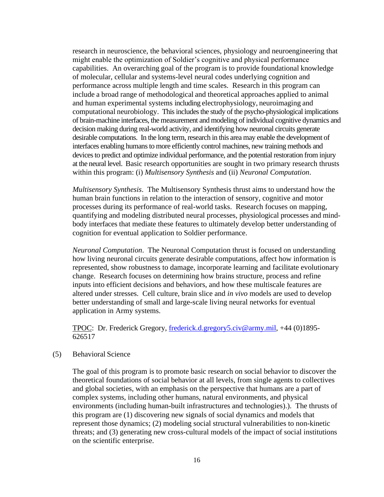research in neuroscience, the behavioral sciences, physiology and neuroengineering that might enable the optimization of Soldier's cognitive and physical performance capabilities. An overarching goal of the program is to provide foundational knowledge of molecular, cellular and systems-level neural codes underlying cognition and performance across multiple length and time scales. Research in this program can include a broad range of methodological and theoretical approaches applied to animal and human experimental systems including electrophysiology, neuroimaging and computational neurobiology. This includes the study of the psycho-physiological implications of brain-machine interfaces, the measurement and modeling of individual cognitive dynamics and decision making during real-world activity, and identifying how neuronal circuits generate desirable computations. In the long term, research in this area may enable the development of interfaces enabling humans to more efficiently control machines, new training methods and devices to predict and optimize individual performance, and the potential restoration from injury at the neural level. Basic research opportunities are sought in two primary research thrusts within this program: (i) *Multisensory Synthesis* and (ii) *Neuronal Computation*.

*Multisensory Synthesis*. The Multisensory Synthesis thrust aims to understand how the human brain functions in relation to the interaction of sensory, cognitive and motor processes during its performance of real-world tasks. Research focuses on mapping, quantifying and modeling distributed neural processes, physiological processes and mindbody interfaces that mediate these features to ultimately develop better understanding of cognition for eventual application to Soldier performance.

*Neuronal Computation*. The Neuronal Computation thrust is focused on understanding how living neuronal circuits generate desirable computations, affect how information is represented, show robustness to damage, incorporate learning and facilitate evolutionary change. Research focuses on determining how brains structure, process and refine inputs into efficient decisions and behaviors, and how these multiscale features are altered under stresses. Cell culture, brain slice and *in vivo* models are used to develop better understanding of small and large-scale living neural networks for eventual application in Army systems.

TPOC: Dr. Frederick Gregory, [frederick.d.gregory5.civ@army.mil,](mailto:frederick.d.gregory5.civ@mail.mil) +44 (0)1895- 626517

#### (5) Behavioral Science

The goal of this program is to promote basic research on social behavior to discover the theoretical foundations of social behavior at all levels, from single agents to collectives and global societies, with an emphasis on the perspective that humans are a part of complex systems, including other humans, natural environments, and physical environments (including human-built infrastructures and technologies).). The thrusts of this program are (1) discovering new signals of social dynamics and models that represent those dynamics; (2) modeling social structural vulnerabilities to non-kinetic threats; and (3) generating new cross-cultural models of the impact of social institutions on the scientific enterprise.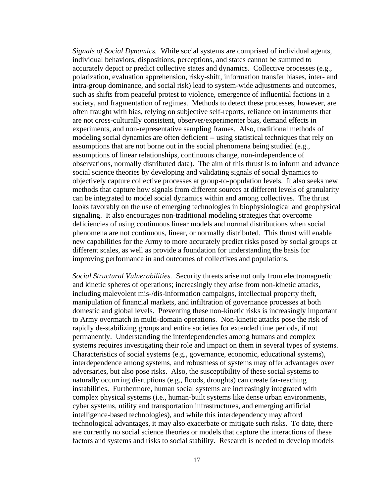*Signals of Social Dynamics.* While social systems are comprised of individual agents, individual behaviors, dispositions, perceptions, and states cannot be summed to accurately depict or predict collective states and dynamics. Collective processes (e.g., polarization, evaluation apprehension, risky-shift, information transfer biases, inter- and intra-group dominance, and social risk) lead to system-wide adjustments and outcomes, such as shifts from peaceful protest to violence, emergence of influential factions in a society, and fragmentation of regimes. Methods to detect these processes, however, are often fraught with bias, relying on subjective self-reports, reliance on instruments that are not cross-culturally consistent, observer/experimenter bias, demand effects in experiments, and non-representative sampling frames. Also, traditional methods of modeling social dynamics are often deficient -- using statistical techniques that rely on assumptions that are not borne out in the social phenomena being studied (e.g., assumptions of linear relationships, continuous change, non-independence of observations, normally distributed data). The aim of this thrust is to inform and advance social science theories by developing and validating signals of social dynamics to objectively capture collective processes at group-to-population levels. It also seeks new methods that capture how signals from different sources at different levels of granularity can be integrated to model social dynamics within and among collectives. The thrust looks favorably on the use of emerging technologies in biophysiological and geophysical signaling. It also encourages non-traditional modeling strategies that overcome deficiencies of using continuous linear models and normal distributions when social phenomena are not continuous, linear, or normally distributed. This thrust will enable new capabilities for the Army to more accurately predict risks posed by social groups at different scales, as well as provide a foundation for understanding the basis for improving performance in and outcomes of collectives and populations.

*Social Structural Vulnerabilities.* Security threats arise not only from electromagnetic and kinetic spheres of operations; increasingly they arise from non-kinetic attacks, including malevolent mis-/dis-information campaigns, intellectual property theft, manipulation of financial markets, and infiltration of governance processes at both domestic and global levels. Preventing these non-kinetic risks is increasingly important to Army overmatch in multi-domain operations. Non-kinetic attacks pose the risk of rapidly de-stabilizing groups and entire societies for extended time periods, if not permanently. Understanding the interdependencies among humans and complex systems requires investigating their role and impact on them in several types of systems. Characteristics of social systems (e.g., governance, economic, educational systems), interdependence among systems, and robustness of systems may offer advantages over adversaries, but also pose risks. Also, the susceptibility of these social systems to naturally occurring disruptions (e.g., floods, droughts) can create far-reaching instabilities. Furthermore, human social systems are increasingly integrated with complex physical systems (i.e., human-built systems like dense urban environments, cyber systems, utility and transportation infrastructures, and emerging artificial intelligence-based technologies), and while this interdependency may afford technological advantages, it may also exacerbate or mitigate such risks. To date, there are currently no social science theories or models that capture the interactions of these factors and systems and risks to social stability. Research is needed to develop models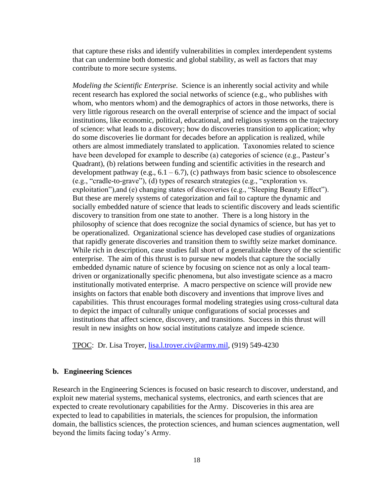that capture these risks and identify vulnerabilities in complex interdependent systems that can undermine both domestic and global stability, as well as factors that may contribute to more secure systems.

*Modeling the Scientific Enterprise*. Science is an inherently social activity and while recent research has explored the social networks of science (e.g., who publishes with whom, who mentors whom) and the demographics of actors in those networks, there is very little rigorous research on the overall enterprise of science and the impact of social institutions, like economic, political, educational, and religious systems on the trajectory of science: what leads to a discovery; how do discoveries transition to application; why do some discoveries lie dormant for decades before an application is realized, while others are almost immediately translated to application. Taxonomies related to science have been developed for example to describe (a) categories of science (e.g., Pasteur's Quadrant), (b) relations between funding and scientific activities in the research and development pathway (e.g.,  $6.1 - 6.7$ ), (c) pathways from basic science to obsolescence (e.g., "cradle-to-grave"), (d) types of research strategies (e.g., "exploration vs. exploitation"),and (e) changing states of discoveries (e.g., "Sleeping Beauty Effect"). But these are merely systems of categorization and fail to capture the dynamic and socially embedded nature of science that leads to scientific discovery and leads scientific discovery to transition from one state to another. There is a long history in the philosophy of science that does recognize the social dynamics of science, but has yet to be operationalized. Organizational science has developed case studies of organizations that rapidly generate discoveries and transition them to swiftly seize market dominance. While rich in description, case studies fall short of a generalizable theory of the scientific enterprise. The aim of this thrust is to pursue new models that capture the socially embedded dynamic nature of science by focusing on science not as only a local teamdriven or organizationally specific phenomena, but also investigate science as a macro institutionally motivated enterprise. A macro perspective on science will provide new insights on factors that enable both discovery and inventions that improve lives and capabilities. This thrust encourages formal modeling strategies using cross-cultural data to depict the impact of culturally unique configurations of social processes and institutions that affect science, discovery, and transitions. Success in this thrust will result in new insights on how social institutions catalyze and impede science.

TPOC: Dr. Lisa Troyer, [lisa.l.troyer.civ@army.mil,](mailto:lisa.l.troyer.civ@mail.mil) (919) 549-4230

#### **b. Engineering Sciences**

Research in the Engineering Sciences is focused on basic research to discover, understand, and exploit new material systems, mechanical systems, electronics, and earth sciences that are expected to create revolutionary capabilities for the Army. Discoveries in this area are expected to lead to capabilities in materials, the sciences for propulsion, the information domain, the ballistics sciences, the protection sciences, and human sciences augmentation, well beyond the limits facing today's Army.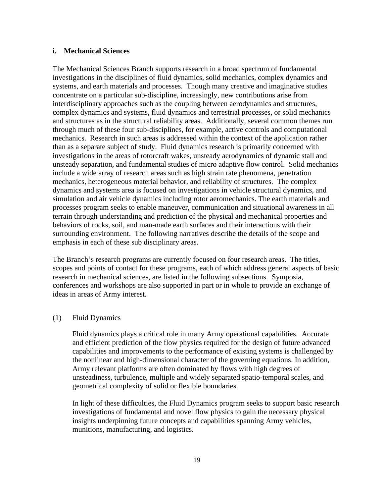### **i. Mechanical Sciences**

The Mechanical Sciences Branch supports research in a broad spectrum of fundamental investigations in the disciplines of fluid dynamics, solid mechanics, complex dynamics and systems, and earth materials and processes. Though many creative and imaginative studies concentrate on a particular sub-discipline, increasingly, new contributions arise from interdisciplinary approaches such as the coupling between aerodynamics and structures, complex dynamics and systems, fluid dynamics and terrestrial processes, or solid mechanics and structures as in the structural reliability areas. Additionally, several common themes run through much of these four sub-disciplines, for example, active controls and computational mechanics. Research in such areas is addressed within the context of the application rather than as a separate subject of study. Fluid dynamics research is primarily concerned with investigations in the areas of rotorcraft wakes, unsteady aerodynamics of dynamic stall and unsteady separation, and fundamental studies of micro adaptive flow control. Solid mechanics include a wide array of research areas such as high strain rate phenomena, penetration mechanics, heterogeneous material behavior, and reliability of structures. The complex dynamics and systems area is focused on investigations in vehicle structural dynamics, and simulation and air vehicle dynamics including rotor aeromechanics. The earth materials and processes program seeks to enable maneuver, communication and situational awareness in all terrain through understanding and prediction of the physical and mechanical properties and behaviors of rocks, soil, and man-made earth surfaces and their interactions with their surrounding environment. The following narratives describe the details of the scope and emphasis in each of these sub disciplinary areas.

The Branch's research programs are currently focused on four research areas. The titles, scopes and points of contact for these programs, each of which address general aspects of basic research in mechanical sciences, are listed in the following subsections. Symposia, conferences and workshops are also supported in part or in whole to provide an exchange of ideas in areas of Army interest.

#### (1) Fluid Dynamics

Fluid dynamics plays a critical role in many Army operational capabilities. Accurate and efficient prediction of the flow physics required for the design of future advanced capabilities and improvements to the performance of existing systems is challenged by the nonlinear and high-dimensional character of the governing equations. In addition, Army relevant platforms are often dominated by flows with high degrees of unsteadiness, turbulence, multiple and widely separated spatio-temporal scales, and geometrical complexity of solid or flexible boundaries.

In light of these difficulties, the Fluid Dynamics program seeks to support basic research investigations of fundamental and novel flow physics to gain the necessary physical insights underpinning future concepts and capabilities spanning Army vehicles, munitions, manufacturing, and logistics.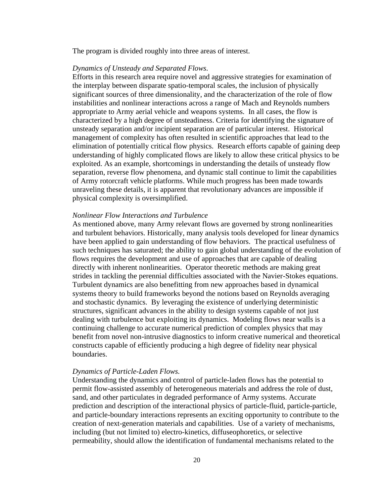The program is divided roughly into three areas of interest.

#### *Dynamics of Unsteady and Separated Flows.*

Efforts in this research area require novel and aggressive strategies for examination of the interplay between disparate spatio-temporal scales, the inclusion of physically significant sources of three dimensionality, and the characterization of the role of flow instabilities and nonlinear interactions across a range of Mach and Reynolds numbers appropriate to Army aerial vehicle and weapons systems. In all cases, the flow is characterized by a high degree of unsteadiness. Criteria for identifying the signature of unsteady separation and/or incipient separation are of particular interest. Historical management of complexity has often resulted in scientific approaches that lead to the elimination of potentially critical flow physics. Research efforts capable of gaining deep understanding of highly complicated flows are likely to allow these critical physics to be exploited. As an example, shortcomings in understanding the details of unsteady flow separation, reverse flow phenomena, and dynamic stall continue to limit the capabilities of Army rotorcraft vehicle platforms. While much progress has been made towards unraveling these details, it is apparent that revolutionary advances are impossible if physical complexity is oversimplified.

#### *Nonlinear Flow Interactions and Turbulence*

As mentioned above, many Army relevant flows are governed by strong nonlinearities and turbulent behaviors. Historically, many analysis tools developed for linear dynamics have been applied to gain understanding of flow behaviors. The practical usefulness of such techniques has saturated; the ability to gain global understanding of the evolution of flows requires the development and use of approaches that are capable of dealing directly with inherent nonlinearities. Operator theoretic methods are making great strides in tackling the perennial difficulties associated with the Navier-Stokes equations. Turbulent dynamics are also benefitting from new approaches based in dynamical systems theory to build frameworks beyond the notions based on Reynolds averaging and stochastic dynamics. By leveraging the existence of underlying deterministic structures, significant advances in the ability to design systems capable of not just dealing with turbulence but exploiting its dynamics. Modeling flows near walls is a continuing challenge to accurate numerical prediction of complex physics that may benefit from novel non-intrusive diagnostics to inform creative numerical and theoretical constructs capable of efficiently producing a high degree of fidelity near physical boundaries.

#### *Dynamics of Particle-Laden Flows.*

Understanding the dynamics and control of particle-laden flows has the potential to permit flow-assisted assembly of heterogeneous materials and address the role of dust, sand, and other particulates in degraded performance of Army systems. Accurate prediction and description of the interactional physics of particle-fluid, particle-particle, and particle-boundary interactions represents an exciting opportunity to contribute to the creation of next-generation materials and capabilities. Use of a variety of mechanisms, including (but not limited to) electro-kinetics, diffuseophoretics, or selective permeability, should allow the identification of fundamental mechanisms related to the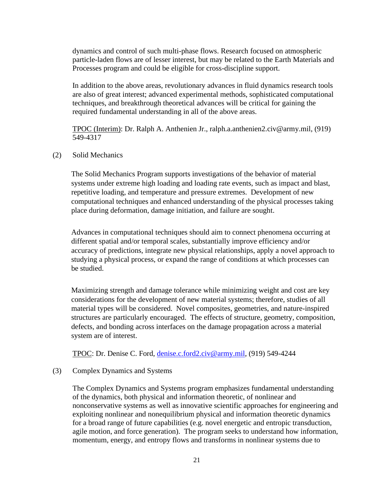dynamics and control of such multi-phase flows. Research focused on atmospheric particle-laden flows are of lesser interest, but may be related to the Earth Materials and Processes program and could be eligible for cross-discipline support.

In addition to the above areas, revolutionary advances in fluid dynamics research tools are also of great interest; advanced experimental methods, sophisticated computational techniques, and breakthrough theoretical advances will be critical for gaining the required fundamental understanding in all of the above areas.

TPOC (Interim): Dr. Ralph A. Anthenien Jr., ralph.a.anthenien2.civ@army.mil, (919) 549-4317

(2) Solid Mechanics

The Solid Mechanics Program supports investigations of the behavior of material systems under extreme high loading and loading rate events, such as impact and blast, repetitive loading, and temperature and pressure extremes. Development of new computational techniques and enhanced understanding of the physical processes taking place during deformation, damage initiation, and failure are sought.

Advances in computational techniques should aim to connect phenomena occurring at different spatial and/or temporal scales, substantially improve efficiency and/or accuracy of predictions, integrate new physical relationships, apply a novel approach to studying a physical process, or expand the range of conditions at which processes can be studied.

Maximizing strength and damage tolerance while minimizing weight and cost are key considerations for the development of new material systems; therefore, studies of all material types will be considered. Novel composites, geometries, and nature-inspired structures are particularly encouraged. The effects of structure, geometry, composition, defects, and bonding across interfaces on the damage propagation across a material system are of interest.

TPOC: Dr. Denise C. Ford, [denise.c.ford2.civ@army.mil,](file:///C:/Users/brian.ashford/AppData/Local/Microsoft/Windows/INetCache/Content.Outlook/ITJA12AF/denise.c.ford2.civ@mail.mil) (919) 549-4244

## (3) Complex Dynamics and Systems

The Complex Dynamics and Systems program emphasizes fundamental understanding of the dynamics, both physical and information theoretic, of nonlinear and nonconservative systems as well as innovative scientific approaches for engineering and exploiting nonlinear and nonequilibrium physical and information theoretic dynamics for a broad range of future capabilities (e.g. novel energetic and entropic transduction, agile motion, and force generation). The program seeks to understand how information, momentum, energy, and entropy flows and transforms in nonlinear systems due to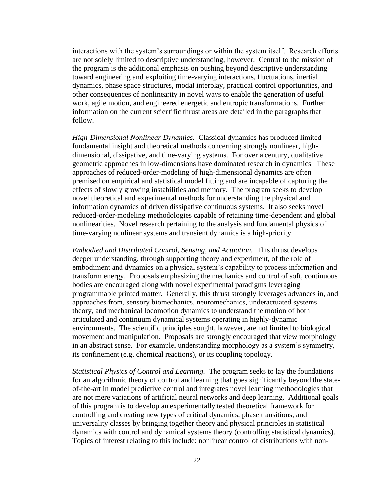interactions with the system's surroundings or within the system itself. Research efforts are not solely limited to descriptive understanding, however. Central to the mission of the program is the additional emphasis on pushing beyond descriptive understanding toward engineering and exploiting time-varying interactions, fluctuations, inertial dynamics, phase space structures, modal interplay, practical control opportunities, and other consequences of nonlinearity in novel ways to enable the generation of useful work, agile motion, and engineered energetic and entropic transformations. Further information on the current scientific thrust areas are detailed in the paragraphs that follow.

*High-Dimensional Nonlinear Dynamics.* Classical dynamics has produced limited fundamental insight and theoretical methods concerning strongly nonlinear, highdimensional, dissipative, and time-varying systems. For over a century, qualitative geometric approaches in low-dimensions have dominated research in dynamics. These approaches of reduced-order-modeling of high-dimensional dynamics are often premised on empirical and statistical model fitting and are incapable of capturing the effects of slowly growing instabilities and memory. The program seeks to develop novel theoretical and experimental methods for understanding the physical and information dynamics of driven dissipative continuous systems. It also seeks novel reduced-order-modeling methodologies capable of retaining time-dependent and global nonlinearities. Novel research pertaining to the analysis and fundamental physics of time-varying nonlinear systems and transient dynamics is a high-priority.

*Embodied and Distributed Control, Sensing, and Actuation.* This thrust develops deeper understanding, through supporting theory and experiment, of the role of embodiment and dynamics on a physical system's capability to process information and transform energy. Proposals emphasizing the mechanics and control of soft, continuous bodies are encouraged along with novel experimental paradigms leveraging programmable printed matter. Generally, this thrust strongly leverages advances in, and approaches from, sensory biomechanics, neuromechanics, underactuated systems theory, and mechanical locomotion dynamics to understand the motion of both articulated and continuum dynamical systems operating in highly-dynamic environments. The scientific principles sought, however, are not limited to biological movement and manipulation. Proposals are strongly encouraged that view morphology in an abstract sense. For example, understanding morphology as a system's symmetry, its confinement (e.g. chemical reactions), or its coupling topology.

*Statistical Physics of Control and Learning.* The program seeks to lay the foundations for an algorithmic theory of control and learning that goes significantly beyond the stateof-the-art in model predictive control and integrates novel learning methodologies that are not mere variations of artificial neural networks and deep learning. Additional goals of this program is to develop an experimentally tested theoretical framework for controlling and creating new types of critical dynamics, phase transitions, and universality classes by bringing together theory and physical principles in statistical dynamics with control and dynamical systems theory (controlling statistical dynamics). Topics of interest relating to this include: nonlinear control of distributions with non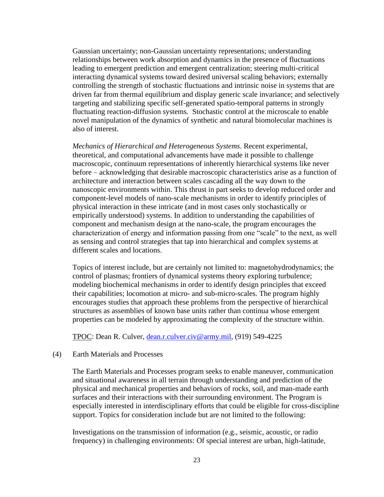Gaussian uncertainty; non-Gaussian uncertainty representations; understanding relationships between work absorption and dynamics in the presence of fluctuations leading to emergent prediction and emergent centralization; steering multi-critical interacting dynamical systems toward desired universal scaling behaviors; externally controlling the strength of stochastic fluctuations and intrinsic noise in systems that are driven far from thermal equilibrium and display generic scale invariance; and selectively targeting and stabilizing specific self-generated spatio-temporal patterns in strongly fluctuating reaction-diffusion systems. Stochastic control at the microscale to enable novel manipulation of the dynamics of synthetic and natural biomolecular machines is also of interest.

*Mechanics of Hierarchical and Heterogeneous Systems*. Recent experimental, theoretical, and computational advancements have made it possible to challenge macroscopic, continuum representations of inherently hierarchical systems like never before – acknowledging that desirable macroscopic characteristics arise as a function of architecture and interaction between scales cascading all the way down to the nanoscopic environments within. This thrust in part seeks to develop reduced order and component-level models of nano-scale mechanisms in order to identify principles of physical interaction in these intricate (and in most cases only stochastically or empirically understood) systems. In addition to understanding the capabilities of component and mechanism design at the nano-scale, the program encourages the characterization of energy and information passing from one "scale" to the next, as well as sensing and control strategies that tap into hierarchical and complex systems at different scales and locations.

Topics of interest include, but are certainly not limited to: magnetohydrodynamics; the control of plasmas; frontiers of dynamical systems theory exploring turbulence; modeling biochemical mechanisms in order to identify design principles that exceed their capabilities; locomotion at micro- and sub-micro-scales. The program highly encourages studies that approach these problems from the perspective of hierarchical structures as assemblies of known base units rather than continua whose emergent properties can be modeled by approximating the complexity of the structure within.

TPOC: Dean R. Culver, [dean.r.culver.civ@army.mil,](mailto:dean.r.culver.civ@army.mil) (919) 549-4225

#### (4) Earth Materials and Processes

The Earth Materials and Processes program seeks to enable maneuver, communication and situational awareness in all terrain through understanding and prediction of the physical and mechanical properties and behaviors of rocks, soil, and man-made earth surfaces and their interactions with their surrounding environment. The Program is especially interested in interdisciplinary efforts that could be eligible for cross-discipline support. Topics for consideration include but are not limited to the following:

Investigations on the transmission of information (e.g., seismic, acoustic, or radio frequency) in challenging environments: Of special interest are urban, high-latitude,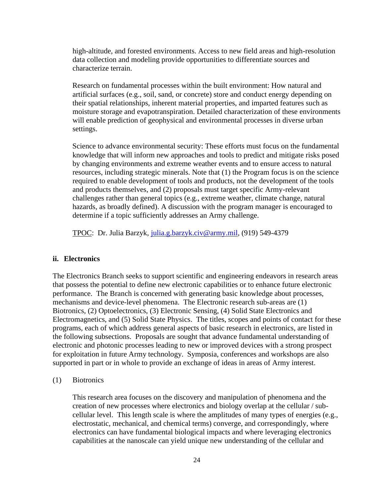high-altitude, and forested environments. Access to new field areas and high-resolution data collection and modeling provide opportunities to differentiate sources and characterize terrain.

Research on fundamental processes within the built environment: How natural and artificial surfaces (e.g., soil, sand, or concrete) store and conduct energy depending on their spatial relationships, inherent material properties, and imparted features such as moisture storage and evapotranspiration. Detailed characterization of these environments will enable prediction of geophysical and environmental processes in diverse urban settings.

Science to advance environmental security: These efforts must focus on the fundamental knowledge that will inform new approaches and tools to predict and mitigate risks posed by changing environments and extreme weather events and to ensure access to natural resources, including strategic minerals. Note that (1) the Program focus is on the science required to enable development of tools and products, not the development of the tools and products themselves, and (2) proposals must target specific Army-relevant challenges rather than general topics (e.g., extreme weather, climate change, natural hazards, as broadly defined). A discussion with the program manager is encouraged to determine if a topic sufficiently addresses an Army challenge.

TPOC: Dr. Julia Barzyk, [julia.g.barzyk.civ@army.mil,](mailto:julia.g.barzyk.civ@mail.mil) (919) 549-4379

#### **ii. Electronics**

The Electronics Branch seeks to support scientific and engineering endeavors in research areas that possess the potential to define new electronic capabilities or to enhance future electronic performance. The Branch is concerned with generating basic knowledge about processes, mechanisms and device-level phenomena. The Electronic research sub-areas are (1) Biotronics, (2) Optoelectronics, (3) Electronic Sensing, (4) Solid State Electronics and Electromagnetics, and (5) Solid State Physics. The titles, scopes and points of contact for these programs, each of which address general aspects of basic research in electronics, are listed in the following subsections. Proposals are sought that advance fundamental understanding of electronic and photonic processes leading to new or improved devices with a strong prospect for exploitation in future Army technology. Symposia, conferences and workshops are also supported in part or in whole to provide an exchange of ideas in areas of Army interest.

(1) Biotronics

This research area focuses on the discovery and manipulation of phenomena and the creation of new processes where electronics and biology overlap at the cellular / subcellular level. This length scale is where the amplitudes of many types of energies (e.g., electrostatic, mechanical, and chemical terms) converge, and correspondingly, where electronics can have fundamental biological impacts and where leveraging electronics capabilities at the nanoscale can yield unique new understanding of the cellular and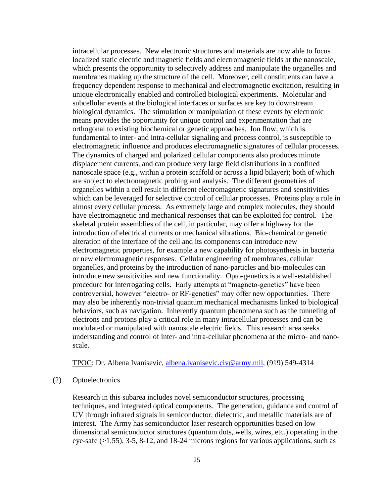intracellular processes. New electronic structures and materials are now able to focus localized static electric and magnetic fields and electromagnetic fields at the nanoscale, which presents the opportunity to selectively address and manipulate the organelles and membranes making up the structure of the cell. Moreover, cell constituents can have a frequency dependent response to mechanical and electromagnetic excitation, resulting in unique electronically enabled and controlled biological experiments. Molecular and subcellular events at the biological interfaces or surfaces are key to downstream biological dynamics. The stimulation or manipulation of these events by electronic means provides the opportunity for unique control and experimentation that are orthogonal to existing biochemical or genetic approaches. Ion flow, which is fundamental to inter- and intra-cellular signaling and process control, is susceptible to electromagnetic influence and produces electromagnetic signatures of cellular processes. The dynamics of charged and polarized cellular components also produces minute displacement currents, and can produce very large field distributions in a confined nanoscale space (e.g., within a protein scaffold or across a lipid bilayer); both of which are subject to electromagnetic probing and analysis. The different geometries of organelles within a cell result in different electromagnetic signatures and sensitivities which can be leveraged for selective control of cellular processes. Proteins play a role in almost every cellular process. As extremely large and complex molecules, they should have electromagnetic and mechanical responses that can be exploited for control. The skeletal protein assemblies of the cell, in particular, may offer a highway for the introduction of electrical currents or mechanical vibrations. Bio-chemical or genetic alteration of the interface of the cell and its components can introduce new electromagnetic properties, for example a new capability for photosynthesis in bacteria or new electromagnetic responses. Cellular engineering of membranes, cellular organelles, and proteins by the introduction of nano-particles and bio-molecules can introduce new sensitivities and new functionality. Opto-genetics is a well-established procedure for interrogating cells. Early attempts at "magneto-genetics" have been controversial, however "electro- or RF-genetics" may offer new opportunities. There may also be inherently non-trivial quantum mechanical mechanisms linked to biological behaviors, such as navigation. Inherently quantum phenomena such as the tunneling of electrons and protons play a critical role in many intracellular processes and can be modulated or manipulated with nanoscale electric fields. This research area seeks understanding and control of inter- and intra-cellular phenomena at the micro- and nanoscale.

TPOC: Dr. Albena Ivanisevic, [albena.ivanisevic.civ@army.mil,](mailto:albena.ivanisevic.civ@mail.mil) (919) 549-4314

#### (2) Optoelectronics

Research in this subarea includes novel semiconductor structures, processing techniques, and integrated optical components. The generation, guidance and control of UV through infrared signals in semiconductor, dielectric, and metallic materials are of interest. The Army has semiconductor laser research opportunities based on low dimensional semiconductor structures (quantum dots, wells, wires, etc.) operating in the eye-safe (>1.55), 3-5, 8-12, and 18-24 microns regions for various applications, such as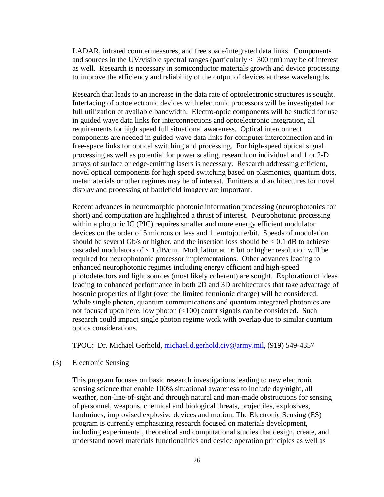LADAR, infrared countermeasures, and free space/integrated data links. Components and sources in the UV/visible spectral ranges (particularly  $<$  300 nm) may be of interest as well. Research is necessary in semiconductor materials growth and device processing to improve the efficiency and reliability of the output of devices at these wavelengths.

Research that leads to an increase in the data rate of optoelectronic structures is sought. Interfacing of optoelectronic devices with electronic processors will be investigated for full utilization of available bandwidth. Electro-optic components will be studied for use in guided wave data links for interconnections and optoelectronic integration, all requirements for high speed full situational awareness. Optical interconnect components are needed in guided-wave data links for computer interconnection and in free-space links for optical switching and processing. For high-speed optical signal processing as well as potential for power scaling, research on individual and 1 or 2-D arrays of surface or edge-emitting lasers is necessary. Research addressing efficient, novel optical components for high speed switching based on plasmonics, quantum dots, metamaterials or other regimes may be of interest. Emitters and architectures for novel display and processing of battlefield imagery are important.

Recent advances in neuromorphic photonic information processing (neurophotonics for short) and computation are highlighted a thrust of interest. Neurophotonic processing within a photonic IC (PIC) requires smaller and more energy efficient modulator devices on the order of 5 microns or less and 1 femtojoule/bit. Speeds of modulation should be several Gb/s or higher, and the insertion loss should be  $< 0.1$  dB to achieve cascaded modulators of  $\langle 1 \text{ dB/cm}$ . Modulation at 16 bit or higher resolution will be required for neurophotonic processor implementations. Other advances leading to enhanced neurophotonic regimes including energy efficient and high-speed photodetectors and light sources (most likely coherent) are sought. Exploration of ideas leading to enhanced performance in both 2D and 3D architectures that take advantage of bosonic properties of light (over the limited fermionic charge) will be considered. While single photon, quantum communications and quantum integrated photonics are not focused upon here, low photon (<100) count signals can be considered. Such research could impact single photon regime work with overlap due to similar quantum optics considerations.

TPOC: Dr. Michael Gerhold, [michael.d.gerhold.civ@army.mil,](mailto:michael.d.gerhold.civ@mail.mil) (919) 549-4357

(3) Electronic Sensing

This program focuses on basic research investigations leading to new electronic sensing science that enable 100% situational awareness to include day/night, all weather, non-line-of-sight and through natural and man-made obstructions for sensing of personnel, weapons, chemical and biological threats, projectiles, explosives, landmines, improvised explosive devices and motion. The Electronic Sensing (ES) program is currently emphasizing research focused on materials development, including experimental, theoretical and computational studies that design, create, and understand novel materials functionalities and device operation principles as well as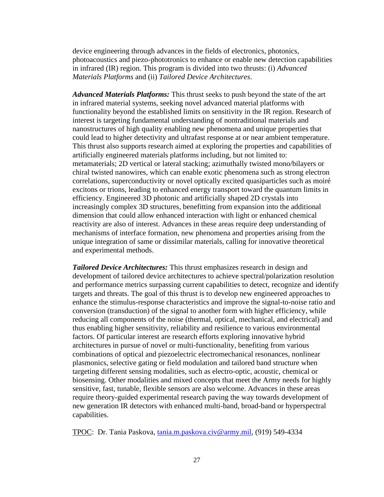device engineering through advances in the fields of electronics, photonics, photoacoustics and piezo-phototronics to enhance or enable new detection capabilities in infrared (IR) region. This program is divided into two thrusts: (i) *Advanced Materials Platforms* and (ii) *Tailored Device Architectures*.

*Advanced Materials Platforms:* This thrust seeks to push beyond the state of the art in infrared material systems, seeking novel advanced material platforms with functionality beyond the established limits on sensitivity in the IR region. Research of interest is targeting fundamental understanding of nontraditional materials and nanostructures of high quality enabling new phenomena and unique properties that could lead to higher detectivity and ultrafast response at or near ambient temperature. This thrust also supports research aimed at exploring the properties and capabilities of artificially engineered materials platforms including, but not limited to: metamaterials; 2D vertical or lateral stacking; azimuthally twisted mono/bilayers or chiral twisted nanowires, which can enable exotic phenomena such as strong electron correlations, superconductivity or novel optically excited quasiparticles such as moiré excitons or trions, leading to enhanced energy transport toward the quantum limits in efficiency. Engineered 3D photonic and artificially shaped 2D crystals into increasingly complex 3D structures, benefitting from expansion into the additional dimension that could allow enhanced interaction with light or enhanced chemical reactivity are also of interest. Advances in these areas require deep understanding of mechanisms of interface formation, new phenomena and properties arising from the unique integration of same or dissimilar materials, calling for innovative theoretical and experimental methods.

*Tailored Device Architectures:* This thrust emphasizes research in design and development of tailored device architectures to achieve spectral/polarization resolution and performance metrics surpassing current capabilities to detect, recognize and identify targets and threats. The goal of this thrust is to develop new engineered approaches to enhance the stimulus-response characteristics and improve the signal-to-noise ratio and conversion (transduction) of the signal to another form with higher efficiency, while reducing all components of the noise (thermal, optical, mechanical, and electrical) and thus enabling higher sensitivity, reliability and resilience to various environmental factors. Of particular interest are research efforts exploring innovative hybrid architectures in pursue of novel or multi-functionality, benefiting from various combinations of optical and piezoelectric electromechanical resonances, nonlinear plasmonics, selective gating or field modulation and tailored band structure when targeting different sensing modalities, such as electro-optic, acoustic, chemical or biosensing. Other modalities and mixed concepts that meet the Army needs for highly sensitive, fast, tunable, flexible sensors are also welcome. Advances in these areas require theory-guided experimental research paving the way towards development of new generation IR detectors with enhanced multi-band, broad-band or hyperspectral capabilities.

TPOC: Dr. Tania Paskova, [tania.m.paskova.civ@army.mil,](mailto:tania.m.paskova.civ@mail.mil) (919) 549-4334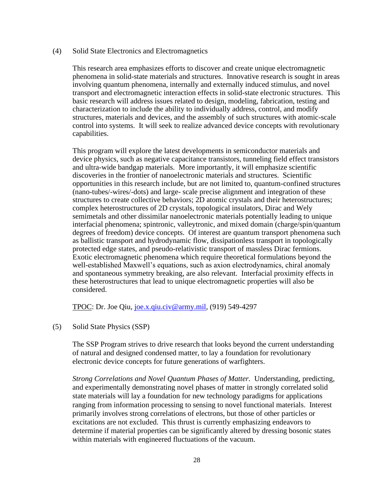(4) Solid State Electronics and Electromagnetics

This research area emphasizes efforts to discover and create unique electromagnetic phenomena in solid-state materials and structures. Innovative research is sought in areas involving quantum phenomena, internally and externally induced stimulus, and novel transport and electromagnetic interaction effects in solid-state electronic structures. This basic research will address issues related to design, modeling, fabrication, testing and characterization to include the ability to individually address, control, and modify structures, materials and devices, and the assembly of such structures with atomic-scale control into systems. It will seek to realize advanced device concepts with revolutionary capabilities.

This program will explore the latest developments in semiconductor materials and device physics, such as negative capacitance transistors, tunneling field effect transistors and ultra-wide bandgap materials. More importantly, it will emphasize scientific discoveries in the frontier of nanoelectronic materials and structures. Scientific opportunities in this research include, but are not limited to, quantum-confined structures (nano-tubes/-wires/-dots) and large- scale precise alignment and integration of these structures to create collective behaviors; 2D atomic crystals and their heterostructures; complex heterostructures of 2D crystals, topological insulators, Dirac and Wely semimetals and other dissimilar nanoelectronic materials potentially leading to unique interfacial phenomena; spintronic, valleytronic, and mixed domain (charge/spin/quantum degrees of freedom) device concepts. Of interest are quantum transport phenomena such as ballistic transport and hydrodynamic flow, dissipationless transport in topologically protected edge states, and pseudo-relativistic transport of massless Dirac fermions. Exotic electromagnetic phenomena which require theoretical formulations beyond the well-established Maxwell's equations, such as axion electrodynamics, chiral anomaly and spontaneous symmetry breaking, are also relevant. Interfacial proximity effects in these heterostructures that lead to unique electromagnetic properties will also be considered.

TPOC: Dr. Joe Qiu, [joe.x.qiu.civ@army.mil,](mailto:joe.x.qiu.civ@mail.mil) (919) 549-4297

(5) Solid State Physics (SSP)

The SSP Program strives to drive research that looks beyond the current understanding of natural and designed condensed matter, to lay a foundation for revolutionary electronic device concepts for future generations of warfighters.

*Strong Correlations and Novel Quantum Phases of Matter.* Understanding, predicting, and experimentally demonstrating novel phases of matter in strongly correlated solid state materials will lay a foundation for new technology paradigms for applications ranging from information processing to sensing to novel functional materials. Interest primarily involves strong correlations of electrons, but those of other particles or excitations are not excluded. This thrust is currently emphasizing endeavors to determine if material properties can be significantly altered by dressing bosonic states within materials with engineered fluctuations of the vacuum.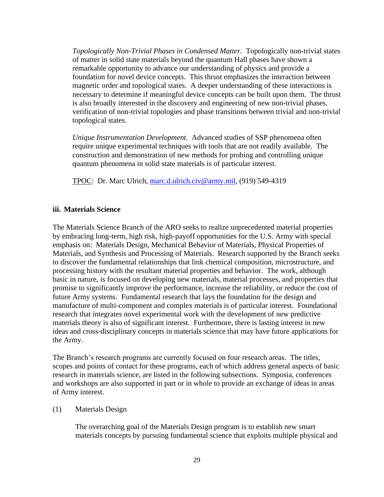*Topologically Non-Trivial Phases in Condensed Matter.* Topologically non-trivial states of matter in solid state materials beyond the quantum Hall phases have shown a remarkable opportunity to advance our understanding of physics and provide a foundation for novel device concepts. This thrust emphasizes the interaction between magnetic order and topological states. A deeper understanding of these interactions is necessary to determine if meaningful device concepts can be built upon them. The thrust is also broadly interested in the discovery and engineering of new non-trivial phases, verification of non-trivial topologies and phase transitions between trivial and non-trivial topological states.

*Unique Instrumentation Development.* Advanced studies of SSP phenomena often require unique experimental techniques with tools that are not readily available. The construction and demonstration of new methods for probing and controlling unique quantum phenomena in solid state materials is of particular interest.

TPOC: Dr. Marc Ulrich, [marc.d.ulrich.civ@army.mil,](mailto:marc.d.ulrich.civ@mail.mil) (919) 549-4319

#### **iii. Materials Science**

The Materials Science Branch of the ARO seeks to realize unprecedented material properties by embracing long-term, high risk, high-payoff opportunities for the U.S. Army with special emphasis on: Materials Design, Mechanical Behavior of Materials, Physical Properties of Materials, and Synthesis and Processing of Materials. Research supported by the Branch seeks to discover the fundamental relationships that link chemical composition, microstructure, and processing history with the resultant material properties and behavior. The work, although basic in nature, is focused on developing new materials, material processes, and properties that promise to significantly improve the performance, increase the reliability, or reduce the cost of future Army systems. Fundamental research that lays the foundation for the design and manufacture of multi-component and complex materials is of particular interest. Foundational research that integrates novel experimental work with the development of new predictive materials theory is also of significant interest. Furthermore, there is lasting interest in new ideas and cross-disciplinary concepts in materials science that may have future applications for the Army.

The Branch's research programs are currently focused on four research areas. The titles, scopes and points of contact for these programs, each of which address general aspects of basic research in materials science, are listed in the following subsections. Symposia, conferences and workshops are also supported in part or in whole to provide an exchange of ideas in areas of Army interest.

#### (1) Materials Design

The overarching goal of the Materials Design program is to establish new smart materials concepts by pursuing fundamental science that exploits multiple physical and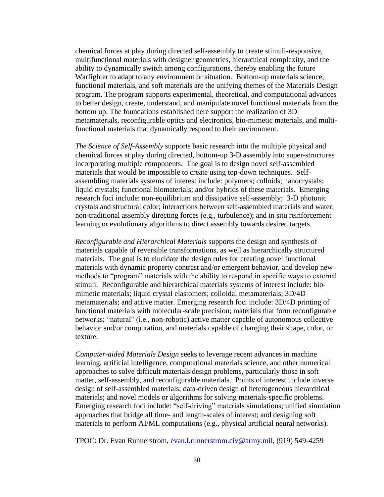chemical forces at play during directed self-assembly to create stimuli-responsive, multifunctional materials with designer geometries, hierarchical complexity, and the ability to dynamically switch among configurations, thereby enabling the future Warfighter to adapt to any environment or situation. Bottom-up materials science, functional materials, and soft materials are the unifying themes of the Materials Design program. The program supports experimental, theoretical, and computational advances to better design, create, understand, and manipulate novel functional materials from the bottom up. The foundations established here support the realization of 3D metamaterials, reconfigurable optics and electronics, bio-mimetic materials, and multifunctional materials that dynamically respond to their environment.

*The Science of Self-Assembly* supports basic research into the multiple physical and chemical forces at play during directed, bottom-up 3-D assembly into super-structures incorporating multiple components. The goal is to design novel self-assembled materials that would be impossible to create using top-down techniques. Selfassembling materials systems of interest include: polymers; colloids; nanocrystals; liquid crystals; functional biomaterials; and/or hybrids of these materials. Emerging research foci include: non-equilibrium and dissipative self-assembly; 3-D photonic crystals and structural color; interactions between self-assembled materials and water; non-traditional assembly directing forces (e.g., turbulence); and in situ reinforcement learning or evolutionary algorithms to direct assembly towards desired targets.

*Reconfigurable and Hierarchical Materials* supports the design and synthesis of materials capable of reversible transformations, as well as hierarchically structured materials. The goal is to elucidate the design rules for creating novel functional materials with dynamic property contrast and/or emergent behavior, and develop new methods to "program" materials with the ability to respond in specific ways to external stimuli. Reconfigurable and hierarchical materials systems of interest include: biomimetic materials; liquid crystal elastomers; colloidal metamaterials; 3D/4D metamaterials; and active matter. Emerging research foci include: 3D/4D printing of functional materials with molecular-scale precision; materials that form reconfigurable networks; "natural" (i.e., non-robotic) active matter capable of autonomous collective behavior and/or computation, and materials capable of changing their shape, color, or texture.

*Computer-aided Materials Design* seeks to leverage recent advances in machine learning, artificial intelligence, computational materials science, and other numerical approaches to solve difficult materials design problems, particularly those in soft matter, self-assembly, and reconfigurable materials. Points of interest include inverse design of self-assembled materials; data-driven design of heterogeneous hierarchical materials; and novel models or algorithms for solving materials-specific problems. Emerging research foci include: "self-driving" materials simulations; unified simulation approaches that bridge all time- and length-scales of interest; and designing soft materials to perform AI/ML computations (e.g., physical artificial neural networks).

TPOC: Dr. Evan Runnerstrom, [evan.l.runnerstrom.civ@army.mil,](mailto:evan.l.runnerstrom.civ@mail.mil) (919) 549-4259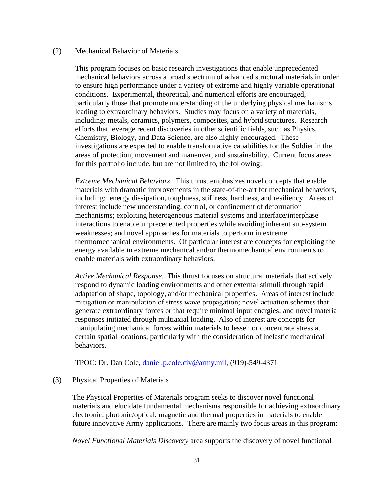#### (2) Mechanical Behavior of Materials

This program focuses on basic research investigations that enable unprecedented mechanical behaviors across a broad spectrum of advanced structural materials in order to ensure high performance under a variety of extreme and highly variable operational conditions. Experimental, theoretical, and numerical efforts are encouraged, particularly those that promote understanding of the underlying physical mechanisms leading to extraordinary behaviors. Studies may focus on a variety of materials, including: metals, ceramics, polymers, composites, and hybrid structures. Research efforts that leverage recent discoveries in other scientific fields, such as Physics, Chemistry, Biology, and Data Science, are also highly encouraged. These investigations are expected to enable transformative capabilities for the Soldier in the areas of protection, movement and maneuver, and sustainability. Current focus areas for this portfolio include, but are not limited to, the following:

*Extreme Mechanical Behaviors*. This thrust emphasizes novel concepts that enable materials with dramatic improvements in the state-of-the-art for mechanical behaviors, including: energy dissipation, toughness, stiffness, hardness, and resiliency. Areas of interest include new understanding, control, or confinement of deformation mechanisms; exploiting heterogeneous material systems and interface/interphase interactions to enable unprecedented properties while avoiding inherent sub-system weaknesses; and novel approaches for materials to perform in extreme thermomechanical environments. Of particular interest are concepts for exploiting the energy available in extreme mechanical and/or thermomechanical environments to enable materials with extraordinary behaviors.

*Active Mechanical Response*. This thrust focuses on structural materials that actively respond to dynamic loading environments and other external stimuli through rapid adaptation of shape, topology, and/or mechanical properties. Areas of interest include mitigation or manipulation of stress wave propagation; novel actuation schemes that generate extraordinary forces or that require minimal input energies; and novel material responses initiated through multiaxial loading. Also of interest are concepts for manipulating mechanical forces within materials to lessen or concentrate stress at certain spatial locations, particularly with the consideration of inelastic mechanical behaviors.

TPOC: Dr. Dan Cole, [daniel.p.cole.civ@army.mil,](mailto:daniel.p.cole.civ@mail.mil) (919)-549-4371

#### (3) Physical Properties of Materials

The Physical Properties of Materials program seeks to discover novel functional materials and elucidate fundamental mechanisms responsible for achieving extraordinary electronic, photonic/optical, magnetic and thermal properties in materials to enable future innovative Army applications. There are mainly two focus areas in this program:

*Novel Functional Materials Discovery* area supports the discovery of novel functional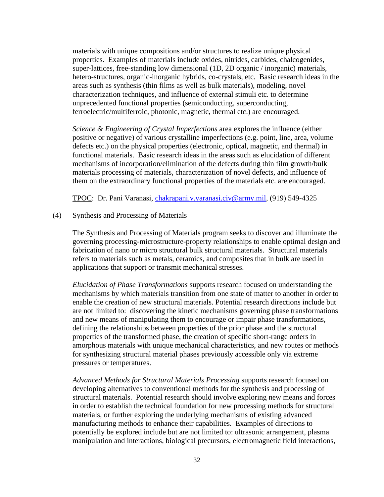materials with unique compositions and/or structures to realize unique physical properties. Examples of materials include oxides, nitrides, carbides, chalcogenides, super-lattices, free-standing low dimensional (1D, 2D organic / inorganic) materials, hetero-structures, organic-inorganic hybrids, co-crystals, etc. Basic research ideas in the areas such as synthesis (thin films as well as bulk materials), modeling, novel characterization techniques, and influence of external stimuli etc. to determine unprecedented functional properties (semiconducting, superconducting, ferroelectric/multiferroic, photonic, magnetic, thermal etc.) are encouraged.

*Science & Engineering of Crystal Imperfections* area explores the influence (either positive or negative) of various crystalline imperfections (e.g. point, line, area, volume defects etc.) on the physical properties (electronic, optical, magnetic, and thermal) in functional materials. Basic research ideas in the areas such as elucidation of different mechanisms of incorporation/elimination of the defects during thin film growth/bulk materials processing of materials, characterization of novel defects, and influence of them on the extraordinary functional properties of the materials etc. are encouraged.

TPOC: Dr. Pani Varanasi, [chakrapani.v.varanasi.civ@army.mil,](mailto:chakrapani.v.varanasi.civ@mail.mil) (919) 549-4325

#### (4) Synthesis and Processing of Materials

The Synthesis and Processing of Materials program seeks to discover and illuminate the governing processing-microstructure-property relationships to enable optimal design and fabrication of nano or micro structural bulk structural materials. Structural materials refers to materials such as metals, ceramics, and composites that in bulk are used in applications that support or transmit mechanical stresses.

*Elucidation of Phase Transformations* supports research focused on understanding the mechanisms by which materials transition from one state of matter to another in order to enable the creation of new structural materials. Potential research directions include but are not limited to: discovering the kinetic mechanisms governing phase transformations and new means of manipulating them to encourage or impair phase transformations, defining the relationships between properties of the prior phase and the structural properties of the transformed phase, the creation of specific short-range orders in amorphous materials with unique mechanical characteristics, and new routes or methods for synthesizing structural material phases previously accessible only via extreme pressures or temperatures.

*Advanced Methods for Structural Materials Processing* supports research focused on developing alternatives to conventional methods for the synthesis and processing of structural materials. Potential research should involve exploring new means and forces in order to establish the technical foundation for new processing methods for structural materials, or further exploring the underlying mechanisms of existing advanced manufacturing methods to enhance their capabilities. Examples of directions to potentially be explored include but are not limited to: ultrasonic arrangement, plasma manipulation and interactions, biological precursors, electromagnetic field interactions,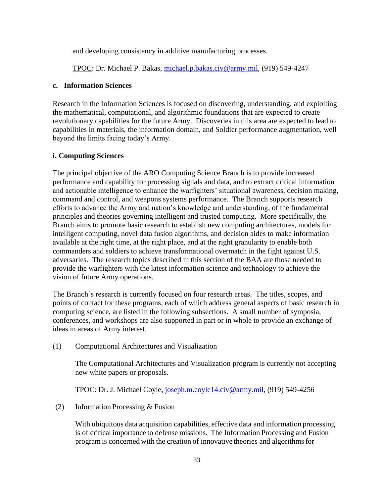and developing consistency in additive manufacturing processes.

TPOC: Dr. Michael P. Bakas, [michael.p.bakas.civ@army.mil,](mailto:michael.p.bakas.civ@mail.mil) (919) 549-4247

### **c. Information Sciences**

Research in the Information Sciences is focused on discovering, understanding, and exploiting the mathematical, computational, and algorithmic foundations that are expected to create revolutionary capabilities for the future Army. Discoveries in this area are expected to lead to capabilities in materials, the information domain, and Soldier performance augmentation, well beyond the limits facing today's Army.

# **i. Computing Sciences**

The principal objective of the ARO Computing Science Branch is to provide increased performance and capability for processing signals and data, and to extract critical information and actionable intelligence to enhance the warfighters' situational awareness, decision making, command and control, and weapons systems performance. The Branch supports research efforts to advance the Army and nation's knowledge and understanding, of the fundamental principles and theories governing intelligent and trusted computing. More specifically, the Branch aims to promote basic research to establish new computing architectures, models for intelligent computing, novel data fusion algorithms, and decision aides to make information available at the right time, at the right place, and at the right granularity to enable both commanders and soldiers to achieve transformational overmatch in the fight against U.S. adversaries. The research topics described in this section of the BAA are those needed to provide the warfighters with the latest information science and technology to achieve the vision of future Army operations.

The Branch's research is currently focused on four research areas. The titles, scopes, and points of contact for these programs, each of which address general aspects of basic research in computing science, are listed in the following subsections. A small number of symposia, conferences, and workshops are also supported in part or in whole to provide an exchange of ideas in areas of Army interest.

(1) Computational Architectures and Visualization

The Computational Architectures and Visualization program is currently not accepting new white papers or proposals.

TPOC: Dr. J. Michael Coyle, [joseph.m.coyle14.civ@army.mil, \(](mailto:joseph.m.coyle14.civ@mail.mil,)919) 549-4256

(2) Information Processing & Fusion

With ubiquitous data acquisition capabilities, effective data and information processing is of critical importance to defense missions. The Information Processing and Fusion program is concerned with the creation of innovative theories and algorithmsfor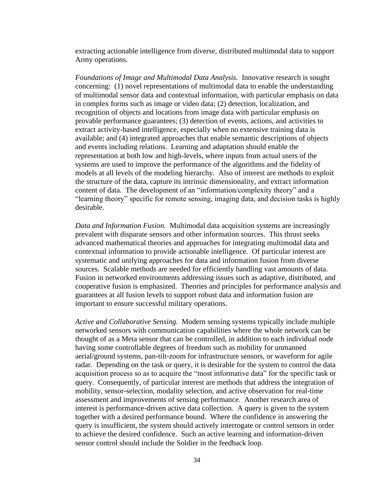extracting actionable intelligence from diverse, distributed multimodal data to support Army operations.

*Foundations of Image and Multimodal Data Analysis.* Innovative research is sought concerning: (1) novel representations of multimodal data to enable the understanding of multimodal sensor data and contextual information, with particular emphasis on data in complex forms such as image or video data; (2) detection, localization, and recognition of objects and locations from image data with particular emphasis on provable performance guarantees; (3) detection of events, actions, and activities to extract activity-based intelligence, especially when no extensive training data is available; and (4) integrated approaches that enable semantic descriptions of objects and events including relations. Learning and adaptation should enable the representation at both low and high-levels, where inputs from actual users of the systems are used to improve the performance of the algorithms and the fidelity of models at all levels of the modeling hierarchy. Also of interest are methods to exploit the structure of the data, capture its intrinsic dimensionality, and extract information content of data. The development of an "information/complexity theory" and a "learning theory" specific for remote sensing, imaging data, and decision tasks is highly desirable.

*Data and Information Fusion.* Multimodal data acquisition systems are increasingly prevalent with disparate sensors and other information sources. This thrust seeks advanced mathematical theories and approaches for integrating multimodal data and contextual information to provide actionable intelligence. Of particular interest are systematic and unifying approaches for data and information fusion from diverse sources. Scalable methods are needed for efficiently handling vast amounts of data. Fusion in networked environments addressing issues such as adaptive, distributed, and cooperative fusion is emphasized. Theories and principles for performance analysis and guarantees at all fusion levels to support robust data and information fusion are important to ensure successful military operations.

*Active and Collaborative Sensing.* Modern sensing systems typically include multiple networked sensors with communication capabilities where the whole network can be thought of as a Meta sensor that can be controlled, in addition to each individual node having some controllable degrees of freedom such as mobility for unmanned aerial/ground systems, pan-tilt-zoom for infrastructure sensors, or waveform for agile radar. Depending on the task or query, it is desirable for the system to control the data acquisition process so as to acquire the "most informative data" for the specific task or query. Consequently, of particular interest are methods that address the integration of mobility, sensor-selection, modality selection, and active observation for real-time assessment and improvements of sensing performance. Another research area of interest is performance-driven active data collection. A query is given to the system together with a desired performance bound. Where the confidence in answering the query is insufficient, the system should actively interrogate or control sensors in order to achieve the desired confidence. Such an active learning and information-driven sensor control should include the Soldier in the feedback loop.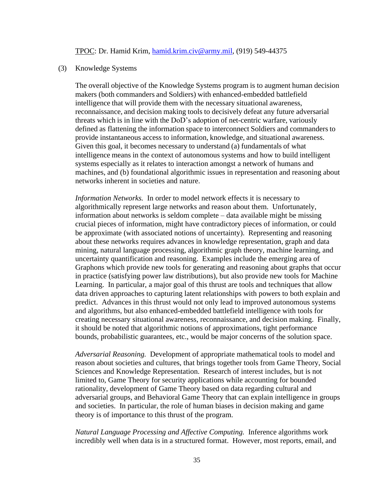TPOC: Dr. Hamid Krim, [hamid.krim.civ@army.mil,](mailto:hamid.krim.civ@mail.mil) (919) 549-44375

#### (3) Knowledge Systems

The overall objective of the Knowledge Systems program is to augment human decision makers (both commanders and Soldiers) with enhanced-embedded battlefield intelligence that will provide them with the necessary situational awareness, reconnaissance, and decision making tools to decisively defeat any future adversarial threats which is in line with the DoD's adoption of net-centric warfare, variously defined as flattening the information space to interconnect Soldiers and commanders to provide instantaneous access to information, knowledge, and situational awareness. Given this goal, it becomes necessary to understand (a) fundamentals of what intelligence means in the context of autonomous systems and how to build intelligent systems especially as it relates to interaction amongst a network of humans and machines, and (b) foundational algorithmic issues in representation and reasoning about networks inherent in societies and nature.

*Information Networks.* In order to model network effects it is necessary to algorithmically represent large networks and reason about them. Unfortunately, information about networks is seldom complete – data available might be missing crucial pieces of information, might have contradictory pieces of information, or could be approximate (with associated notions of uncertainty). Representing and reasoning about these networks requires advances in knowledge representation, graph and data mining, natural language processing, algorithmic graph theory, machine learning, and uncertainty quantification and reasoning. Examples include the emerging area of Graphons which provide new tools for generating and reasoning about graphs that occur in practice (satisfying power law distributions), but also provide new tools for Machine Learning. In particular, a major goal of this thrust are tools and techniques that allow data driven approaches to capturing latent relationships with powers to both explain and predict. Advances in this thrust would not only lead to improved autonomous systems and algorithms, but also enhanced-embedded battlefield intelligence with tools for creating necessary situational awareness, reconnaissance, and decision making. Finally, it should be noted that algorithmic notions of approximations, tight performance bounds, probabilistic guarantees, etc., would be major concerns of the solution space.

*Adversarial Reasoning.* Development of appropriate mathematical tools to model and reason about societies and cultures, that brings together tools from Game Theory, Social Sciences and Knowledge Representation. Research of interest includes, but is not limited to, Game Theory for security applications while accounting for bounded rationality, development of Game Theory based on data regarding cultural and adversarial groups, and Behavioral Game Theory that can explain intelligence in groups and societies. In particular, the role of human biases in decision making and game theory is of importance to this thrust of the program.

*Natural Language Processing and Affective Computing.* Inference algorithms work incredibly well when data is in a structured format. However, most reports, email, and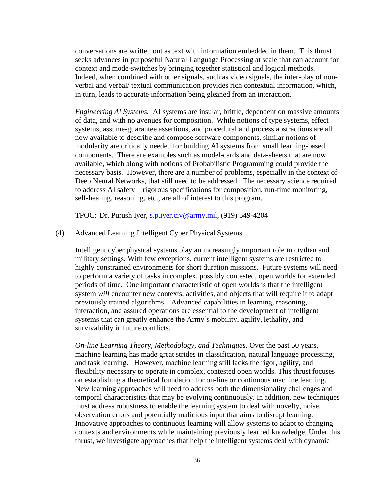conversations are written out as text with information embedded in them. This thrust seeks advances in purposeful Natural Language Processing at scale that can account for context and mode-switches by bringing together statistical and logical methods. Indeed, when combined with other signals, such as video signals, the inter-play of nonverbal and verbal/ textual communication provides rich contextual information, which, in turn, leads to accurate information being gleaned from an interaction.

*Engineering AI Systems.* AI systems are insular, brittle, dependent on massive amounts of data, and with no avenues for composition. While notions of type systems, effect systems, assume-guarantee assertions, and procedural and process abstractions are all now available to describe and compose software components, similar notions of modularity are critically needed for building AI systems from small learning-based components. There are examples such as model-cards and data-sheets that are now available, which along with notions of Probabilistic Programming could provide the necessary basis. However, there are a number of problems, especially in the context of Deep Neural Networks, that still need to be addressed. The necessary science required to address AI safety – rigorous specifications for composition, run-time monitoring, self-healing, reasoning, etc., are all of interest to this program.

TPOC: Dr. Purush Iyer, [s.p.iyer.civ@army.mil,](mailto:s.p.iyer.civ@mail.mil) (919) 549-4204

#### (4) Advanced Learning Intelligent Cyber Physical Systems

Intelligent cyber physical systems play an increasingly important role in civilian and military settings. With few exceptions, current intelligent systems are restricted to highly constrained environments for short duration missions. Future systems will need to perform a variety of tasks in complex, possibly contested, open worlds for extended periods of time. One important characteristic of open worlds is that the intelligent system *will* encounter new contexts, activities, and objects that will require it to adapt previously trained algorithms. Advanced capabilities in learning, reasoning, interaction, and assured operations are essential to the development of intelligent systems that can greatly enhance the Army's mobility, agility, lethality, and survivability in future conflicts.

*On-line Learning Theory, Methodology, and Techniques*. Over the past 50 years, machine learning has made great strides in classification, natural language processing, and task learning. However, machine learning still lacks the rigor, agility, and flexibility necessary to operate in complex, contested open worlds. This thrust focuses on establishing a theoretical foundation for on-line or continuous machine learning. New learning approaches will need to address both the dimensionality challenges and temporal characteristics that may be evolving continuously. In addition, new techniques must address robustness to enable the learning system to deal with novelty, noise, observation errors and potentially malicious input that aims to disrupt learning. Innovative approaches to continuous learning will allow systems to adapt to changing contexts and environments while maintaining previously learned knowledge. Under this thrust, we investigate approaches that help the intelligent systems deal with dynamic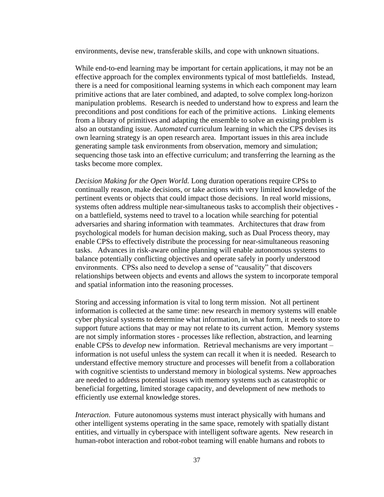environments, devise new, transferable skills, and cope with unknown situations.

While end-to-end learning may be important for certain applications, it may not be an effective approach for the complex environments typical of most battlefields. Instead, there is a need for compositional learning systems in which each component may learn primitive actions that are later combined, and adapted, to solve complex long-horizon manipulation problems. Research is needed to understand how to express and learn the preconditions and post conditions for each of the primitive actions. Linking elements from a library of primitives and adapting the ensemble to solve an existing problem is also an outstanding issue. A*utomated* curriculum learning in which the CPS devises its own learning strategy is an open research area. Important issues in this area include generating sample task environments from observation, memory and simulation; sequencing those task into an effective curriculum; and transferring the learning as the tasks become more complex.

*Decision Making for the Open World.* Long duration operations require CPSs to continually reason, make decisions, or take actions with very limited knowledge of the pertinent events or objects that could impact those decisions. In real world missions, systems often address multiple near-simultaneous tasks to accomplish their objectives on a battlefield, systems need to travel to a location while searching for potential adversaries and sharing information with teammates. Architectures that draw from psychological models for human decision making, such as Dual Process theory, may enable CPSs to effectively distribute the processing for near-simultaneous reasoning tasks. Advances in risk-aware online planning will enable autonomous systems to balance potentially conflicting objectives and operate safely in poorly understood environments. CPSs also need to develop a sense of "causality" that discovers relationships between objects and events and allows the system to incorporate temporal and spatial information into the reasoning processes.

Storing and accessing information is vital to long term mission. Not all pertinent information is collected at the same time: new research in memory systems will enable cyber physical systems to determine what information, in what form, it needs to store to support future actions that may or may not relate to its current action. Memory systems are not simply information stores - processes like reflection, abstraction, and learning enable CPSs to *develop* new information. Retrieval mechanisms are very important – information is not useful unless the system can recall it when it is needed. Research to understand effective memory structure and processes will benefit from a collaboration with cognitive scientists to understand memory in biological systems. New approaches are needed to address potential issues with memory systems such as catastrophic or beneficial forgetting, limited storage capacity, and development of new methods to efficiently use external knowledge stores.

*Interaction*. Future autonomous systems must interact physically with humans and other intelligent systems operating in the same space, remotely with spatially distant entities, and virtually in cyberspace with intelligent software agents. New research in human-robot interaction and robot-robot teaming will enable humans and robots to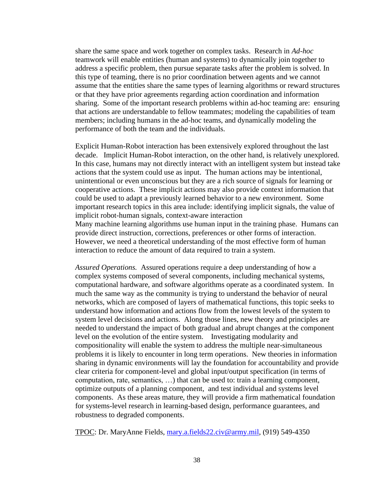share the same space and work together on complex tasks. Research in *Ad-hoc* teamwork will enable entities (human and systems) to dynamically join together to address a specific problem, then pursue separate tasks after the problem is solved. In this type of teaming, there is no prior coordination between agents and we cannot assume that the entities share the same types of learning algorithms or reward structures or that they have prior agreements regarding action coordination and information sharing. Some of the important research problems within ad-hoc teaming are: ensuring that actions are understandable to fellow teammates; modeling the capabilities of team members; including humans in the ad-hoc teams, and dynamically modeling the performance of both the team and the individuals.

Explicit Human-Robot interaction has been extensively explored throughout the last decade. Implicit Human-Robot interaction, on the other hand, is relatively unexplored. In this case, humans may not directly interact with an intelligent system but instead take actions that the system could use as input. The human actions may be intentional, unintentional or even unconscious but they are a rich source of signals for learning or cooperative actions. These implicit actions may also provide context information that could be used to adapt a previously learned behavior to a new environment. Some important research topics in this area include: identifying implicit signals, the value of implicit robot-human signals, context-aware interaction Many machine learning algorithms use human input in the training phase. Humans can provide direct instruction, corrections, preferences or other forms of interaction. However, we need a theoretical understanding of the most effective form of human interaction to reduce the amount of data required to train a system.

*Assured Operations.* Assured operations require a deep understanding of how a complex systems composed of several components, including mechanical systems, computational hardware, and software algorithms operate as a coordinated system. In much the same way as the community is trying to understand the behavior of neural networks, which are composed of layers of mathematical functions, this topic seeks to understand how information and actions flow from the lowest levels of the system to system level decisions and actions. Along those lines, new theory and principles are needed to understand the impact of both gradual and abrupt changes at the component level on the evolution of the entire system. Investigating modularity and compositionality will enable the system to address the multiple near-simultaneous problems it is likely to encounter in long term operations. New theories in information sharing in dynamic environments will lay the foundation for accountability and provide clear criteria for component-level and global input/output specification (in terms of computation, rate, semantics, …) that can be used to: train a learning component, optimize outputs of a planning component, and test individual and systems level components. As these areas mature, they will provide a firm mathematical foundation for systems-level research in learning-based design, performance guarantees, and robustness to degraded components.

TPOC: Dr. MaryAnne Fields, [mary.a.fields22.civ@army.mil,](mailto:mary.a.fields22.civ@mail.mil) (919) 549-4350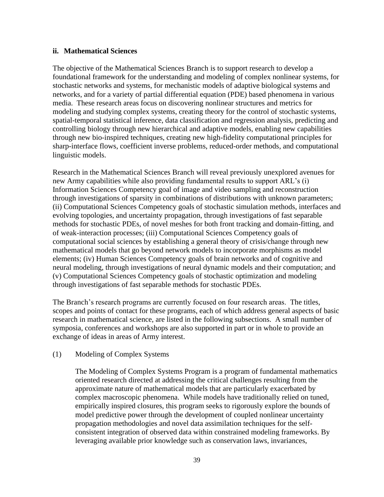### **ii. Mathematical Sciences**

The objective of the Mathematical Sciences Branch is to support research to develop a foundational framework for the understanding and modeling of complex nonlinear systems, for stochastic networks and systems, for mechanistic models of adaptive biological systems and networks, and for a variety of partial differential equation (PDE) based phenomena in various media. These research areas focus on discovering nonlinear structures and metrics for modeling and studying complex systems, creating theory for the control of stochastic systems, spatial-temporal statistical inference, data classification and regression analysis, predicting and controlling biology through new hierarchical and adaptive models, enabling new capabilities through new bio-inspired techniques, creating new high-fidelity computational principles for sharp-interface flows, coefficient inverse problems, reduced-order methods, and computational linguistic models.

Research in the Mathematical Sciences Branch will reveal previously unexplored avenues for new Army capabilities while also providing fundamental results to support ARL's (i) Information Sciences Competency goal of image and video sampling and reconstruction through investigations of sparsity in combinations of distributions with unknown parameters; (ii) Computational Sciences Competency goals of stochastic simulation methods, interfaces and evolving topologies, and uncertainty propagation, through investigations of fast separable methods for stochastic PDEs, of novel meshes for both front tracking and domain-fitting, and of weak-interaction processes; (iii) Computational Sciences Competency goals of computational social sciences by establishing a general theory of crisis/change through new mathematical models that go beyond network models to incorporate morphisms as model elements; (iv) Human Sciences Competency goals of brain networks and of cognitive and neural modeling, through investigations of neural dynamic models and their computation; and (v) Computational Sciences Competency goals of stochastic optimization and modeling through investigations of fast separable methods for stochastic PDEs.

The Branch's research programs are currently focused on four research areas. The titles, scopes and points of contact for these programs, each of which address general aspects of basic research in mathematical science, are listed in the following subsections. A small number of symposia, conferences and workshops are also supported in part or in whole to provide an exchange of ideas in areas of Army interest.

# (1) Modeling of Complex Systems

The Modeling of Complex Systems Program is a program of fundamental mathematics oriented research directed at addressing the critical challenges resulting from the approximate nature of mathematical models that are particularly exacerbated by complex macroscopic phenomena. While models have traditionally relied on tuned, empirically inspired closures, this program seeks to rigorously explore the bounds of model predictive power through the development of coupled nonlinear uncertainty propagation methodologies and novel data assimilation techniques for the selfconsistent integration of observed data within constrained modeling frameworks. By leveraging available prior knowledge such as conservation laws, invariances,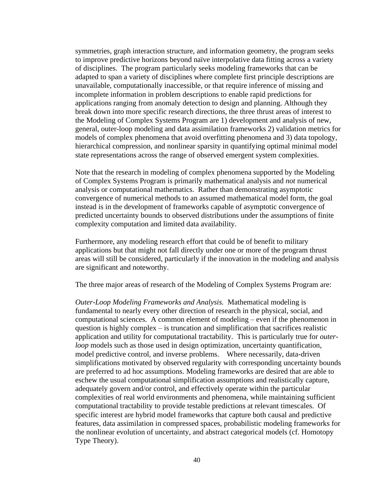symmetries, graph interaction structure, and information geometry, the program seeks to improve predictive horizons beyond naïve interpolative data fitting across a variety of disciplines. The program particularly seeks modeling frameworks that can be adapted to span a variety of disciplines where complete first principle descriptions are unavailable, computationally inaccessible, or that require inference of missing and incomplete information in problem descriptions to enable rapid predictions for applications ranging from anomaly detection to design and planning. Although they break down into more specific research directions, the three thrust areas of interest to the Modeling of Complex Systems Program are 1) development and analysis of new, general, outer-loop modeling and data assimilation frameworks 2) validation metrics for models of complex phenomena that avoid overfitting phenomena and 3) data topology, hierarchical compression, and nonlinear sparsity in quantifying optimal minimal model state representations across the range of observed emergent system complexities.

Note that the research in modeling of complex phenomena supported by the Modeling of Complex Systems Program is primarily mathematical analysis and *not* numerical analysis or computational mathematics. Rather than demonstrating asymptotic convergence of numerical methods to an assumed mathematical model form, the goal instead is in the development of frameworks capable of asymptotic convergence of predicted uncertainty bounds to observed distributions under the assumptions of finite complexity computation and limited data availability.

Furthermore, any modeling research effort that could be of benefit to military applications but that might not fall directly under one or more of the program thrust areas will still be considered, particularly if the innovation in the modeling and analysis are significant and noteworthy.

The three major areas of research of the Modeling of Complex Systems Program are:

*Outer-Loop Modeling Frameworks and Analysis.* Mathematical modeling is fundamental to nearly every other direction of research in the physical, social, and computational sciences. A common element of modeling – even if the phenomenon in question is highly complex – is truncation and simplification that sacrifices realistic application and utility for computational tractability. This is particularly true for *outerloop* models such as those used in design optimization, uncertainty quantification, model predictive control, and inverse problems. Where necessarily, data-driven simplifications motivated by observed regularity with corresponding uncertainty bounds are preferred to ad hoc assumptions. Modeling frameworks are desired that are able to eschew the usual computational simplification assumptions and realistically capture, adequately govern and/or control, and effectively operate within the particular complexities of real world environments and phenomena, while maintaining sufficient computational tractability to provide testable predictions at relevant timescales. Of specific interest are hybrid model frameworks that capture both causal and predictive features, data assimilation in compressed spaces, probabilistic modeling frameworks for the nonlinear evolution of uncertainty, and abstract categorical models (cf. Homotopy Type Theory).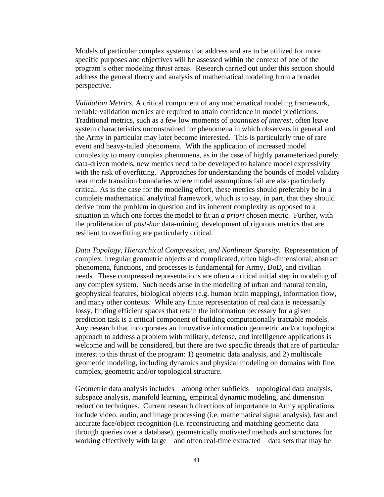Models of particular complex systems that address and are to be utilized for more specific purposes and objectives will be assessed within the context of one of the program's other modeling thrust areas. Research carried out under this section should address the general theory and analysis of mathematical modeling from a broader perspective.

*Validation Metrics.* A critical component of any mathematical modeling framework, reliable validation metrics are required to attain confidence in model predictions. Traditional metrics, such as a few low moments of *quantities of interest*, often leave system characteristics unconstrained for phenomena in which observers in general and the Army in particular may later become interested. This is particularly true of rare event and heavy-tailed phenomena. With the application of increased model complexity to many complex phenomena, as in the case of highly parameterized purely data-driven models, new metrics need to be developed to balance model expressivity with the risk of overfitting. Approaches for understanding the bounds of model validity near mode transition boundaries where model assumptions fail are also particularly critical. As is the case for the modeling effort, these metrics should preferably be in a complete mathematical analytical framework, which is to say, in part, that they should derive from the problem in question and its inherent complexity as opposed to a situation in which one forces the model to fit an *a priori* chosen metric. Further, with the proliferation of *post-hoc* data-mining, development of rigorous metrics that are resilient to overfitting are particularly critical.

*Data Topology, Hierarchical Compression, and Nonlinear Sparsity.* Representation of complex, irregular geometric objects and complicated, often high-dimensional, abstract phenomena, functions, and processes is fundamental for Army, DoD, and civilian needs. These compressed representations are often a critical initial step in modeling of any complex system. Such needs arise in the modeling of urban and natural terrain, geophysical features, biological objects (e.g. human brain mapping), information flow, and many other contexts. While any finite representation of real data is necessarily lossy, finding efficient spaces that retain the information necessary for a given prediction task is a critical component of building computationally tractable models. Any research that incorporates an innovative information geometric and/or topological approach to address a problem with military, defense, and intelligence applications is welcome and will be considered, but there are two specific threads that are of particular interest to this thrust of the program: 1) geometric data analysis, and 2) multiscale geometric modeling, including dynamics and physical modeling on domains with fine, complex, geometric and/or topological structure.

Geometric data analysis includes – among other subfields – topological data analysis, subspace analysis, manifold learning, empirical dynamic modeling, and dimension reduction techniques. Current research directions of importance to Army applications include video, audio, and image processing (i.e. mathematical signal analysis), fast and accurate face/object recognition (i.e. reconstructing and matching geometric data through queries over a database), geometrically motivated methods and structures for working effectively with large – and often real-time extracted – data sets that may be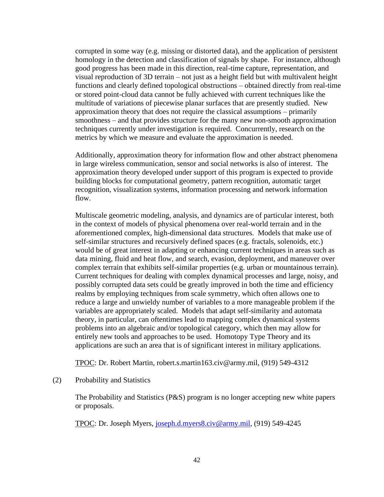corrupted in some way (e.g. missing or distorted data), and the application of persistent homology in the detection and classification of signals by shape. For instance, although good progress has been made in this direction, real-time capture, representation, and visual reproduction of 3D terrain – not just as a height field but with multivalent height functions and clearly defined topological obstructions – obtained directly from real-time or stored point-cloud data cannot be fully achieved with current techniques like the multitude of variations of piecewise planar surfaces that are presently studied. New approximation theory that does not require the classical assumptions – primarily smoothness – and that provides structure for the many new non-smooth approximation techniques currently under investigation is required. Concurrently, research on the metrics by which we measure and evaluate the approximation is needed.

Additionally, approximation theory for information flow and other abstract phenomena in large wireless communication, sensor and social networks is also of interest. The approximation theory developed under support of this program is expected to provide building blocks for computational geometry, pattern recognition, automatic target recognition, visualization systems, information processing and network information flow.

Multiscale geometric modeling, analysis, and dynamics are of particular interest, both in the context of models of physical phenomena over real-world terrain and in the aforementioned complex, high-dimensional data structures. Models that make use of self-similar structures and recursively defined spaces (e.g. fractals, solenoids, etc.) would be of great interest in adapting or enhancing current techniques in areas such as data mining, fluid and heat flow, and search, evasion, deployment, and maneuver over complex terrain that exhibits self-similar properties (e.g. urban or mountainous terrain). Current techniques for dealing with complex dynamical processes and large, noisy, and possibly corrupted data sets could be greatly improved in both the time and efficiency realms by employing techniques from scale symmetry, which often allows one to reduce a large and unwieldy number of variables to a more manageable problem if the variables are appropriately scaled. Models that adapt self-similarity and automata theory, in particular, can oftentimes lead to mapping complex dynamical systems problems into an algebraic and/or topological category, which then may allow for entirely new tools and approaches to be used. Homotopy Type Theory and its applications are such an area that is of significant interest in military applications.

TPOC: Dr. Robert Martin, robert.s.martin163.civ@army.mil, (919) 549-4312

(2) Probability and Statistics

The Probability and Statistics (P&S) program is no longer accepting new white papers or proposals.

TPOC: Dr. Joseph Myers, [joseph.d.myers8.civ@army.mil,](mailto:joseph.d.myers8.civ@mail.mil) (919) 549-4245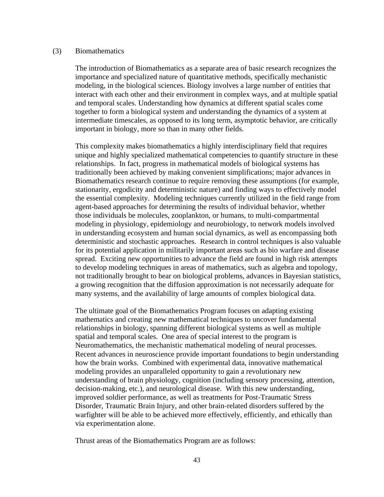#### (3) Biomathematics

The introduction of Biomathematics as a separate area of basic research recognizes the importance and specialized nature of quantitative methods, specifically mechanistic modeling, in the biological sciences. Biology involves a large number of entities that interact with each other and their environment in complex ways, and at multiple spatial and temporal scales. Understanding how dynamics at different spatial scales come together to form a biological system and understanding the dynamics of a system at intermediate timescales, as opposed to its long term, asymptotic behavior, are critically important in biology, more so than in many other fields.

This complexity makes biomathematics a highly interdisciplinary field that requires unique and highly specialized mathematical competencies to quantify structure in these relationships. In fact, progress in mathematical models of biological systems has traditionally been achieved by making convenient simplifications; major advances in Biomathematics research continue to require removing these assumptions (for example, stationarity, ergodicity and deterministic nature) and finding ways to effectively model the essential complexity. Modeling techniques currently utilized in the field range from agent-based approaches for determining the results of individual behavior, whether those individuals be molecules, zooplankton, or humans, to multi-compartmental modeling in physiology, epidemiology and neurobiology, to network models involved in understanding ecosystem and human social dynamics, as well as encompassing both deterministic and stochastic approaches. Research in control techniques is also valuable for its potential application in militarily important areas such as bio warfare and disease spread. Exciting new opportunities to advance the field are found in high risk attempts to develop modeling techniques in areas of mathematics, such as algebra and topology, not traditionally brought to bear on biological problems, advances in Bayesian statistics, a growing recognition that the diffusion approximation is not necessarily adequate for many systems, and the availability of large amounts of complex biological data.

The ultimate goal of the Biomathematics Program focuses on adapting existing mathematics and creating new mathematical techniques to uncover fundamental relationships in biology, spanning different biological systems as well as multiple spatial and temporal scales. One area of special interest to the program is Neuromathematics, the mechanistic mathematical modeling of neural processes. Recent advances in neuroscience provide important foundations to begin understanding how the brain works. Combined with experimental data, innovative mathematical modeling provides an unparalleled opportunity to gain a revolutionary new understanding of brain physiology, cognition (including sensory processing, attention, decision-making, etc.), and neurological disease. With this new understanding, improved soldier performance, as well as treatments for Post-Traumatic Stress Disorder, Traumatic Brain Injury, and other brain-related disorders suffered by the warfighter will be able to be achieved more effectively, efficiently, and ethically than via experimentation alone.

Thrust areas of the Biomathematics Program are as follows: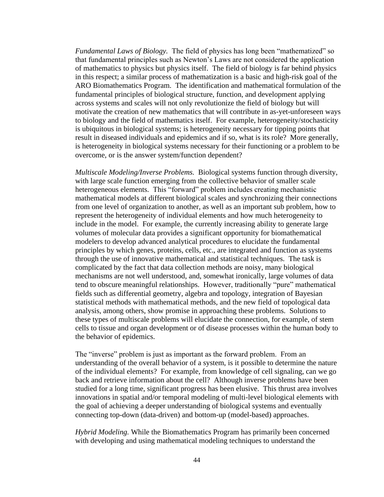*Fundamental Laws of Biology.* The field of physics has long been "mathematized" so that fundamental principles such as Newton's Laws are not considered the application of mathematics to physics but physics itself. The field of biology is far behind physics in this respect; a similar process of mathematization is a basic and high-risk goal of the ARO Biomathematics Program. The identification and mathematical formulation of the fundamental principles of biological structure, function, and development applying across systems and scales will not only revolutionize the field of biology but will motivate the creation of new mathematics that will contribute in as-yet-unforeseen ways to biology and the field of mathematics itself. For example, heterogeneity/stochasticity is ubiquitous in biological systems; is heterogeneity necessary for tipping points that result in diseased individuals and epidemics and if so, what is its role? More generally, is heterogeneity in biological systems necessary for their functioning or a problem to be overcome, or is the answer system/function dependent?

*Multiscale Modeling/Inverse Problems.* Biological systems function through diversity, with large scale function emerging from the collective behavior of smaller scale heterogeneous elements. This "forward" problem includes creating mechanistic mathematical models at different biological scales and synchronizing their connections from one level of organization to another, as well as an important sub problem, how to represent the heterogeneity of individual elements and how much heterogeneity to include in the model. For example, the currently increasing ability to generate large volumes of molecular data provides a significant opportunity for biomathematical modelers to develop advanced analytical procedures to elucidate the fundamental principles by which genes, proteins, cells, etc., are integrated and function as systems through the use of innovative mathematical and statistical techniques. The task is complicated by the fact that data collection methods are noisy, many biological mechanisms are not well understood, and, somewhat ironically, large volumes of data tend to obscure meaningful relationships. However, traditionally "pure" mathematical fields such as differential geometry, algebra and topology, integration of Bayesian statistical methods with mathematical methods, and the new field of topological data analysis, among others, show promise in approaching these problems. Solutions to these types of multiscale problems will elucidate the connection, for example, of stem cells to tissue and organ development or of disease processes within the human body to the behavior of epidemics.

The "inverse" problem is just as important as the forward problem. From an understanding of the overall behavior of a system, is it possible to determine the nature of the individual elements? For example, from knowledge of cell signaling, can we go back and retrieve information about the cell? Although inverse problems have been studied for a long time, significant progress has been elusive. This thrust area involves innovations in spatial and/or temporal modeling of multi-level biological elements with the goal of achieving a deeper understanding of biological systems and eventually connecting top-down (data-driven) and bottom-up (model-based) approaches.

*Hybrid Modeling.* While the Biomathematics Program has primarily been concerned with developing and using mathematical modeling techniques to understand the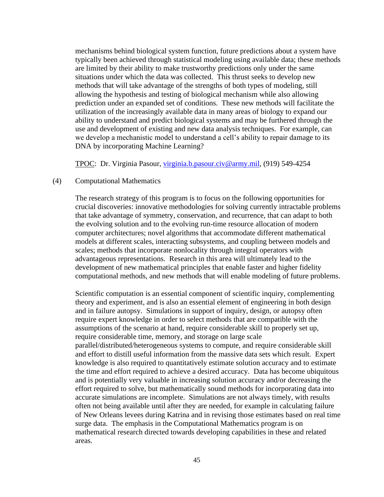mechanisms behind biological system function, future predictions about a system have typically been achieved through statistical modeling using available data; these methods are limited by their ability to make trustworthy predictions only under the same situations under which the data was collected. This thrust seeks to develop new methods that will take advantage of the strengths of both types of modeling, still allowing the hypothesis and testing of biological mechanism while also allowing prediction under an expanded set of conditions. These new methods will facilitate the utilization of the increasingly available data in many areas of biology to expand our ability to understand and predict biological systems and may be furthered through the use and development of existing and new data analysis techniques. For example, can we develop a mechanistic model to understand a cell's ability to repair damage to its DNA by incorporating Machine Learning?

TPOC: Dr. Virginia Pasour, [virginia.b.pasour.civ@army.mil,](file:///C:/Users/brian.ashford/AppData/Local/Microsoft/Windows/INetCache/Content.Outlook/ITJA12AF/virginia.b.pasour.civ@mail.mil) (919) 549-4254

### (4) Computational Mathematics

The research strategy of this program is to focus on the following opportunities for crucial discoveries: innovative methodologies for solving currently intractable problems that take advantage of symmetry, conservation, and recurrence, that can adapt to both the evolving solution and to the evolving run-time resource allocation of modern computer architectures; novel algorithms that accommodate different mathematical models at different scales, interacting subsystems, and coupling between models and scales; methods that incorporate nonlocality through integral operators with advantageous representations. Research in this area will ultimately lead to the development of new mathematical principles that enable faster and higher fidelity computational methods, and new methods that will enable modeling of future problems.

Scientific computation is an essential component of scientific inquiry, complementing theory and experiment, and is also an essential element of engineering in both design and in failure autopsy. Simulations in support of inquiry, design, or autopsy often require expert knowledge in order to select methods that are compatible with the assumptions of the scenario at hand, require considerable skill to properly set up, require considerable time, memory, and storage on large scale parallel/distributed/heterogeneous systems to compute, and require considerable skill and effort to distill useful information from the massive data sets which result. Expert knowledge is also required to quantitatively estimate solution accuracy and to estimate the time and effort required to achieve a desired accuracy. Data has become ubiquitous and is potentially very valuable in increasing solution accuracy and/or decreasing the effort required to solve, but mathematically sound methods for incorporating data into accurate simulations are incomplete. Simulations are not always timely, with results often not being available until after they are needed, for example in calculating failure of New Orleans levees during Katrina and in revising those estimates based on real time surge data. The emphasis in the Computational Mathematics program is on mathematical research directed towards developing capabilities in these and related areas.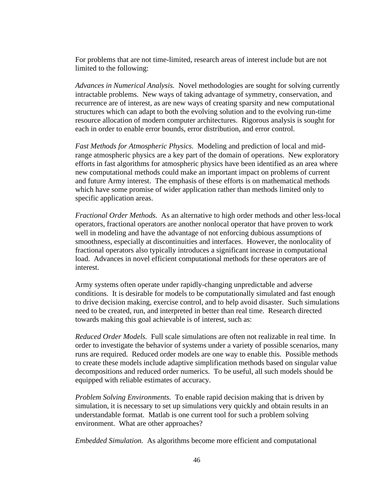For problems that are not time-limited, research areas of interest include but are not limited to the following:

*Advances in Numerical Analysis.* Novel methodologies are sought for solving currently intractable problems. New ways of taking advantage of symmetry, conservation, and recurrence are of interest, as are new ways of creating sparsity and new computational structures which can adapt to both the evolving solution and to the evolving run-time resource allocation of modern computer architectures. Rigorous analysis is sought for each in order to enable error bounds, error distribution, and error control.

*Fast Methods for Atmospheric Physics.* Modeling and prediction of local and midrange atmospheric physics are a key part of the domain of operations. New exploratory efforts in fast algorithms for atmospheric physics have been identified as an area where new computational methods could make an important impact on problems of current and future Army interest. The emphasis of these efforts is on mathematical methods which have some promise of wider application rather than methods limited only to specific application areas.

*Fractional Order Methods.* As an alternative to high order methods and other less-local operators, fractional operators are another nonlocal operator that have proven to work well in modeling and have the advantage of not enforcing dubious assumptions of smoothness, especially at discontinuities and interfaces. However, the nonlocality of fractional operators also typically introduces a significant increase in computational load. Advances in novel efficient computational methods for these operators are of interest.

Army systems often operate under rapidly-changing unpredictable and adverse conditions. It is desirable for models to be computationally simulated and fast enough to drive decision making, exercise control, and to help avoid disaster. Such simulations need to be created, run, and interpreted in better than real time. Research directed towards making this goal achievable is of interest, such as:

*Reduced Order Models.* Full scale simulations are often not realizable in real time. In order to investigate the behavior of systems under a variety of possible scenarios, many runs are required. Reduced order models are one way to enable this. Possible methods to create these models include adaptive simplification methods based on singular value decompositions and reduced order numerics. To be useful, all such models should be equipped with reliable estimates of accuracy.

*Problem Solving Environments.* To enable rapid decision making that is driven by simulation, it is necessary to set up simulations very quickly and obtain results in an understandable format. Matlab is one current tool for such a problem solving environment. What are other approaches?

*Embedded Simulation.* As algorithms become more efficient and computational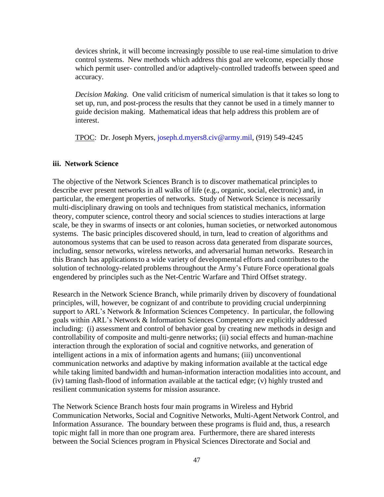devices shrink, it will become increasingly possible to use real-time simulation to drive control systems. New methods which address this goal are welcome, especially those which permit user- controlled and/or adaptively-controlled tradeoffs between speed and accuracy.

*Decision Making.* One valid criticism of numerical simulation is that it takes so long to set up, run, and post-process the results that they cannot be used in a timely manner to guide decision making. Mathematical ideas that help address this problem are of interest.

TPOC: Dr. Joseph Myers, joseph.d.myers8.civ@army.mil, (919) 549-4245

### **iii. Network Science**

The objective of the Network Sciences Branch is to discover mathematical principles to describe ever present networks in all walks of life (e.g., organic, social, electronic) and, in particular, the emergent properties of networks. Study of Network Science is necessarily multi-disciplinary drawing on tools and techniques from statistical mechanics, information theory, computer science, control theory and social sciences to studies interactions at large scale, be they in swarms of insects or ant colonies, human societies, or networked autonomous systems. The basic principles discovered should, in turn, lead to creation of algorithms and autonomous systems that can be used to reason across data generated from disparate sources, including, sensor networks, wireless networks, and adversarial human networks. Research in this Branch has applications to a wide variety of developmental efforts and contributes to the solution of technology-related problems throughout the Army's Future Force operational goals engendered by principles such as the Net-Centric Warfare and Third Offset strategy.

Research in the Network Science Branch, while primarily driven by discovery of foundational principles, will, however, be cognizant of and contribute to providing crucial underpinning support to ARL's Network & Information Sciences Competency. In particular, the following goals within ARL's Network & Information Sciences Competency are explicitly addressed including: (i) assessment and control of behavior goal by creating new methods in design and controllability of composite and multi-genre networks; (ii) social effects and human-machine interaction through the exploration of social and cognitive networks, and generation of intelligent actions in a mix of information agents and humans; (iii) unconventional communication networks and adaptive by making information available at the tactical edge while taking limited bandwidth and human-information interaction modalities into account, and (iv) taming flash-flood of information available at the tactical edge; (v) highly trusted and resilient communication systems for mission assurance.

The Network Science Branch hosts four main programs in Wireless and Hybrid Communication Networks, Social and Cognitive Networks, Multi-Agent Network Control, and Information Assurance. The boundary between these programs is fluid and, thus, a research topic might fall in more than one program area. Furthermore, there are shared interests between the Social Sciences program in Physical Sciences Directorate and Social and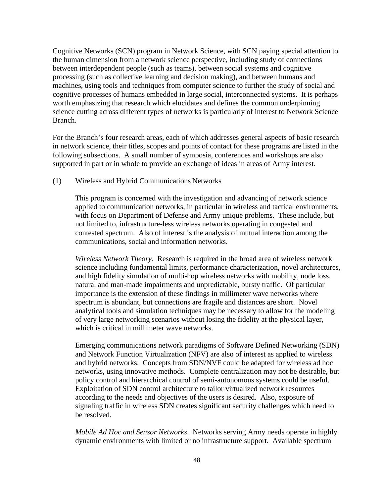Cognitive Networks (SCN) program in Network Science, with SCN paying special attention to the human dimension from a network science perspective, including study of connections between interdependent people (such as teams), between social systems and cognitive processing (such as collective learning and decision making), and between humans and machines, using tools and techniques from computer science to further the study of social and cognitive processes of humans embedded in large social, interconnected systems. It is perhaps worth emphasizing that research which elucidates and defines the common underpinning science cutting across different types of networks is particularly of interest to Network Science Branch.

For the Branch's four research areas, each of which addresses general aspects of basic research in network science, their titles, scopes and points of contact for these programs are listed in the following subsections. A small number of symposia, conferences and workshops are also supported in part or in whole to provide an exchange of ideas in areas of Army interest.

### (1) Wireless and Hybrid Communications Networks

This program is concerned with the investigation and advancing of network science applied to communication networks, in particular in wireless and tactical environments, with focus on Department of Defense and Army unique problems. These include, but not limited to, infrastructure-less wireless networks operating in congested and contested spectrum. Also of interest is the analysis of mutual interaction among the communications, social and information networks.

*Wireless Network Theory*. Research is required in the broad area of wireless network science including fundamental limits, performance characterization, novel architectures, and high fidelity simulation of multi-hop wireless networks with mobility, node loss, natural and man-made impairments and unpredictable, bursty traffic. Of particular importance is the extension of these findings in millimeter wave networks where spectrum is abundant, but connections are fragile and distances are short. Novel analytical tools and simulation techniques may be necessary to allow for the modeling of very large networking scenarios without losing the fidelity at the physical layer, which is critical in millimeter wave networks.

Emerging communications network paradigms of Software Defined Networking (SDN) and Network Function Virtualization (NFV) are also of interest as applied to wireless and hybrid networks. Concepts from SDN/NVF could be adapted for wireless ad hoc networks, using innovative methods. Complete centralization may not be desirable, but policy control and hierarchical control of semi-autonomous systems could be useful. Exploitation of SDN control architecture to tailor virtualized network resources according to the needs and objectives of the users is desired. Also, exposure of signaling traffic in wireless SDN creates significant security challenges which need to be resolved.

*Mobile Ad Hoc and Sensor Networks*. Networks serving Army needs operate in highly dynamic environments with limited or no infrastructure support. Available spectrum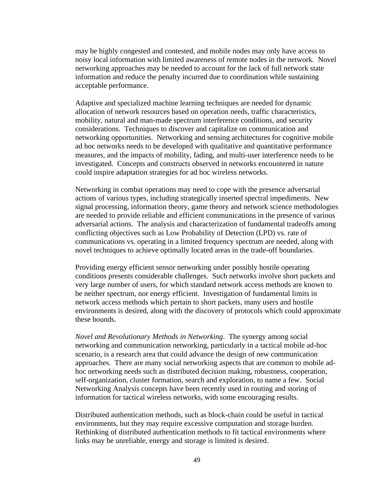may be highly congested and contested, and mobile nodes may only have access to noisy local information with limited awareness of remote nodes in the network. Novel networking approaches may be needed to account for the lack of full network state information and reduce the penalty incurred due to coordination while sustaining acceptable performance.

Adaptive and specialized machine learning techniques are needed for dynamic allocation of network resources based on operation needs, traffic characteristics, mobility, natural and man-made spectrum interference conditions, and security considerations. Techniques to discover and capitalize on communication and networking opportunities. Networking and sensing architectures for cognitive mobile ad hoc networks needs to be developed with qualitative and quantitative performance measures, and the impacts of mobility, fading, and multi-user interference needs to be investigated. Concepts and constructs observed in networks encountered in nature could inspire adaptation strategies for ad hoc wireless networks.

Networking in combat operations may need to cope with the presence adversarial actions of various types, including strategically inserted spectral impediments. New signal processing, information theory, game theory and network science methodologies are needed to provide reliable and efficient communications in the presence of various adversarial actions. The analysis and characterization of fundamental tradeoffs among conflicting objectives such as Low Probability of Detection (LPD) vs. rate of communications vs. operating in a limited frequency spectrum are needed, along with novel techniques to achieve optimally located areas in the trade-off boundaries.

Providing energy efficient sensor networking under possibly hostile operating conditions presents considerable challenges. Such networks involve short packets and very large number of users, for which standard network access methods are known to be neither spectrum, nor energy efficient. Investigation of fundamental limits in network access methods which pertain to short packets, many users and hostile environments is desired, along with the discovery of protocols which could approximate these bounds.

*Novel and Revolutionary Methods in Networking*. The synergy among social networking and communication networking, particularly in a tactical mobile ad-hoc scenario, is a research area that could advance the design of new communication approaches. There are many social networking aspects that are common to mobile adhoc networking needs such as distributed decision making, robustness, cooperation, self-organization, cluster formation, search and exploration, to name a few. Social Networking Analysis concepts have been recently used in routing and storing of information for tactical wireless networks, with some encouraging results.

Distributed authentication methods, such as block-chain could be useful in tactical environments, but they may require excessive computation and storage burden. Rethinking of distributed authentication methods to fit tactical environments where links may be unreliable, energy and storage is limited is desired.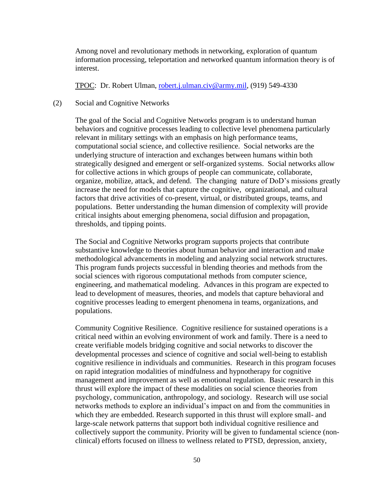Among novel and revolutionary methods in networking, exploration of quantum information processing, teleportation and networked quantum information theory is of interest.

TPOC: Dr. Robert Ulman, [robert.j.ulman.civ@army.mil,](mailto:robert.j.ulman.civ@mail.mil) (919) 549-4330

#### (2) Social and Cognitive Networks

 The goal of the Social and Cognitive Networks program is to understand human behaviors and cognitive processes leading to collective level phenomena particularly relevant in military settings with an emphasis on high performance teams, computational social science, and collective resilience. Social networks are the underlying structure of interaction and exchanges between humans within both strategically designed and emergent or self-organized systems. Social networks allow for collective actions in which groups of people can communicate, collaborate, organize, mobilize, attack, and defend. The changing nature of DoD's missions greatly increase the need for models that capture the cognitive, organizational, and cultural factors that drive activities of co-present, virtual, or distributed groups, teams, and populations. Better understanding the human dimension of complexity will provide critical insights about emerging phenomena, social diffusion and propagation, thresholds, and tipping points.

 The Social and Cognitive Networks program supports projects that contribute substantive knowledge to theories about human behavior and interaction and make methodological advancements in modeling and analyzing social network structures. This program funds projects successful in blending theories and methods from the social sciences with rigorous computational methods from computer science, engineering, and mathematical modeling. Advances in this program are expected to lead to development of measures, theories, and models that capture behavioral and cognitive processes leading to emergent phenomena in teams, organizations, and populations.

 Community Cognitive Resilience. Cognitive resilience for sustained operations is a critical need within an evolving environment of work and family. There is a need to create verifiable models bridging cognitive and social networks to discover the developmental processes and science of cognitive and social well-being to establish cognitive resilience in individuals and communities. Research in this program focuses on rapid integration modalities of mindfulness and hypnotherapy for cognitive management and improvement as well as emotional regulation. Basic research in this thrust will explore the impact of these modalities on social science theories from psychology, communication, anthropology, and sociology. Research will use social networks methods to explore an individual's impact on and from the communities in which they are embedded. Research supported in this thrust will explore small- and large-scale network patterns that support both individual cognitive resilience and collectively support the community. Priority will be given to fundamental science (nonclinical) efforts focused on illness to wellness related to PTSD, depression, anxiety,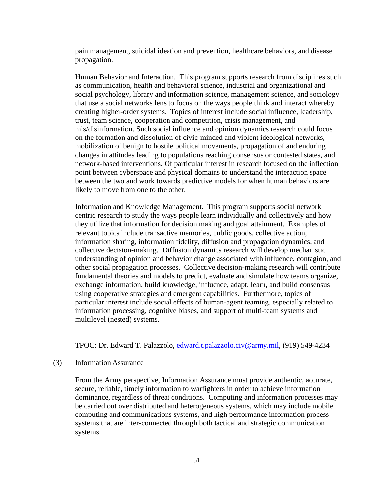pain management, suicidal ideation and prevention, healthcare behaviors, and disease propagation.

 Human Behavior and Interaction. This program supports research from disciplines such as communication, health and behavioral science, industrial and organizational and social psychology, library and information science, management science, and sociology that use a social networks lens to focus on the ways people think and interact whereby creating higher-order systems. Topics of interest include social influence, leadership, trust, team science, cooperation and competition, crisis management, and mis/disinformation. Such social influence and opinion dynamics research could focus on the formation and dissolution of civic-minded and violent ideological networks, mobilization of benign to hostile political movements, propagation of and enduring changes in attitudes leading to populations reaching consensus or contested states, and network-based interventions. Of particular interest in research focused on the inflection point between cyberspace and physical domains to understand the interaction space between the two and work towards predictive models for when human behaviors are likely to move from one to the other.

 Information and Knowledge Management. This program supports social network centric research to study the ways people learn individually and collectively and how they utilize that information for decision making and goal attainment. Examples of relevant topics include transactive memories, public goods, collective action, information sharing, information fidelity, diffusion and propagation dynamics, and collective decision-making. Diffusion dynamics research will develop mechanistic understanding of opinion and behavior change associated with influence, contagion, and other social propagation processes. Collective decision-making research will contribute fundamental theories and models to predict, evaluate and simulate how teams organize, exchange information, build knowledge, influence, adapt, learn, and build consensus using cooperative strategies and emergent capabilities. Furthermore, topics of particular interest include social effects of human-agent teaming, especially related to information processing, cognitive biases, and support of multi-team systems and multilevel (nested) systems.

TPOC: Dr. Edward T. Palazzolo, [edward.t.palazzolo.civ@army.mil,](mailto:edward.t.palazzolo.civ@mail.mil) (919) 549-4234

#### (3) Information Assurance

From the Army perspective, Information Assurance must provide authentic, accurate, secure, reliable, timely information to warfighters in order to achieve information dominance, regardless of threat conditions. Computing and information processes may be carried out over distributed and heterogeneous systems, which may include mobile computing and communications systems, and high performance information process systems that are inter-connected through both tactical and strategic communication systems.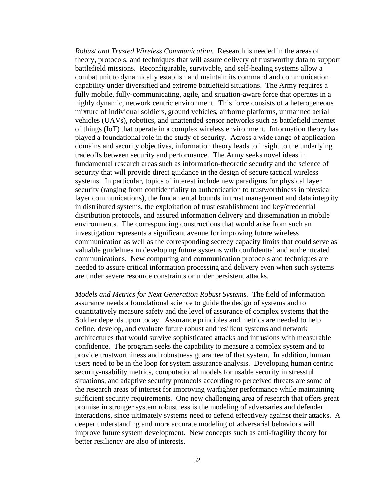*Robust and Trusted Wireless Communication.* Research is needed in the areas of theory, protocols, and techniques that will assure delivery of trustworthy data to support battlefield missions. Reconfigurable, survivable, and self-healing systems allow a combat unit to dynamically establish and maintain its command and communication capability under diversified and extreme battlefield situations. The Army requires a fully mobile, fully-communicating, agile, and situation-aware force that operates in a highly dynamic, network centric environment. This force consists of a heterogeneous mixture of individual soldiers, ground vehicles, airborne platforms, unmanned aerial vehicles (UAVs), robotics, and unattended sensor networks such as battlefield internet of things (IoT) that operate in a complex wireless environment. Information theory has played a foundational role in the study of security. Across a wide range of application domains and security objectives, information theory leads to insight to the underlying tradeoffs between security and performance. The Army seeks novel ideas in fundamental research areas such as information-theoretic security and the science of security that will provide direct guidance in the design of secure tactical wireless systems. In particular, topics of interest include new paradigms for physical layer security (ranging from confidentiality to authentication to trustworthiness in physical layer communications), the fundamental bounds in trust management and data integrity in distributed systems, the exploitation of trust establishment and key/credential distribution protocols, and assured information delivery and dissemination in mobile environments. The corresponding constructions that would arise from such an investigation represents a significant avenue for improving future wireless communication as well as the corresponding secrecy capacity limits that could serve as valuable guidelines in developing future systems with confidential and authenticated communications. New computing and communication protocols and techniques are needed to assure critical information processing and delivery even when such systems are under severe resource constraints or under persistent attacks.

*Models and Metrics for Next Generation Robust Systems.* The field of information assurance needs a foundational science to guide the design of systems and to quantitatively measure safety and the level of assurance of complex systems that the Soldier depends upon today. Assurance principles and metrics are needed to help define, develop, and evaluate future robust and resilient systems and network architectures that would survive sophisticated attacks and intrusions with measurable confidence. The program seeks the capability to measure a complex system and to provide trustworthiness and robustness guarantee of that system. In addition, human users need to be in the loop for system assurance analysis. Developing human centric security-usability metrics, computational models for usable security in stressful situations, and adaptive security protocols according to perceived threats are some of the research areas of interest for improving warfighter performance while maintaining sufficient security requirements. One new challenging area of research that offers great promise in stronger system robustness is the modeling of adversaries and defender interactions, since ultimately systems need to defend effectively against their attacks. A deeper understanding and more accurate modeling of adversarial behaviors will improve future system development. New concepts such as anti-fragility theory for better resiliency are also of interests.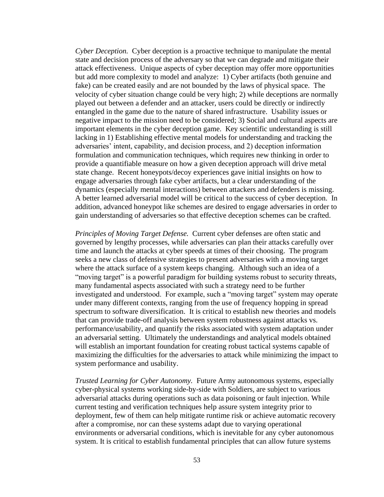*Cyber Deception.* Cyber deception is a proactive technique to manipulate the mental state and decision process of the adversary so that we can degrade and mitigate their attack effectiveness. Unique aspects of cyber deception may offer more opportunities but add more complexity to model and analyze: 1) Cyber artifacts (both genuine and fake) can be created easily and are not bounded by the laws of physical space. The velocity of cyber situation change could be very high; 2) while deceptions are normally played out between a defender and an attacker, users could be directly or indirectly entangled in the game due to the nature of shared infrastructure. Usability issues or negative impact to the mission need to be considered; 3) Social and cultural aspects are important elements in the cyber deception game. Key scientific understanding is still lacking in 1) Establishing effective mental models for understanding and tracking the adversaries' intent, capability, and decision process, and 2) deception information formulation and communication techniques, which requires new thinking in order to provide a quantifiable measure on how a given deception approach will drive metal state change. Recent honeypots/decoy experiences gave initial insights on how to engage adversaries through fake cyber artifacts, but a clear understanding of the dynamics (especially mental interactions) between attackers and defenders is missing. A better learned adversarial model will be critical to the success of cyber deception. In addition, advanced honeypot like schemes are desired to engage adversaries in order to gain understanding of adversaries so that effective deception schemes can be crafted.

*Principles of Moving Target Defense.* Current cyber defenses are often static and governed by lengthy processes, while adversaries can plan their attacks carefully over time and launch the attacks at cyber speeds at times of their choosing. The program seeks a new class of defensive strategies to present adversaries with a moving target where the attack surface of a system keeps changing. Although such an idea of a "moving target" is a powerful paradigm for building systems robust to security threats, many fundamental aspects associated with such a strategy need to be further investigated and understood. For example, such a "moving target" system may operate under many different contexts, ranging from the use of frequency hopping in spread spectrum to software diversification. It is critical to establish new theories and models that can provide trade-off analysis between system robustness against attacks vs. performance/usability, and quantify the risks associated with system adaptation under an adversarial setting. Ultimately the understandings and analytical models obtained will establish an important foundation for creating robust tactical systems capable of maximizing the difficulties for the adversaries to attack while minimizing the impact to system performance and usability.

*Trusted Learning for Cyber Autonomy.* Future Army autonomous systems, especially cyber-physical systems working side-by-side with Soldiers, are subject to various adversarial attacks during operations such as data poisoning or fault injection. While current testing and verification techniques help assure system integrity prior to deployment, few of them can help mitigate runtime risk or achieve automatic recovery after a compromise, nor can these systems adapt due to varying operational environments or adversarial conditions, which is inevitable for any cyber autonomous system. It is critical to establish fundamental principles that can allow future systems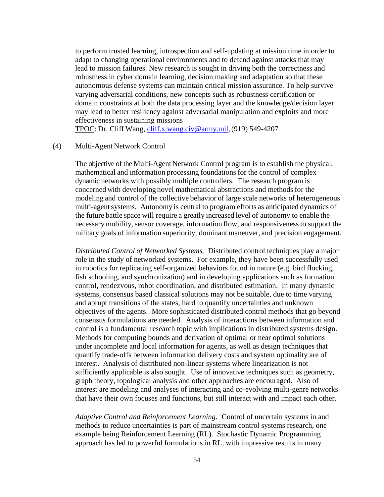to perform trusted learning, introspection and self-updating at mission time in order to adapt to changing operational environments and to defend against attacks that may lead to mission failures. New research is sought in driving both the correctness and robustness in cyber domain learning, decision making and adaptation so that these autonomous defense systems can maintain critical mission assurance. To help survive varying adversarial conditions, new concepts such as robustness certification or domain constraints at both the data processing layer and the knowledge/decision layer may lead to better resiliency against adversarial manipulation and exploits and more effectiveness in sustaining missions

TPOC: Dr. Cliff Wang, [cliff.x.wang.civ@army.mil,\(](mailto:cliff.x.wang.civ@mail.mil)919) 549-4207

### (4) Multi-Agent Network Control

The objective of the Multi-Agent Network Control program is to establish the physical, mathematical and information processing foundations for the control of complex dynamic networks with possibly multiple controllers. The research program is concerned with developing novel mathematical abstractions and methods for the modeling and control of the collective behavior of large scale networks of heterogeneous multi-agent systems. Autonomy is central to program efforts as anticipated dynamics of the future battle space will require a greatly increased level of autonomy to enable the necessary mobility, sensor coverage, information flow, and responsiveness to support the military goals of information superiority, dominant maneuver, and precision engagement.

*Distributed Control of Networked Systems.* Distributed control techniques play a major role in the study of networked systems. For example, they have been successfully used in robotics for replicating self-organized behaviors found in nature (e.g. bird flocking, fish schooling, and synchronization) and in developing applications such as formation control, rendezvous, robot coordination, and distributed estimation. In many dynamic systems, consensus based classical solutions may not be suitable, due to time varying and abrupt transitions of the states, hard to quantify uncertainties and unknown objectives of the agents. More sophisticated distributed control methods that go beyond consensus formulations are needed. Analysis of interactions between information and control is a fundamental research topic with implications in distributed systems design. Methods for computing bounds and derivation of optimal or near optimal solutions under incomplete and local information for agents, as well as design techniques that quantify trade-offs between information delivery costs and system optimality are of interest. Analysis of distributed non-linear systems where linearization is not sufficiently applicable is also sought. Use of innovative techniques such as geometry, graph theory, topological analysis and other approaches are encouraged. Also of interest are modeling and analyses of interacting and co-evolving multi-genre networks that have their own focuses and functions, but still interact with and impact each other.

*Adaptive Control and Reinforcement Learning*. Control of uncertain systems in and methods to reduce uncertainties is part of mainstream control systems research, one example being Reinforcement Learning (RL). Stochastic Dynamic Programming approach has led to powerful formulations in RL, with impressive results in many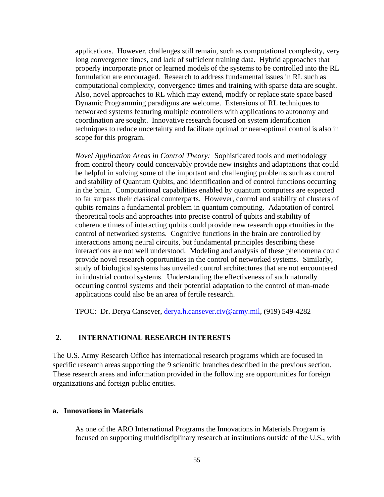applications. However, challenges still remain, such as computational complexity, very long convergence times, and lack of sufficient training data. Hybrid approaches that properly incorporate prior or learned models of the systems to be controlled into the RL formulation are encouraged. Research to address fundamental issues in RL such as computational complexity, convergence times and training with sparse data are sought. Also, novel approaches to RL which may extend, modify or replace state space based Dynamic Programming paradigms are welcome. Extensions of RL techniques to networked systems featuring multiple controllers with applications to autonomy and coordination are sought. Innovative research focused on system identification techniques to reduce uncertainty and facilitate optimal or near-optimal control is also in scope for this program.

*Novel Application Areas in Control Theory:* Sophisticated tools and methodology from control theory could conceivably provide new insights and adaptations that could be helpful in solving some of the important and challenging problems such as control and stability of Quantum Qubits, and identification and of control functions occurring in the brain. Computational capabilities enabled by quantum computers are expected to far surpass their classical counterparts. However, control and stability of clusters of qubits remains a fundamental problem in quantum computing. Adaptation of control theoretical tools and approaches into precise control of qubits and stability of coherence times of interacting qubits could provide new research opportunities in the control of networked systems. Cognitive functions in the brain are controlled by interactions among neural circuits, but fundamental principles describing these interactions are not well understood. Modeling and analysis of these phenomena could provide novel research opportunities in the control of networked systems. Similarly, study of biological systems has unveiled control architectures that are not encountered in industrial control systems. Understanding the effectiveness of such naturally occurring control systems and their potential adaptation to the control of man-made applications could also be an area of fertile research.

TPOC: Dr. Derya Cansever, [derya.h.cansever.civ@army.mil,](mailto:derya.h.cansever.civ@mail.mil) (919) 549-4282

### **2. INTERNATIONAL RESEARCH INTERESTS**

The U.S. Army Research Office has international research programs which are focused in specific research areas supporting the 9 scientific branches described in the previous section. These research areas and information provided in the following are opportunities for foreign organizations and foreign public entities.

#### **a. Innovations in Materials**

As one of the ARO International Programs the Innovations in Materials Program is focused on supporting multidisciplinary research at institutions outside of the U.S., with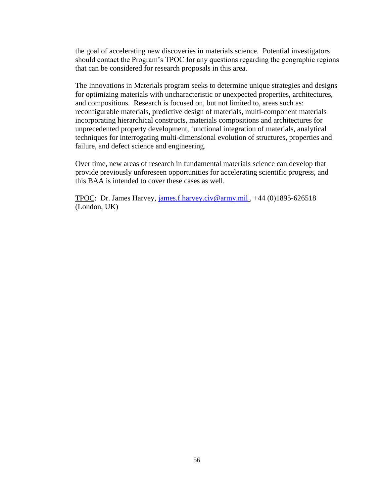the goal of accelerating new discoveries in materials science. Potential investigators should contact the Program's TPOC for any questions regarding the geographic regions that can be considered for research proposals in this area.

The Innovations in Materials program seeks to determine unique strategies and designs for optimizing materials with uncharacteristic or unexpected properties, architectures, and compositions. Research is focused on, but not limited to, areas such as: reconfigurable materials, predictive design of materials, multi-component materials incorporating hierarchical constructs, materials compositions and architectures for unprecedented property development, functional integration of materials, analytical techniques for interrogating multi-dimensional evolution of structures, properties and failure, and defect science and engineering.

Over time, new areas of research in fundamental materials science can develop that provide previously unforeseen opportunities for accelerating scientific progress, and this BAA is intended to cover these cases as well.

TPOC: Dr. James Harvey, [james.f.harvey.civ@army.mil](mailto:james.f.harvey.civ@mail.mil) , +44 (0)1895-626518 (London, UK)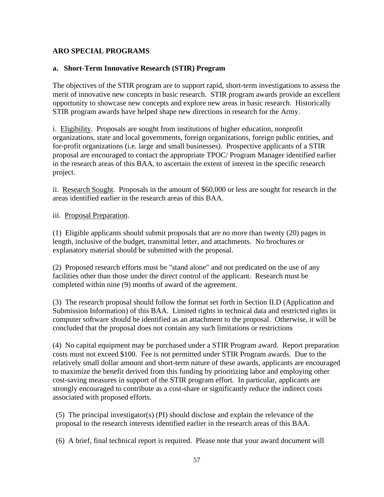# **ARO SPECIAL PROGRAMS**

## **a. Short-Term Innovative Research (STIR) Program**

The objectives of the STIR program are to support rapid, short-term investigations to assess the merit of innovative new concepts in basic research. STIR program awards provide an excellent opportunity to showcase new concepts and explore new areas in basic research. Historically STIR program awards have helped shape new directions in research for the Army.

i. Eligibility. Proposals are sought from institutions of higher education, nonprofit organizations, state and local governments, foreign organizations, foreign public entities, and for-profit organizations (i.e. large and small businesses). Prospective applicants of a STIR proposal are encouraged to contact the appropriate TPOC/ Program Manager identified earlier in the research areas of this BAA, to ascertain the extent of interest in the specific research project.

ii. Research Sought. Proposals in the amount of \$60,000 or less are sought for research in the areas identified earlier in the research areas of this BAA.

### iii. Proposal Preparation.

(1) Eligible applicants should submit proposals that are no more than twenty (20) pages in length, inclusive of the budget, transmittal letter, and attachments. No brochures or explanatory material should be submitted with the proposal.

(2) Proposed research efforts must be "stand alone" and not predicated on the use of any facilities other than those under the direct control of the applicant. Research must be completed within nine (9) months of award of the agreement.

(3) The research proposal should follow the format set forth in Section II.D (Application and Submission Information) of this BAA. Limited rights in technical data and restricted rights in computer software should be identified as an attachment to the proposal. Otherwise, it will be concluded that the proposal does not contain any such limitations or restrictions

(4) No capital equipment may be purchased under a STIR Program award. Report preparation costs must not exceed \$100. Fee is not permitted under STIR Program awards. Due to the relatively small dollar amount and short-term nature of these awards, applicants are encouraged to maximize the benefit derived from this funding by prioritizing labor and employing other cost-saving measures in support of the STIR program effort. In particular, applicants are strongly encouraged to contribute as a cost-share or significantly reduce the indirect costs associated with proposed efforts.

(5) The principal investigator(s) (PI) should disclose and explain the relevance of the proposal to the research interests identified earlier in the research areas of this BAA.

(6) A brief, final technical report is required. Please note that your award document will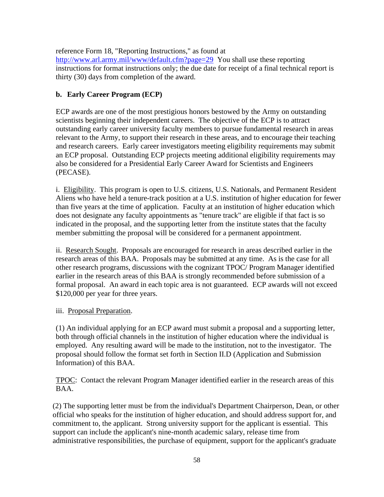reference Form 18, "Reporting Instructions," as found at <http://www.arl.army.mil/www/default.cfm?page=29> You shall use these reporting instructions for format instructions only; the due date for receipt of a final technical report is thirty (30) days from completion of the award.

### **b. Early Career Program (ECP)**

ECP awards are one of the most prestigious honors bestowed by the Army on outstanding scientists beginning their independent careers. The objective of the ECP is to attract outstanding early career university faculty members to pursue fundamental research in areas relevant to the Army, to support their research in these areas, and to encourage their teaching and research careers. Early career investigators meeting eligibility requirements may submit an ECP proposal. Outstanding ECP projects meeting additional eligibility requirements may also be considered for a Presidential Early Career Award for Scientists and Engineers (PECASE).

i. Eligibility. This program is open to U.S. citizens, U.S. Nationals, and Permanent Resident Aliens who have held a tenure-track position at a U.S. institution of higher education for fewer than five years at the time of application. Faculty at an institution of higher education which does not designate any faculty appointments as "tenure track" are eligible if that fact is so indicated in the proposal, and the supporting letter from the institute states that the faculty member submitting the proposal will be considered for a permanent appointment.

ii. Research Sought. Proposals are encouraged for research in areas described earlier in the research areas of this BAA. Proposals may be submitted at any time. As is the case for all other research programs, discussions with the cognizant TPOC/ Program Manager identified earlier in the research areas of this BAA is strongly recommended before submission of a formal proposal. An award in each topic area is not guaranteed. ECP awards will not exceed \$120,000 per year for three years.

iii. Proposal Preparation.

(1) An individual applying for an ECP award must submit a proposal and a supporting letter, both through official channels in the institution of higher education where the individual is employed. Any resulting award will be made to the institution, not to the investigator. The proposal should follow the format set forth in Section II.D (Application and Submission Information) of this BAA.

TPOC: Contact the relevant Program Manager identified earlier in the research areas of this BAA.

(2) The supporting letter must be from the individual's Department Chairperson, Dean, or other official who speaks for the institution of higher education, and should address support for, and commitment to, the applicant. Strong university support for the applicant is essential. This support can include the applicant's nine-month academic salary, release time from administrative responsibilities, the purchase of equipment, support for the applicant's graduate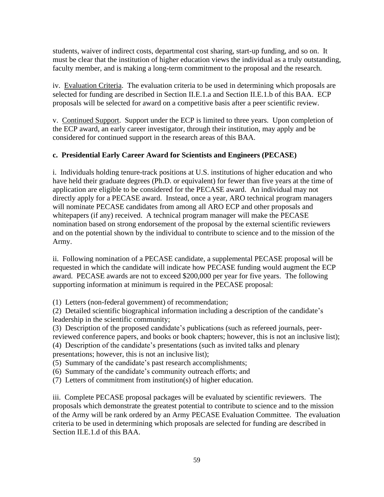students, waiver of indirect costs, departmental cost sharing, start-up funding, and so on. It must be clear that the institution of higher education views the individual as a truly outstanding, faculty member, and is making a long-term commitment to the proposal and the research.

iv. Evaluation Criteria. The evaluation criteria to be used in determining which proposals are selected for funding are described in Section II.E.1.a and Section II.E.1.b of this BAA. ECP proposals will be selected for award on a competitive basis after a peer scientific review.

v. Continued Support. Support under the ECP is limited to three years. Upon completion of the ECP award, an early career investigator, through their institution, may apply and be considered for continued support in the research areas of this BAA.

# **c. Presidential Early Career Award for Scientists and Engineers (PECASE)**

i. Individuals holding tenure-track positions at U.S. institutions of higher education and who have held their graduate degrees (Ph.D. or equivalent) for fewer than five years at the time of application are eligible to be considered for the PECASE award. An individual may not directly apply for a PECASE award. Instead, once a year, ARO technical program managers will nominate PECASE candidates from among all ARO ECP and other proposals and whitepapers (if any) received. A technical program manager will make the PECASE nomination based on strong endorsement of the proposal by the external scientific reviewers and on the potential shown by the individual to contribute to science and to the mission of the Army.

ii. Following nomination of a PECASE candidate, a supplemental PECASE proposal will be requested in which the candidate will indicate how PECASE funding would augment the ECP award. PECASE awards are not to exceed \$200,000 per year for five years. The following supporting information at minimum is required in the PECASE proposal:

(1) Letters (non-federal government) of recommendation;

(2) Detailed scientific biographical information including a description of the candidate's leadership in the scientific community;

(3) Description of the proposed candidate's publications (such as refereed journals, peerreviewed conference papers, and books or book chapters; however, this is not an inclusive list);

(4) Description of the candidate's presentations (such as invited talks and plenary presentations; however, this is not an inclusive list);

(5) Summary of the candidate's past research accomplishments;

(6) Summary of the candidate's community outreach efforts; and

(7) Letters of commitment from institution(s) of higher education.

iii. Complete PECASE proposal packages will be evaluated by scientific reviewers. The proposals which demonstrate the greatest potential to contribute to science and to the mission of the Army will be rank ordered by an Army PECASE Evaluation Committee. The evaluation criteria to be used in determining which proposals are selected for funding are described in Section II.E.1.d of this BAA.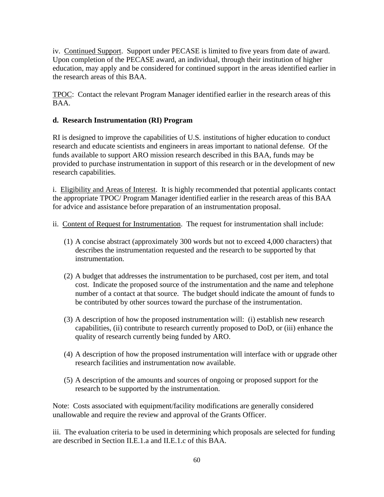iv. Continued Support. Support under PECASE is limited to five years from date of award. Upon completion of the PECASE award, an individual, through their institution of higher education, may apply and be considered for continued support in the areas identified earlier in the research areas of this BAA.

TPOC: Contact the relevant Program Manager identified earlier in the research areas of this BAA.

# **d. Research Instrumentation (RI) Program**

RI is designed to improve the capabilities of U.S. institutions of higher education to conduct research and educate scientists and engineers in areas important to national defense. Of the funds available to support ARO mission research described in this BAA, funds may be provided to purchase instrumentation in support of this research or in the development of new research capabilities.

i. Eligibility and Areas of Interest. It is highly recommended that potential applicants contact the appropriate TPOC/ Program Manager identified earlier in the research areas of this BAA for advice and assistance before preparation of an instrumentation proposal.

- ii. Content of Request for Instrumentation. The request for instrumentation shall include:
	- (1) A concise abstract (approximately 300 words but not to exceed 4,000 characters) that describes the instrumentation requested and the research to be supported by that instrumentation.
	- (2) A budget that addresses the instrumentation to be purchased, cost per item, and total cost. Indicate the proposed source of the instrumentation and the name and telephone number of a contact at that source. The budget should indicate the amount of funds to be contributed by other sources toward the purchase of the instrumentation.
	- (3) A description of how the proposed instrumentation will: (i) establish new research capabilities, (ii) contribute to research currently proposed to DoD, or (iii) enhance the quality of research currently being funded by ARO.
	- (4) A description of how the proposed instrumentation will interface with or upgrade other research facilities and instrumentation now available.
	- (5) A description of the amounts and sources of ongoing or proposed support for the research to be supported by the instrumentation.

Note: Costs associated with equipment/facility modifications are generally considered unallowable and require the review and approval of the Grants Officer.

iii. The evaluation criteria to be used in determining which proposals are selected for funding are described in Section II.E.1.a and II.E.1.c of this BAA.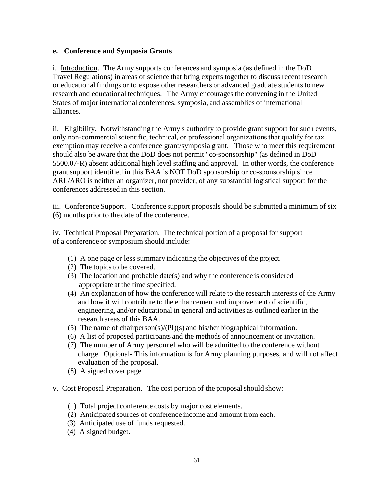# **e. Conference and Symposia Grants**

i. Introduction. The Army supports conferences and symposia (as defined in the DoD Travel Regulations) in areas of science that bring experts together to discuss recent research or educational findings or to expose other researchers or advanced graduate students to new research and educational techniques. The Army encourages the convening in the United States of major international conferences, symposia, and assemblies of international alliances.

ii. Eligibility. Notwithstanding the Army's authority to provide grant support for such events, only non-commercialscientific, technical, or professional organizations that qualify for tax exemption may receive a conference grant/symposia grant. Those who meet this requirement should also be aware that the DoD does not permit "co-sponsorship" (as defined in DoD 5500.07-R) absent additional high level staffing and approval. In other words, the conference grant support identified in this BAA is NOT DoD sponsorship or co-sponsorship since ARL/ARO is neither an organizer, nor provider, of any substantial logistical support for the conferences addressed in this section.

iii. Conference Support. Conference support proposals should be submitted a minimum of six (6) months prior to the date of the conference.

iv. Technical Proposal Preparation. The technical portion of a proposal for support of a conference or symposium should include:

- (1) A one page or less summary indicating the objectives of the project.
- (2) The topics to be covered.
- (3) The location and probable date(s) and why the conference is considered appropriate at the time specified.
- (4) An explanation of how the conference will relate to the research interests of the Army and how it will contribute to the enhancement and improvement of scientific, engineering, and/or educational in general and activities as outlined earlier in the research areas of this BAA.
- (5) The name of chairperson(s)/(PI)(s) and his/her biographical information.
- (6) A list of proposed participants and the methods of announcement or invitation.
- (7) The number of Army personnel who will be admitted to the conference without charge. Optional- This information is for Army planning purposes, and will not affect evaluation of the proposal.
- (8) A signed cover page.
- v. Cost Proposal Preparation. The cost portion of the proposal should show:
	- (1) Total project conference costs by major cost elements.
	- (2) Anticipated sources of conference income and amount from each.
	- (3) Anticipated use of funds requested.
	- (4) A signed budget.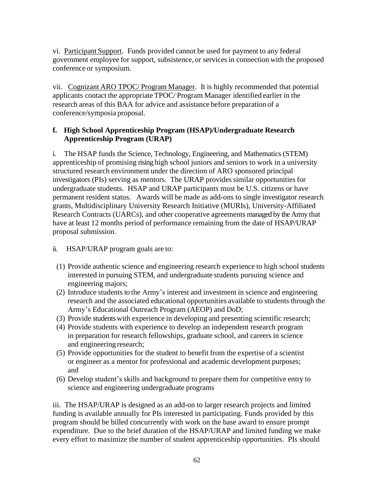vi. Participant Support. Funds provided cannot be used for payment to any federal government employee for support, subsistence, or servicesin connection with the proposed conference or symposium.

vii. Cognizant ARO TPOC/ Program Manager. It is highly recommended that potential applicants contact the appropriate TPOC/ Program Manager identified earlier in the research areas of this BAA for advice and assistance before preparation of a conference/symposia proposal.

# **f. High School Apprenticeship Program (HSAP)/Undergraduate Research Apprenticeship Program (URAP)**

i. The HSAP funds the Science, Technology, Engineering, and Mathematics (STEM) apprenticeship of promising rising high school juniors and seniors to work in a university structured research environment under the direction of ARO sponsored principal investigators (PIs) serving as mentors. The URAP provides similar opportunities for undergraduate students. HSAP and URAP participants must be U.S. citizens or have permanent resident status. Awards will be made as add-ons to single investigator research grants, Multidisciplinary University Research Initiative (MURIs), University-Affiliated Research Contracts (UARCs), and other cooperative agreements managed by the Army that have at least 12 months period of performance remaining from the date of HSAP/URAP proposal submission.

# ii. HSAP/URAP program goals are to:

- (1) Provide authentic science and engineering research experience to high school students interested in pursuing STEM, and undergraduate students pursuing science and engineering majors;
- (2) Introduce students to the Army's interest and investment in science and engineering research and the associated educational opportunities available to students through the Army's Educational Outreach Program (AEOP) and DoD;
- (3) Provide studentswith experience in developing and presenting scientific research;
- (4) Provide students with experience to develop an independent research program in preparation for research fellowships, graduate school, and careers in science and engineering research;
- (5) Provide opportunities for the student to benefit from the expertise of a scientist or engineer as a mentor for professional and academic development purposes; and
- (6) Develop student's skills and background to prepare them for competitive entry to science and engineering undergraduate programs

iii. The HSAP/URAP is designed as an add-on to larger research projects and limited funding is available annually for PIs interested in participating. Funds provided by this program should be billed concurrently with work on the base award to ensure prompt expenditure. Due to the brief duration of the HSAP/URAP and limited funding we make every effort to maximize the number of student apprenticeship opportunities. PIs should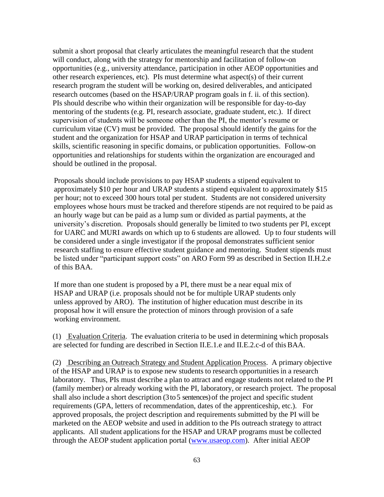submit a short proposal that clearly articulates the meaningful research that the student will conduct, along with the strategy for mentorship and facilitation of follow-on opportunities (e.g., university attendance, participation in other AEOP opportunities and other research experiences, etc). PIs must determine what aspect(s) of their current research program the student will be working on, desired deliverables, and anticipated research outcomes (based on the HSAP/URAP program goals in f. ii. of this section). PIs should describe who within their organization will be responsible for day-to-day mentoring of the students (e.g. PI, research associate, graduate student, etc.). If direct supervision of students will be someone other than the PI, the mentor's resume or curriculum vitae (CV) must be provided. The proposal should identify the gains for the student and the organization for HSAP and URAP participation in terms of technical skills, scientific reasoning in specific domains, or publication opportunities. Follow-on opportunities and relationships for students within the organization are encouraged and should be outlined in the proposal.

Proposals should include provisions to pay HSAP students a stipend equivalent to approximately \$10 per hour and URAP students a stipend equivalent to approximately \$15 per hour; not to exceed 300 hours total per student. Students are not considered university employees whose hours must be tracked and therefore stipends are not required to be paid as an hourly wage but can be paid as a lump sum or divided as partial payments, at the university's discretion. Proposals should generally be limited to two students per PI, except for UARC and MURI awards on which up to 6 students are allowed. Up to four students will be considered under a single investigator if the proposal demonstrates sufficient senior research staffing to ensure effective student guidance and mentoring. Student stipends must be listed under "participant support costs" on ARO Form 99 as described in Section II.H.2.e of this BAA.

If more than one student is proposed by a PI, there must be a near equal mix of HSAP and URAP (i.e. proposals should not be for multiple URAP students only unless approved by ARO). The institution of higher education must describe in its proposal how it will ensure the protection of minors through provision of a safe working environment.

(1) Evaluation Criteria. The evaluation criteria to be used in determining which proposals are selected for funding are described in Section II.E.1.e and II.E.2.c-d of thisBAA.

(2) Describing an Outreach Strategy and Student Application Process. A primary objective of the HSAP and URAP is to expose new students to research opportunities in a research laboratory. Thus, PIs must describe a plan to attract and engage students not related to the PI (family member) or already working with the PI, laboratory, or research project. The proposal shall also include a short description (3 to 5 sentences) of the project and specific student requirements (GPA, letters of recommendation, dates of the apprenticeship, etc.). For approved proposals, the project description and requirements submitted by the PI will be marketed on the AEOP website and used in addition to the PIs outreach strategy to attract applicants. All student applications for the HSAP and URAP programs must be collected through the AEOP student application portal [\(www.usaeop.com\)](http://www.usaeop.com/). After initial AEOP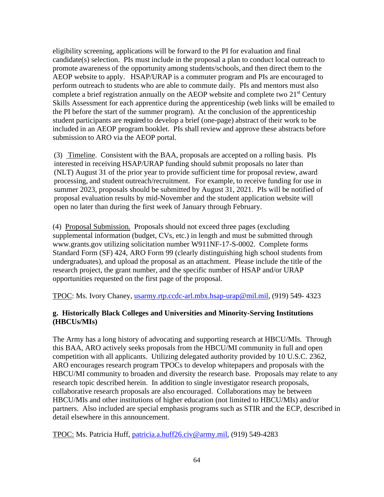eligibility screening, applications will be forward to the PI for evaluation and final candidate(s) selection. PIs must include in the proposal a plan to conduct local outreach to promote awareness of the opportunity among students/schools, and then direct them to the AEOP website to apply. HSAP/URAP is a commuter program and PIs are encouraged to perform outreach to students who are able to commute daily. PIs and mentors must also complete a brief registration annually on the AEOP website and complete two  $21<sup>st</sup>$  Century Skills Assessment for each apprentice during the apprenticeship (web links will be emailed to the PI before the start of the summer program). At the conclusion of the apprenticeship student participants are required to develop a brief (one-page) abstract of their work to be included in an AEOP program booklet. PIs shall review and approve these abstracts before submission to ARO via the AEOP portal.

(3) Timeline. Consistent with the BAA, proposals are accepted on a rolling basis. PIs interested in receiving HSAP/URAP funding should submit proposals no later than (NLT) August 31 of the prior year to provide sufficient time for proposal review, award processing, and student outreach/recruitment. For example, to receive funding for use in summer 2023, proposals should be submitted by August 31, 2021. PIs will be notified of proposal evaluation results by mid-November and the student application website will open no later than during the first week of January through February.

(4) Proposal Submission. Proposals should not exceed three pages (excluding supplemental information (budget, CVs, etc.) in length and must be submitted through www.grants.gov utilizing solicitation number W911NF-17-S-0002. Complete forms Standard Form (SF) 424, ARO Form 99 (clearly distinguishing high school students from undergraduates), and upload the proposal as an attachment. Please include the title of the research project, the grant number, and the specific number of HSAP and/or URAP opportunities requested on the first page of the proposal.

TPOC: Ms. Ivory Chaney, [usarmy.rtp.ccdc-arl.mbx.hsap-urap@mil.mil,](mailto:usarmy.rtp.ccdc-arl.mbx.hsap-urap@mil.mil) (919) 549- 4323

# **g. Historically Black Colleges and Universities and Minority-Serving Institutions (HBCUs/MIs)**

The Army has a long history of advocating and supporting research at HBCU/MIs. Through this BAA, ARO actively seeks proposals from the HBCU/MI community in full and open competition with all applicants. Utilizing delegated authority provided by 10 U.S.C. 2362, ARO encourages research program TPOCs to develop whitepapers and proposals with the HBCU/MI community to broaden and diversity the research base. Proposals may relate to any research topic described herein. In addition to single investigator research proposals, collaborative research proposals are also encouraged. Collaborations may be between HBCU/MIs and other institutions of higher education (not limited to HBCU/MIs) and/or partners. Also included are special emphasis programs such as STIR and the ECP, described in detail elsewhere in this announcement.

TPOC: Ms. Patricia Huff, [patricia.a.huff26.civ@army.mil,](mailto:patricia.a.huff26.civ@mail.mil) (919) 549-4283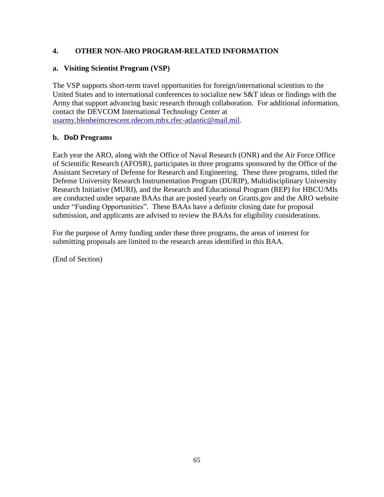# **4. OTHER NON-ARO PROGRAM-RELATED INFORMATION**

# **a. Visiting Scientist Program (VSP)**

The VSP supports short-term travel opportunities for foreign/international scientists to the United States and to international conferences to socialize new S&T ideas or findings with the Army that support advancing basic research through collaboration. For additional information, contact the DEVCOM International Technology Center at [usarmy.blenheimcrescent.rdecom.mbx.rfec-atlantic@mail.mil.](mailto:usarmy.blenheimcrescent.rdecom.mbx.rfec-atlantic@mail.mil)

# **b. DoD Programs**

Each year the ARO, along with the Office of Naval Research (ONR) and the Air Force Office of Scientific Research (AFOSR), participates in three programs sponsored by the Office of the Assistant Secretary of Defense for Research and Engineering. These three programs, titled the Defense University Research Instrumentation Program (DURIP), Multidisciplinary University Research Initiative (MURI), and the Research and Educational Program (REP) for HBCU/MIs are conducted under separate BAAs that are posted yearly on Grants.gov and the ARO website under "Funding Opportunities". These BAAs have a definite closing date for proposal submission, and applicants are advised to review the BAAs for eligibility considerations.

For the purpose of Army funding under these three programs, the areas of interest for submitting proposals are limited to the research areas identified in this BAA.

(End of Section)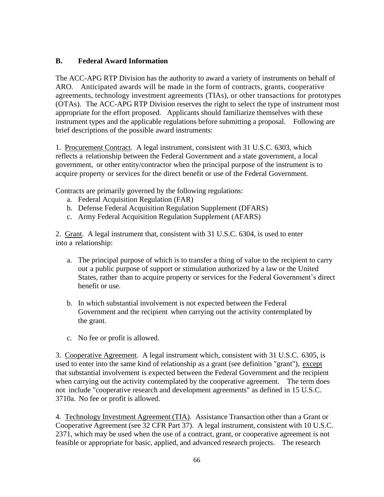# **B. Federal Award Information**

The ACC-APG RTP Division has the authority to award a variety of instruments on behalf of ARO. Anticipated awards will be made in the form of contracts, grants, cooperative agreements, technology investment agreements (TIAs), or other transactions for prototypes (OTAs). The ACC-APG RTP Division reserves the right to select the type of instrument most appropriate for the effort proposed. Applicants should familiarize themselves with these instrument types and the applicable regulations before submitting a proposal. Following are brief descriptions of the possible award instruments:

1. Procurement Contract. A legal instrument, consistent with 31 U.S.C. 6303, which reflects a relationship between the Federal Government and a state government, a local government, or other entity/contractor when the principal purpose of the instrument is to acquire property or services for the direct benefit or use of the Federal Government.

Contracts are primarily governed by the following regulations:

- a. Federal Acquisition Regulation (FAR)
- b. Defense Federal Acquisition Regulation Supplement (DFARS)
- c. Army Federal Acquisition Regulation Supplement (AFARS)

2. Grant. A legal instrument that, consistent with 31 U.S.C. 6304, is used to enter into a relationship:

- a. The principal purpose of which is to transfer a thing of value to the recipient to carry out a public purpose of support or stimulation authorized by a law or the United States, rather than to acquire property or services for the Federal Government's direct benefit or use.
- b. In which substantial involvement is not expected between the Federal Government and the recipient when carrying out the activity contemplated by the grant.
- c. No fee or profit is allowed.

3. Cooperative Agreement. A legal instrument which, consistent with 31 U.S.C. 6305, is used to enter into the same kind of relationship as a grant (see definition "grant"), except that substantial involvement is expected between the Federal Government and the recipient when carrying out the activity contemplated by the cooperative agreement. The term does not include "cooperative research and development agreements" as defined in 15 U.S.C. 3710a. No fee or profit is allowed.

4. Technology Investment Agreement (TIA). Assistance Transaction other than a Grant or Cooperative Agreement (see 32 CFR Part 37). A legal instrument, consistent with 10 U.S.C. 2371, which may be used when the use of a contract, grant, or cooperative agreement is not feasible or appropriate for basic, applied, and advanced research projects. The research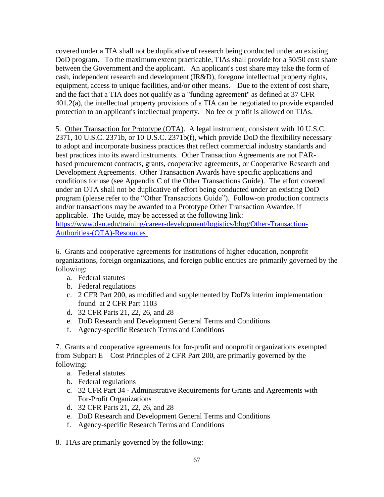covered under a TIA shall not be duplicative of research being conducted under an existing DoD program. To the maximum extent practicable, TIAs shall provide for a 50/50 cost share between the Government and the applicant. An applicant's cost share may take the form of cash, independent research and development (IR&D), foregone intellectual property rights, equipment, access to unique facilities, and/or other means. Due to the extent of cost share, and the fact that a TIA does not qualify as a "funding agreement" as defined at 37 CFR 401.2(a), the intellectual property provisions of a TIA can be negotiated to provide expanded protection to an applicant's intellectual property. No fee or profit is allowed on TIAs.

5. Other Transaction for Prototype (OTA). A legal instrument, consistent with 10 U.S.C. 2371, 10 U.S.C. 2371b, or 10 U.S.C. 2371b(f), which provide DoD the flexibility necessary to adopt and incorporate business practices that reflect commercial industry standards and best practices into its award instruments. Other Transaction Agreements are not FARbased procurement contracts, grants, cooperative agreements, or Cooperative Research and Development Agreements. Other Transaction Awards have specific applications and conditions for use (see Appendix C of the Other Transactions Guide). The effort covered under an OTA shall not be duplicative of effort being conducted under an existing DoD program (please refer to the "Other Transactions Guide"). Follow-on production contracts and/or transactions may be awarded to a Prototype Other Transaction Awardee, if applicable. The Guide, may be accessed at the following link:

[https://www.dau.edu/training/career-development/logistics/blog/Other-Transaction-](https://www.dau.edu/training/career-development/logistics/blog/Other-Transaction-Authorities-(OTA)-Resources)[Authorities-\(OTA\)-Resources](https://www.dau.edu/training/career-development/logistics/blog/Other-Transaction-Authorities-(OTA)-Resources)

6. Grants and cooperative agreements for institutions of higher education, nonprofit organizations, foreign organizations, and foreign public entities are primarily governed by the following:

- a. Federal statutes
- b. Federal regulations
- c. 2 CFR Part 200, as modified and supplemented by DoD's interim implementation found at 2 CFR Part 1103
- d. 32 CFR Parts 21, 22, 26, and 28
- e. DoD Research and Development General Terms and Conditions
- f. Agency-specific Research Terms and Conditions

7. Grants and cooperative agreements for for-profit and nonprofit organizations exempted from Subpart E—Cost Principles of 2 CFR Part 200, are primarily governed by the following:

- a. Federal statutes
- b. Federal regulations
- c. 32 CFR Part 34 Administrative Requirements for Grants and Agreements with For-Profit Organizations
- d. 32 CFR Parts 21, 22, 26, and 28
- e. DoD Research and Development General Terms and Conditions
- f. Agency-specific Research Terms and Conditions

8. TIAs are primarily governed by the following: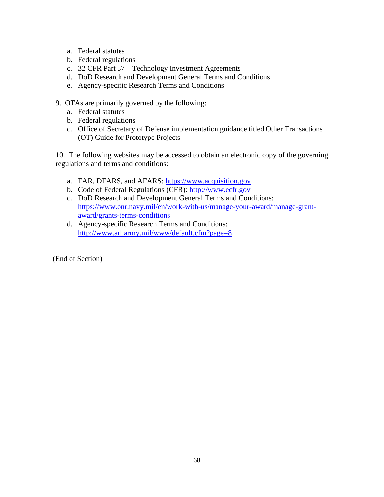- a. Federal statutes
- b. Federal regulations
- c. 32 CFR Part 37 Technology Investment Agreements
- d. DoD Research and Development General Terms and Conditions
- e. Agency-specific Research Terms and Conditions
- 9. OTAs are primarily governed by the following:
	- a. Federal statutes
	- b. Federal regulations
	- c. Office of Secretary of Defense implementation guidance titled Other Transactions (OT) Guide for Prototype Projects

10. The following websites may be accessed to obtain an electronic copy of the governing regulations and terms and conditions:

- a. FAR, DFARS, and AFARS: [https://www.acquisition.gov](https://www.acquisition.gov/)
- b. Code of Federal Regulations (CFR): [http://www.ecfr.gov](http://www.ecfr.gov/)
- c. DoD Research and Development General Terms and Conditions: https://www.onr.navy.mil/en/work-with-us/manage-your-award/manage-grantaward/grants-terms-conditions
- d. Agency-specific Research Terms and Conditions: <http://www.arl.army.mil/www/default.cfm?page=8>

(End of Section)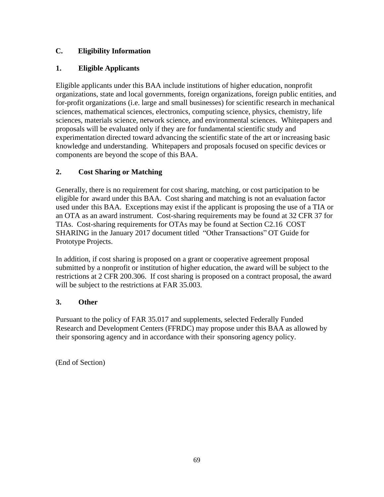# **C. Eligibility Information**

# **1. Eligible Applicants**

Eligible applicants under this BAA include institutions of higher education, nonprofit organizations, state and local governments, foreign organizations, foreign public entities, and for-profit organizations (i.e. large and small businesses) for scientific research in mechanical sciences, mathematical sciences, electronics, computing science, physics, chemistry, life sciences, materials science, network science, and environmental sciences. Whitepapers and proposals will be evaluated only if they are for fundamental scientific study and experimentation directed toward advancing the scientific state of the art or increasing basic knowledge and understanding. Whitepapers and proposals focused on specific devices or components are beyond the scope of this BAA.

# **2. Cost Sharing or Matching**

Generally, there is no requirement for cost sharing, matching, or cost participation to be eligible for award under this BAA. Cost sharing and matching is not an evaluation factor used under this BAA. Exceptions may exist if the applicant is proposing the use of a TIA or an OTA as an award instrument. Cost-sharing requirements may be found at 32 CFR 37 for TIAs. Cost-sharing requirements for OTAs may be found at Section C2.16 COST SHARING in the January 2017 document titled "Other Transactions" OT Guide for Prototype Projects.

In addition, if cost sharing is proposed on a grant or cooperative agreement proposal submitted by a nonprofit or institution of higher education, the award will be subject to the restrictions at 2 CFR 200.306. If cost sharing is proposed on a contract proposal, the award will be subject to the restrictions at FAR 35.003.

# **3. Other**

Pursuant to the policy of FAR 35.017 and supplements, selected Federally Funded Research and Development Centers (FFRDC) may propose under this BAA as allowed by their sponsoring agency and in accordance with their sponsoring agency policy.

(End of Section)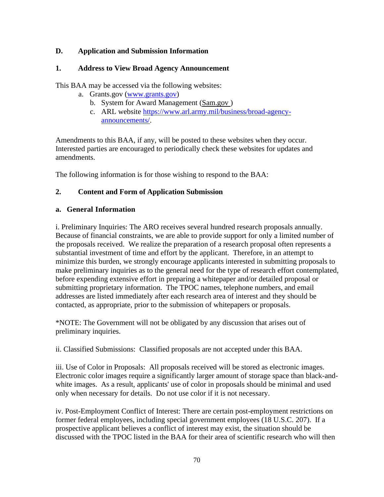#### **D. Application and Submission Information**

#### **1. Address to View Broad Agency Announcement**

This BAA may be accessed via the following websites:

- a. Grants.gov (www.grants.gov)
	- b. System for Award Management (Sam.gov )
	- c. ARL website [https://www.arl.army.mil/business/broad-agency](http://www.arl.army.mil/www/default.cfm?Action=6&Page=8)[announcements/.](http://www.arl.army.mil/www/default.cfm?Action=6&Page=8)

Amendments to this BAA, if any, will be posted to these websites when they occur. Interested parties are encouraged to periodically check these websites for updates and amendments.

The following information is for those wishing to respond to the BAA:

#### **2. Content and Form of Application Submission**

#### **a. General Information**

i. Preliminary Inquiries: The ARO receives several hundred research proposals annually. Because of financial constraints, we are able to provide support for only a limited number of the proposals received. We realize the preparation of a research proposal often represents a substantial investment of time and effort by the applicant. Therefore, in an attempt to minimize this burden, we strongly encourage applicants interested in submitting proposals to make preliminary inquiries as to the general need for the type of research effort contemplated, before expending extensive effort in preparing a whitepaper and/or detailed proposal or submitting proprietary information. The TPOC names, telephone numbers, and email addresses are listed immediately after each research area of interest and they should be contacted, as appropriate, prior to the submission of whitepapers or proposals.

\*NOTE: The Government will not be obligated by any discussion that arises out of preliminary inquiries.

ii. Classified Submissions: Classified proposals are not accepted under this BAA.

iii. Use of Color in Proposals: All proposals received will be stored as electronic images. Electronic color images require a significantly larger amount of storage space than black-andwhite images. As a result, applicants' use of color in proposals should be minimal and used only when necessary for details. Do not use color if it is not necessary.

iv. Post-Employment Conflict of Interest: There are certain post-employment restrictions on former federal employees, including special government employees (18 U.S.C. 207). If a prospective applicant believes a conflict of interest may exist, the situation should be discussed with the TPOC listed in the BAA for their area of scientific research who will then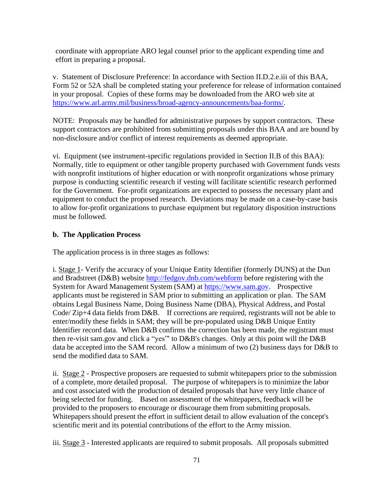coordinate with appropriate ARO legal counsel prior to the applicant expending time and effort in preparing a proposal.

v. Statement of Disclosure Preference: In accordance with Section II.D.2.e.iii of this BAA, Form 52 or 52A shall be completed stating your preference for release of information contained in your proposal. Copies of these forms may be downloaded from the ARO web site at [https://www.arl.army.mil/business/broad-agency-announcements/baa-forms/.](https://www.arl.army.mil/business/broad-agency-announcements/baa-forms/)

NOTE: Proposals may be handled for administrative purposes by support contractors. These support contractors are prohibited from submitting proposals under this BAA and are bound by non-disclosure and/or conflict of interest requirements as deemed appropriate.

vi. Equipment (see instrument-specific regulations provided in Section II.B of this BAA): Normally, title to equipment or other tangible property purchased with Government funds vests with nonprofit institutions of higher education or with nonprofit organizations whose primary purpose is conducting scientific research if vesting will facilitate scientific research performed for the Government. For-profit organizations are expected to possess the necessary plant and equipment to conduct the proposed research. Deviations may be made on a case-by-case basis to allow for-profit organizations to purchase equipment but regulatory disposition instructions must be followed.

#### **b. The Application Process**

The application process is in three stages as follows:

i. Stage 1- Verify the accuracy of your Unique Entity Identifier (formerly DUNS) at the Dun and Bradstreet (D&B) website<http://fedgov.dnb.com/webform> before registering with the System for Award Management System (SAM) at https://www.sam.gov. Prospective applicants must be registered in SAM prior to submitting an application or plan. The SAM obtains Legal Business Name, Doing Business Name (DBA), Physical Address, and Postal Code/ Zip+4 data fields from D&B. If corrections are required, registrants will not be able to enter/modify these fields in SAM; they will be pre-populated using D&B Unique Entity Identifier record data. When D&B confirms the correction has been made, the registrant must then re-visit sam.gov and click a "yes"' to D&B's changes. Only at this point will the D&B data be accepted into the SAM record. Allow a minimum of two (2) business days for D&B to send the modified data to SAM.

ii. Stage 2 - Prospective proposers are requested to submit whitepapers prior to the submission of a complete, more detailed proposal. The purpose of whitepapers is to minimize the labor and cost associated with the production of detailed proposals that have very little chance of being selected for funding. Based on assessment of the whitepapers, feedback will be provided to the proposers to encourage or discourage them from submitting proposals. Whitepapers should present the effort in sufficient detail to allow evaluation of the concept's scientific merit and its potential contributions of the effort to the Army mission.

iii. Stage 3 - Interested applicants are required to submit proposals. All proposals submitted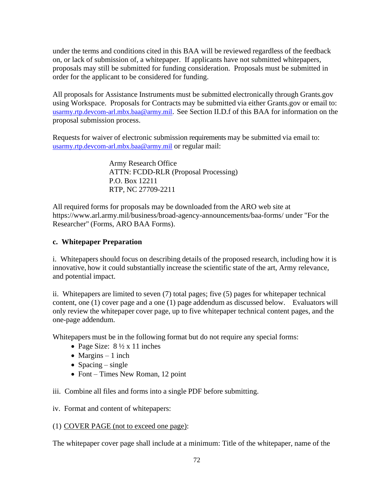under the terms and conditions cited in this BAA will be reviewed regardless of the feedback on, or lack of submission of, a whitepaper. If applicants have not submitted whitepapers, proposals may still be submitted for funding consideration. Proposals must be submitted in order for the applicant to be considered for funding.

All proposals for Assistance Instruments must be submitted electronically through Grants.gov using Workspace. Proposals for Contracts may be submitted via either Grants.gov or email to: [usarmy.rtp.devcom-arl.mbx.baa@army.mil](mailto:usarmy.rtp.devcom-arl.mbx.baa@army.mil)[.](mailto:usarmy.rtp.devcom-arl.mbx.baa@army.mil) See Section II.D.f of this BAA for information on the proposal submission process.

Requests for waiver of electronic submission requirements may be submitted via email to: [usarmy.rtp.devcom-arl.mbx.baa@army.mil](mailto:usarmy.rtp.devcom-arl.mbx.baa@army.mil) or regular mail:

> Army Research Office ATTN: FCDD-RLR (Proposal Processing) P.O. Box 12211 RTP, NC 27709-2211

All required forms for proposals may be downloaded from the ARO web site at https://www.arl.army.mil/business/broad-agency-announcements/baa-forms/ under "For the Researcher" (Forms, ARO BAA Forms).

#### **c. Whitepaper Preparation**

i. Whitepapers should focus on describing details of the proposed research, including how it is innovative, how it could substantially increase the scientific state of the art, Army relevance, and potential impact.

ii. Whitepapers are limited to seven (7) total pages; five (5) pages for whitepaper technical content, one (1) cover page and a one (1) page addendum as discussed below. Evaluators will only review the whitepaper cover page, up to five whitepaper technical content pages, and the one-page addendum.

Whitepapers must be in the following format but do not require any special forms:

- Page Size:  $8\frac{1}{2} \times 11$  inches
- Margins  $-1$  inch
- Spacing single
- Font Times New Roman, 12 point

iii. Combine all files and forms into a single PDF before submitting.

iv. Format and content of whitepapers:

(1) COVER PAGE (not to exceed one page):

The whitepaper cover page shall include at a minimum: Title of the whitepaper, name of the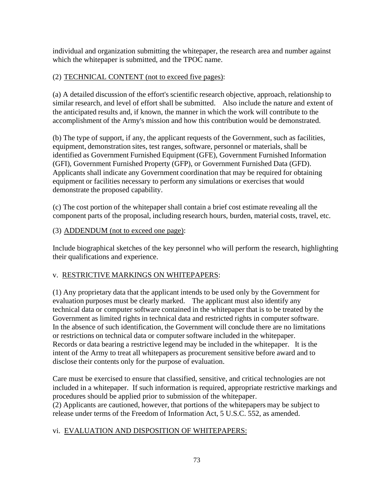individual and organization submitting the whitepaper, the research area and number against which the whitepaper is submitted, and the TPOC name.

#### (2) TECHNICAL CONTENT (not to exceed five pages):

(a) A detailed discussion of the effort's scientific research objective, approach, relationship to similar research, and level of effort shall be submitted. Also include the nature and extent of the anticipated results and, if known, the manner in which the work will contribute to the accomplishment of the Army's mission and how this contribution would be demonstrated.

(b) The type of support, if any, the applicant requests of the Government, such as facilities, equipment, demonstration sites, test ranges, software, personnel or materials, shall be identified as Government Furnished Equipment (GFE), Government Furnished Information (GFI), Government Furnished Property (GFP), or Government Furnished Data (GFD). Applicants shall indicate any Government coordination that may be required for obtaining equipment or facilities necessary to perform any simulations or exercises that would demonstrate the proposed capability.

(c) The cost portion of the whitepaper shall contain a brief cost estimate revealing all the component parts of the proposal, including research hours, burden, material costs, travel, etc.

#### (3) ADDENDUM (not to exceed one page):

Include biographical sketches of the key personnel who will perform the research, highlighting their qualifications and experience.

#### v. RESTRICTIVE MARKINGS ON WHITEPAPERS:

(1) Any proprietary data that the applicant intends to be used only by the Government for evaluation purposes must be clearly marked. The applicant must also identify any technical data or computer software contained in the whitepaper that is to be treated by the Government as limited rights in technical data and restricted rights in computer software. In the absence of such identification, the Government will conclude there are no limitations or restrictions on technical data or computer software included in the whitepaper. Records or data bearing a restrictive legend may be included in the whitepaper. It is the intent of the Army to treat all whitepapers as procurement sensitive before award and to disclose their contents only for the purpose of evaluation.

Care must be exercised to ensure that classified, sensitive, and critical technologies are not included in a whitepaper. If such information is required, appropriate restrictive markings and procedures should be applied prior to submission of the whitepaper. (2) Applicants are cautioned, however, that portions of the whitepapers may be subject to release under terms of the Freedom of Information Act, 5 U.S.C. 552, as amended.

## vi. EVALUATION AND DISPOSITION OF WHITEPAPERS: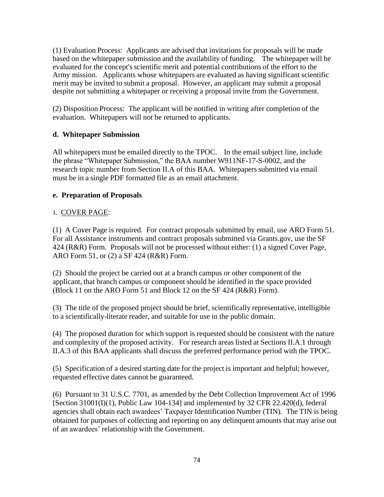(1) Evaluation Process: Applicants are advised that invitations for proposals will be made based on the whitepaper submission and the availability of funding. The whitepaper will be evaluated for the concept's scientific merit and potential contributions of the effort to the Army mission. Applicants whose whitepapers are evaluated as having significant scientific merit may be invited to submit a proposal. However, an applicant may submit a proposal despite not submitting a whitepaper or receiving a proposal invite from the Government.

(2) Disposition Process: The applicant will be notified in writing after completion of the evaluation. Whitepapers will not be returned to applicants.

## **d. Whitepaper Submission**

All whitepapers must be emailed directly to the TPOC. In the email subject line, include the phrase "Whitepaper Submission," the BAA number W911NF-17-S-0002, and the research topic number from Section II.A of this BAA. Whitepapers submitted via email must be in a single PDF formatted file as an email attachment.

## **e. Preparation of Proposals**

## i. COVER PAGE:

(1) A Cover Page is required. For contract proposals submitted by email, use ARO Form 51. For all Assistance instruments and contract proposals submitted via Grants.gov, use the SF 424 (R&R) Form. Proposals will not be processed without either: (1) a signed Cover Page, ARO Form 51, or (2) a SF 424 (R&R) Form.

(2) Should the project be carried out at a branch campus or other component of the applicant, that branch campus or component should be identified in the space provided (Block 11 on the ARO Form 51 and Block 12 on the SF 424 (R&R) Form).

(3) The title of the proposed project should be brief, scientifically representative, intelligible to a scientifically-literate reader, and suitable for use in the public domain.

(4) The proposed duration for which support is requested should be consistent with the nature and complexity of the proposed activity. For research areas listed at Sections II.A.1 through II.A.3 of this BAA applicants shall discuss the preferred performance period with the TPOC.

(5) Specification of a desired starting date for the project is important and helpful; however, requested effective dates cannot be guaranteed.

(6) Pursuant to 31 U.S.C. 7701, as amended by the Debt Collection Improvement Act of 1996 [Section 31001(I)(1), Public Law 104-134] and implemented by 32 CFR 22.420(d), federal agencies shall obtain each awardees' Taxpayer Identification Number (TIN). The TIN is being obtained for purposes of collecting and reporting on any delinquent amounts that may arise out of an awardees' relationship with the Government.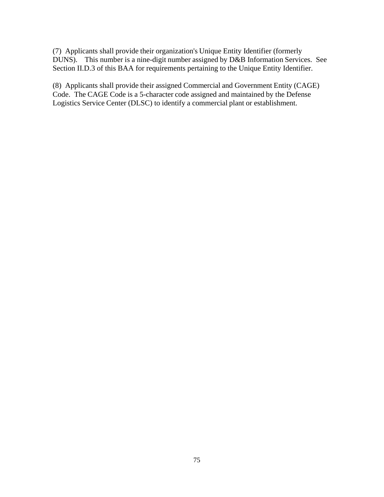(7) Applicants shall provide their organization's Unique Entity Identifier (formerly DUNS). This number is a nine-digit number assigned by D&B Information Services. See Section II.D.3 of this BAA for requirements pertaining to the Unique Entity Identifier.

(8) Applicants shall provide their assigned Commercial and Government Entity (CAGE) Code. The CAGE Code is a 5-character code assigned and maintained by the Defense Logistics Service Center (DLSC) to identify a commercial plant or establishment.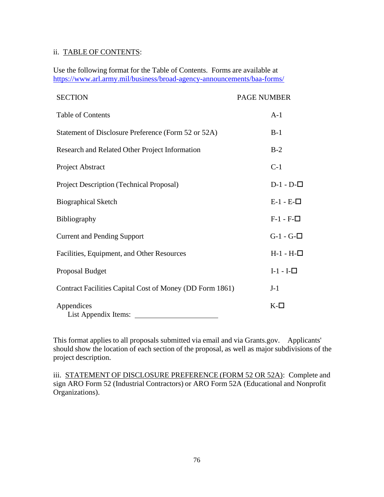#### ii. TABLE OF CONTENTS:

Use the following format for the Table of Contents. Forms are available at <https://www.arl.army.mil/business/broad-agency-announcements/baa-forms/>

| <b>SECTION</b>                                           | <b>PAGE NUMBER</b> |
|----------------------------------------------------------|--------------------|
| Table of Contents                                        | $A-1$              |
| Statement of Disclosure Preference (Form 52 or 52A)      | $B-1$              |
| Research and Related Other Project Information           | $B-2$              |
| Project Abstract                                         | $C-1$              |
| Project Description (Technical Proposal)                 | $D-1 - D-\square$  |
| <b>Biographical Sketch</b>                               | $E-1 - E-$         |
| Bibliography                                             | $F-1 - F-$         |
| <b>Current and Pending Support</b>                       | $G-1 - G-$         |
| Facilities, Equipment, and Other Resources               | $H-1 - H-$         |
| <b>Proposal Budget</b>                                   | $I-1-I$ - $\Box$   |
| Contract Facilities Capital Cost of Money (DD Form 1861) | $J-1$              |
| Appendices<br>List Appendix Items:                       | $K$ - $\Box$       |

This format applies to all proposals submitted via email and via Grants.gov. Applicants' should show the location of each section of the proposal, as well as major subdivisions of the project description.

iii. STATEMENT OF DISCLOSURE PREFERENCE (FORM 52 OR 52A): Complete and sign ARO Form 52 (Industrial Contractors) or ARO Form 52A (Educational and Nonprofit Organizations).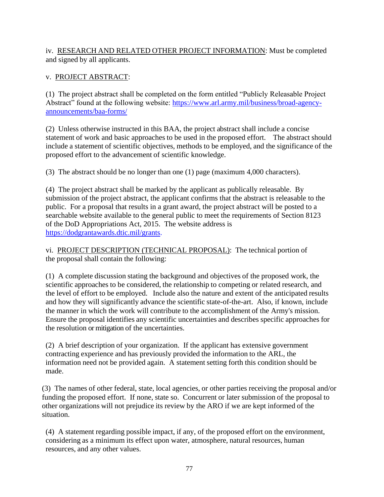## iv. RESEARCH AND RELATED OTHER PROJECT INFORMATION: Must be completed and signed by all applicants.

## v. PROJECT ABSTRACT:

(1) The project abstract shall be completed on the form entitled "Publicly Releasable Project Abstract" found at the following website: [https://www.arl.army.mil/business/broad-agency](https://www.arl.army.mil/business/broad-agency-announcements/baa-forms/)[announcements/baa-forms/](https://www.arl.army.mil/business/broad-agency-announcements/baa-forms/)

(2) Unless otherwise instructed in this BAA, the project abstract shall include a concise statement of work and basic approaches to be used in the proposed effort. The abstract should include a statement of scientific objectives, methods to be employed, and the significance of the proposed effort to the advancement of scientific knowledge.

(3) The abstract should be no longer than one (1) page (maximum 4,000 characters).

(4) The project abstract shall be marked by the applicant as publically releasable. By submission of the project abstract, the applicant confirms that the abstract is releasable to the public. For a proposal that results in a grant award, the project abstract will be posted to a searchable website available to the general public to meet the requirements of Section 8123 of the DoD Appropriations Act, 2015. The website address is [https://dodgrantawards.dtic.mil/grants.](https://dodgrantawards.dtic.mil/grants)

vi. PROJECT DESCRIPTION (TECHNICAL PROPOSAL): The technical portion of the proposal shall contain the following:

(1) A complete discussion stating the background and objectives of the proposed work, the scientific approaches to be considered, the relationship to competing or related research, and the level of effort to be employed. Include also the nature and extent of the anticipated results and how they will significantly advance the scientific state-of-the-art. Also, if known, include the manner in which the work will contribute to the accomplishment of the Army's mission. Ensure the proposal identifies any scientific uncertainties and describes specific approaches for the resolution or mitigation of the uncertainties.

(2) A brief description of your organization. If the applicant has extensive government contracting experience and has previously provided the information to the ARL, the information need not be provided again. A statement setting forth this condition should be made.

(3) The names of other federal, state, local agencies, or other parties receiving the proposal and/or funding the proposed effort. If none, state so. Concurrent or later submission of the proposal to other organizations will not prejudice its review by the ARO if we are kept informed of the situation.

(4) A statement regarding possible impact, if any, of the proposed effort on the environment, considering as a minimum its effect upon water, atmosphere, natural resources, human resources, and any other values.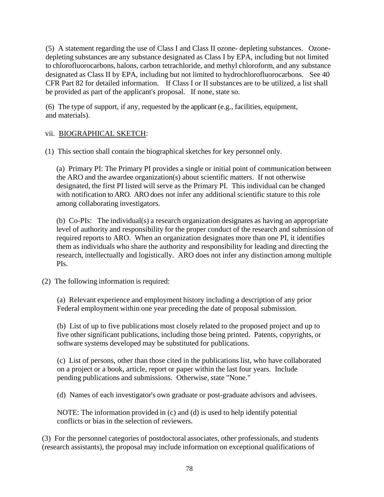(5) A statement regarding the use of Class I and Class II ozone- depleting substances. Ozonedepleting substances are any substance designated as Class I by EPA, including but not limited to chlorofluorocarbons, halons, carbon tetrachloride, and methyl chloroform, and any substance designated as Class II by EPA, including but not limited to hydrochlorofluorocarbons. See 40 CFR Part 82 for detailed information. If Class I or II substances are to be utilized, a list shall be provided as part of the applicant's proposal. If none, state so.

(6) The type of support, if any, requested by the applicant (e.g., facilities, equipment, and materials).

## vii. BIOGRAPHICAL SKETCH:

(1) This section shall contain the biographical sketches for key personnel only.

(a) Primary PI: The Primary PI provides a single or initial point of communication between the ARO and the awardee organization(s) about scientific matters. If not otherwise designated, the first PI listed will serve as the Primary PI. This individual can be changed with notification to ARO. ARO does not infer any additional scientific stature to this role among collaborating investigators.

(b) Co-PIs: The individual(s) a research organization designates as having an appropriate level of authority and responsibility for the proper conduct of the research and submission of required reports to ARO. When an organization designates more than one PI, it identifies them as individuals who share the authority and responsibility for leading and directing the research, intellectually and logistically. ARO does not infer any distinction among multiple PIs.

(2) The following information is required:

(a) Relevant experience and employment history including a description of any prior Federal employment within one year preceding the date of proposal submission.

(b) List of up to five publications most closely related to the proposed project and up to five other significant publications, including those being printed. Patents, copyrights, or software systems developed may be substituted for publications.

(c) List of persons, other than those cited in the publications list, who have collaborated on a project or a book, article, report or paper within the last four years. Include pending publications and submissions. Otherwise, state "None."

(d) Names of each investigator's own graduate or post-graduate advisors and advisees.

NOTE: The information provided in (c) and (d) is used to help identify potential conflicts or bias in the selection of reviewers.

(3) For the personnel categories of postdoctoral associates, other professionals, and students (research assistants), the proposal may include information on exceptional qualifications of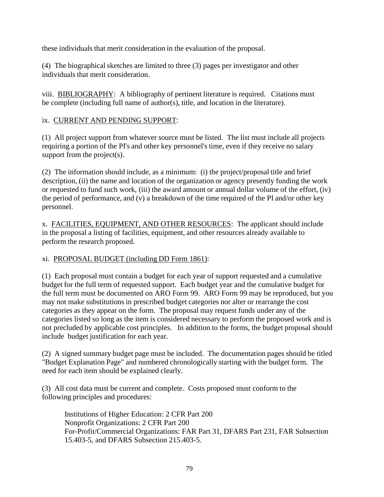these individuals that merit consideration in the evaluation of the proposal.

(4) The biographical sketches are limited to three (3) pages per investigator and other individuals that merit consideration.

viii. BIBLIOGRAPHY: A bibliography of pertinent literature is required. Citations must be complete (including full name of author(s), title, and location in the literature).

## ix. CURRENT AND PENDING SUPPORT:

(1) All project support from whatever source must be listed. The list must include all projects requiring a portion of the PI's and other key personnel's time, even if they receive no salary support from the project(s).

(2) The information should include, as a minimum: (i) the project/proposal title and brief description, (ii) the name and location of the organization or agency presently funding the work or requested to fund such work, (iii) the award amount or annual dollar volume of the effort, (iv) the period of performance, and (v) a breakdown of the time required of the PI and/or other key personnel.

x. FACILITIES, EQUIPMENT, AND OTHER RESOURCES: The applicant should include in the proposal a listing of facilities, equipment, and other resources already available to perform the research proposed.

# xi. PROPOSAL BUDGET (including DD Form 1861):

(1) Each proposal must contain a budget for each year of support requested and a cumulative budget for the full term of requested support. Each budget year and the cumulative budget for the full term must be documented on ARO Form 99. ARO Form 99 may be reproduced, but you may not make substitutions in prescribed budget categories nor alter or rearrange the cost categories as they appear on the form. The proposal may request funds under any of the categories listed so long as the item is considered necessary to perform the proposed work and is not precluded by applicable cost principles. In addition to the forms, the budget proposal should include budget justification for each year.

(2) A signed summary budget page must be included. The documentation pages should be titled "Budget Explanation Page" and numbered chronologically starting with the budget form. The need for each item should be explained clearly.

(3) All cost data must be current and complete. Costs proposed must conform to the following principles and procedures:

Institutions of Higher Education: 2 CFR Part 200 Nonprofit Organizations: 2 CFR Part 200 For-Profit/Commercial Organizations: FAR Part 31, DFARS Part 231, FAR Subsection 15.403-5, and DFARS Subsection 215.403-5.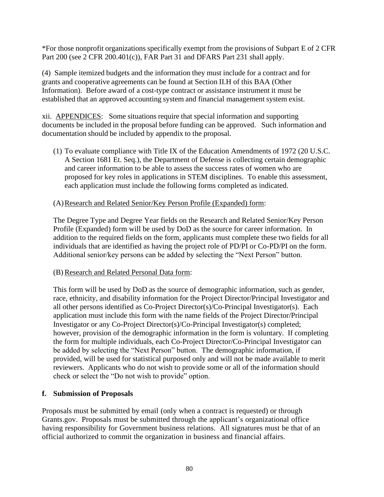\*For those nonprofit organizations specifically exempt from the provisions of Subpart E of 2 CFR Part 200 (see 2 CFR 200.401(c)), FAR Part 31 and DFARS Part 231 shall apply.

(4) Sample itemized budgets and the information they must include for a contract and for grants and cooperative agreements can be found at Section II.H of this BAA (Other Information). Before award of a cost-type contract or assistance instrument it must be established that an approved accounting system and financial management system exist.

xii. APPENDICES: Some situations require that special information and supporting documents be included in the proposal before funding can be approved. Such information and documentation should be included by appendix to the proposal.

(1) To evaluate compliance with Title IX of the Education Amendments of 1972 (20 U.S.C. A Section 1681 Et. Seq.), the Department of Defense is collecting certain demographic and career information to be able to assess the success rates of women who are proposed for key roles in applications in STEM disciplines. To enable this assessment, each application must include the following forms completed as indicated.

#### (A)Research and Related Senior/Key Person Profile (Expanded) form:

The Degree Type and Degree Year fields on the Research and Related Senior/Key Person Profile (Expanded) form will be used by DoD as the source for career information. In addition to the required fields on the form, applicants must complete these two fields for all individuals that are identified as having the project role of PD/PI or Co-PD/PI on the form. Additional senior/key persons can be added by selecting the "Next Person" button.

#### (B)Research and Related Personal Data form:

This form will be used by DoD as the source of demographic information, such as gender, race, ethnicity, and disability information for the Project Director/Principal Investigator and all other persons identified as Co-Project Director(s)/Co-Principal Investigator(s). Each application must include this form with the name fields of the Project Director/Principal Investigator or any Co-Project Director(s)/Co-Principal Investigator(s) completed; however, provision of the demographic information in the form is voluntary. If completing the form for multiple individuals, each Co-Project Director/Co-Principal Investigator can be added by selecting the "Next Person" button. The demographic information, if provided, will be used for statistical purposed only and will not be made available to merit reviewers. Applicants who do not wish to provide some or all of the information should check or select the "Do not wish to provide" option.

## **f. Submission of Proposals**

Proposals must be submitted by email (only when a contract is requested) or through Grants.gov. Proposals must be submitted through the applicant's organizational office having responsibility for Government business relations. All signatures must be that of an official authorized to commit the organization in business and financial affairs.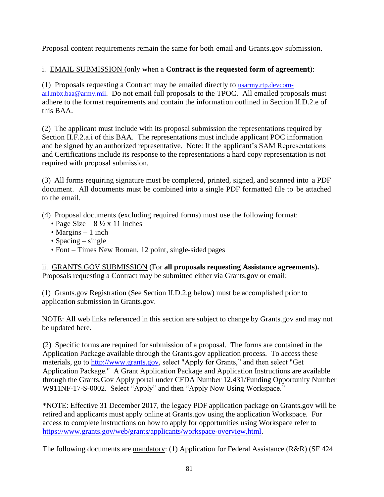Proposal content requirements remain the same for both email and Grants.gov submission.

# i. EMAIL SUBMISSION (only when a **Contract is the requested form of agreement**):

(1) Proposals requesting a Contract may be emailed directly to [usarmy.rtp.devcom](mailto:usarmy.rtp.devcom-arl.mbx.baa@army.mil)[arl.mbx.baa@army.mil](mailto:usarmy.rtp.devcom-arl.mbx.baa@army.mil). Do not email full proposals to the TPOC. All emailed proposals must adhere to the format requirements and contain the information outlined in Section II.D.2.e of this BAA.

(2) The applicant must include with its proposal submission the representations required by Section II.F.2.a.i of this BAA. The representations must include applicant POC information and be signed by an authorized representative. Note: If the applicant's SAM Representations and Certifications include its response to the representations a hard copy representation is not required with proposal submission.

(3) All forms requiring signature must be completed, printed, signed, and scanned into a PDF document. All documents must be combined into a single PDF formatted file to be attached to the email.

(4) Proposal documents (excluding required forms) must use the following format:

- Page Size  $8\frac{1}{2} \times 11$  inches
- Margins  $-1$  inch
- Spacing single
- Font Times New Roman, 12 point, single-sided pages

ii. GRANTS.GOV SUBMISSION (For **all proposals requesting Assistance agreements).** Proposals requesting a Contract may be submitted either via Grants.gov or email:

(1) Grants.gov Registration (See Section II.D.2.g below) must be accomplished prior to application submission in Grants.gov.

NOTE: All web links referenced in this section are subject to change by Grants.gov and may not be updated here.

(2) Specific forms are required for submission of a proposal. The forms are contained in the Application Package available through the Grants.gov application process. To access these materials, go to [http://www.grants.gov,](http://www.grants.gov/) select "Apply for Grants," and then select "Get Application Package." A Grant Application Package and Application Instructions are available through the Grants.Gov Apply portal under CFDA Number 12.431/Funding Opportunity Number W911NF-17-S-0002. Select "Apply" and then "Apply Now Using Workspace."

\*NOTE: Effective 31 December 2017, the legacy PDF application package on Grants.gov will be retired and applicants must apply online at Grants.gov using the application Workspace. For access to complete instructions on how to apply for opportunities using Workspace refer to [https://www.grants.gov/web/grants/applicants/workspace-overview.html.](https://www.grants.gov/web/grants/applicants/workspace-overview.html)

The following documents are mandatory: (1) Application for Federal Assistance (R&R) (SF 424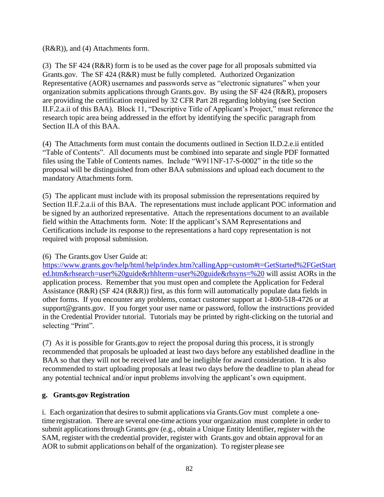(R&R)), and (4) Attachments form.

(3) The SF 424 (R&R) form is to be used as the cover page for all proposals submitted via Grants.gov. The SF 424 (R&R) must be fully completed. Authorized Organization Representative (AOR) usernames and passwords serve as "electronic signatures" when your organization submits applications through Grants.gov. By using the SF 424 (R&R), proposers are providing the certification required by 32 CFR Part 28 regarding lobbying (see Section II.F.2.a.ii of this BAA). Block 11, "Descriptive Title of Applicant's Project," must reference the research topic area being addressed in the effort by identifying the specific paragraph from Section II.A of this BAA.

(4) The Attachments form must contain the documents outlined in Section II.D.2.e.ii entitled "Table of Contents". All documents must be combined into separate and single PDF formatted files using the Table of Contents names. Include "W911NF-17-S-0002" in the title so the proposal will be distinguished from other BAA submissions and upload each document to the mandatory Attachments form.

(5) The applicant must include with its proposal submission the representations required by Section II.F.2.a.ii of this BAA. The representations must include applicant POC information and be signed by an authorized representative. Attach the representations document to an available field within the Attachments form. Note: If the applicant's SAM Representations and Certifications include its response to the representations a hard copy representation is not required with proposal submission.

## (6) The Grants.gov User Guide at:

https://www.grants.gov/help/html/help/index.htm?callingApp=custom#t=GetStarted%2FGetStart ed.htm&rhsearch=user%20guide&rhhlterm=user%20guide&rhsyns=%20 will assist AORs in the application process. Remember that you must open and complete the Application for Federal Assistance (R&R) (SF 424 (R&R)) first, as this form will automatically populate data fields in other forms. If you encounter any problems, contact customer support at 1-800-518-4726 or at support@grants.gov. If you forget your user name or password, follow the instructions provided in the Credential Provider tutorial. Tutorials may be printed by right-clicking on the tutorial and selecting "Print".

(7) As it is possible for Grants.gov to reject the proposal during this process, it is strongly recommended that proposals be uploaded at least two days before any established deadline in the BAA so that they will not be received late and be ineligible for award consideration. It is also recommended to start uploading proposals at least two days before the deadline to plan ahead for any potential technical and/or input problems involving the applicant's own equipment.

## **g. Grants.gov Registration**

i. Each organization that desires to submit applications via Grants.Gov must complete a onetime registration. There are several one-time actions your organization must complete in order to submit applications through Grants.gov (e.g., obtain a Unique Entity Identifier, register with the SAM, register with the credential provider, register with Grants.gov and obtain approval for an AOR to submit applications on behalf of the organization). To register please see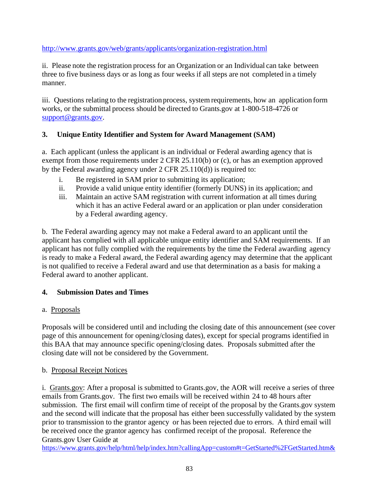## <http://www.grants.gov/web/grants/applicants/organization-registration.html>

ii. Please note the registration process for an Organization or an Individual can take between three to five business days or as long as four weeks if all steps are not completed in a timely manner.

iii. Questions relating to the registration process, system requirements, how an application form works, or the submittal process should be directed to Grants.gov at 1-800-518-4726 or [support@grants.gov.](mailto:support@grants.gov) 

## **3. Unique Entity Identifier and System for Award Management (SAM)**

a. Each applicant (unless the applicant is an individual or Federal awarding agency that is exempt from those requirements under 2 CFR 25.110(b) or (c), or has an exemption approved by the Federal awarding agency under 2 CFR 25.110(d)) is required to:

- i. Be registered in SAM prior to submitting its application;
- ii. Provide a valid unique entity identifier (formerly DUNS) in its application; and
- iii. Maintain an active SAM registration with current information at all times during which it has an active Federal award or an application or plan under consideration by a Federal awarding agency.

b. The Federal awarding agency may not make a Federal award to an applicant until the applicant has complied with all applicable unique entity identifier and SAM requirements. If an applicant has not fully complied with the requirements by the time the Federal awarding agency is ready to make a Federal award, the Federal awarding agency may determine that the applicant is not qualified to receive a Federal award and use that determination as a basis for making a Federal award to another applicant.

## **4. Submission Dates and Times**

## a. Proposals

Proposals will be considered until and including the closing date of this announcement (see cover page of this announcement for opening/closing dates), except for special programs identified in this BAA that may announce specific opening/closing dates. Proposals submitted after the closing date will not be considered by the Government.

## b. Proposal Receipt Notices

i. Grants.gov: After a proposal is submitted to Grants.gov, the AOR will receive a series of three emails from Grants.gov. The first two emails will be received within 24 to 48 hours after submission. The first email will confirm time of receipt of the proposal by the Grants.gov system and the second will indicate that the proposal has either been successfully validated by the system prior to transmission to the grantor agency or has been rejected due to errors. A third email will be received once the grantor agency has confirmed receipt of the proposal. Reference the Grants.gov User Guide at

https://www.grants.gov/help/html/help/index.htm?callingApp=custom#t=GetStarted%2FGetStarted.htm&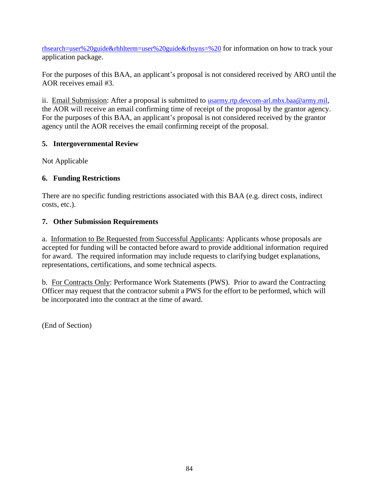rhsearch=user%20guide&rhhlterm=user%20guide&rhsyns=%20 for information on how to track your application package.

For the purposes of this BAA, an applicant's proposal is not considered received by ARO until the AOR receives email #3.

ii. Email Submission: After a proposal is submitted to [usarmy.rtp.devcom-arl.mbx.baa@army.mil](mailto:usarmy.rtp.devcom-arl.mbx.baa@army.mil), the AOR will receive an email confirming time of receipt of the proposal by the grantor agency. For the purposes of this BAA, an applicant's proposal is not considered received by the grantor agency until the AOR receives the email confirming receipt of the proposal.

## **5. Intergovernmental Review**

Not Applicable

# **6. Funding Restrictions**

There are no specific funding restrictions associated with this BAA (e.g. direct costs, indirect costs, etc.).

## **7. Other Submission Requirements**

a. Information to Be Requested from Successful Applicants: Applicants whose proposals are accepted for funding will be contacted before award to provide additional information required for award. The required information may include requests to clarifying budget explanations, representations, certifications, and some technical aspects.

b. For Contracts Only: Performance Work Statements (PWS). Prior to award the Contracting Officer may request that the contractor submit a PWS for the effort to be performed, which will be incorporated into the contract at the time of award.

(End of Section)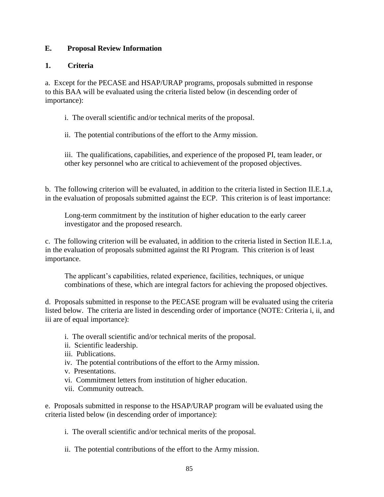## **E. Proposal Review Information**

## **1. Criteria**

a. Except for the PECASE and HSAP/URAP programs, proposals submitted in response to this BAA will be evaluated using the criteria listed below (in descending order of importance):

i. The overall scientific and/or technical merits of the proposal.

ii. The potential contributions of the effort to the Army mission.

iii. The qualifications, capabilities, and experience of the proposed PI, team leader, or other key personnel who are critical to achievement of the proposed objectives.

b. The following criterion will be evaluated, in addition to the criteria listed in Section II.E.1.a, in the evaluation of proposals submitted against the ECP. This criterion is of least importance:

Long-term commitment by the institution of higher education to the early career investigator and the proposed research.

c. The following criterion will be evaluated, in addition to the criteria listed in Section II.E.1.a, in the evaluation of proposals submitted against the RI Program. This criterion is of least importance.

The applicant's capabilities, related experience, facilities, techniques, or unique combinations of these, which are integral factors for achieving the proposed objectives.

d. Proposals submitted in response to the PECASE program will be evaluated using the criteria listed below. The criteria are listed in descending order of importance (NOTE: Criteria i, ii, and iii are of equal importance):

- i. The overall scientific and/or technical merits of the proposal.
- ii. Scientific leadership.
- iii. Publications.
- iv. The potential contributions of the effort to the Army mission.
- v. Presentations.
- vi. Commitment letters from institution of higher education.
- vii. Community outreach.

e. Proposals submitted in response to the HSAP/URAP program will be evaluated using the criteria listed below (in descending order of importance):

i. The overall scientific and/or technical merits of the proposal.

ii. The potential contributions of the effort to the Army mission.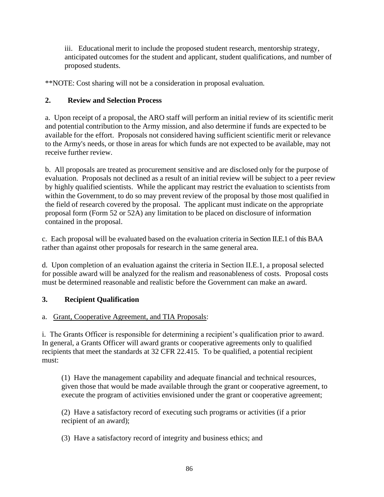iii. Educational merit to include the proposed student research, mentorship strategy, anticipated outcomes for the student and applicant, student qualifications, and number of proposed students.

\*\*NOTE: Cost sharing will not be a consideration in proposal evaluation.

## **2. Review and Selection Process**

a. Upon receipt of a proposal, the ARO staff will perform an initial review of its scientific merit and potential contribution to the Army mission, and also determine if funds are expected to be available for the effort. Proposals not considered having sufficient scientific merit or relevance to the Army's needs, or those in areas for which funds are not expected to be available, may not receive further review.

b. All proposals are treated as procurement sensitive and are disclosed only for the purpose of evaluation. Proposals not declined as a result of an initial review will be subject to a peer review by highly qualified scientists. While the applicant may restrict the evaluation to scientists from within the Government, to do so may prevent review of the proposal by those most qualified in the field of research covered by the proposal. The applicant must indicate on the appropriate proposal form (Form 52 or 52A) any limitation to be placed on disclosure of information contained in the proposal.

c. Each proposal will be evaluated based on the evaluation criteria in Section II.E.1 of this BAA rather than against other proposals for research in the same general area.

d. Upon completion of an evaluation against the criteria in Section II.E.1, a proposal selected for possible award will be analyzed for the realism and reasonableness of costs. Proposal costs must be determined reasonable and realistic before the Government can make an award.

# **3. Recipient Qualification**

# a. Grant, Cooperative Agreement, and TIA Proposals:

i. The Grants Officer is responsible for determining a recipient's qualification prior to award. In general, a Grants Officer will award grants or cooperative agreements only to qualified recipients that meet the standards at 32 CFR 22.415. To be qualified, a potential recipient must:

(1) Have the management capability and adequate financial and technical resources, given those that would be made available through the grant or cooperative agreement, to execute the program of activities envisioned under the grant or cooperative agreement;

(2) Have a satisfactory record of executing such programs or activities (if a prior recipient of an award);

(3) Have a satisfactory record of integrity and business ethics; and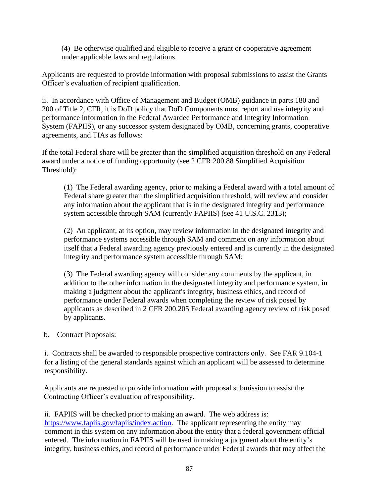(4) Be otherwise qualified and eligible to receive a grant or cooperative agreement under applicable laws and regulations.

Applicants are requested to provide information with proposal submissions to assist the Grants Officer's evaluation of recipient qualification.

ii. In accordance with Office of Management and Budget (OMB) guidance in parts 180 and 200 of Title 2, CFR, it is DoD policy that DoD Components must report and use integrity and performance information in the Federal Awardee Performance and Integrity Information System (FAPIIS), or any successor system designated by OMB, concerning grants, cooperative agreements, and TIAs as follows:

If the total Federal share will be greater than the simplified acquisition threshold on any Federal award under a notice of funding opportunity (see 2 CFR 200.88 Simplified Acquisition Threshold):

(1) The Federal awarding agency, prior to making a Federal award with a total amount of Federal share greater than the simplified acquisition threshold, will review and consider any information about the applicant that is in the designated integrity and performance system accessible through SAM (currently FAPIIS) (see 41 U.S.C. 2313);

(2) An applicant, at its option, may review information in the designated integrity and performance systems accessible through SAM and comment on any information about itself that a Federal awarding agency previously entered and is currently in the designated integrity and performance system accessible through SAM;

(3) The Federal awarding agency will consider any comments by the applicant, in addition to the other information in the designated integrity and performance system, in making a judgment about the applicant's integrity, business ethics, and record of performance under Federal awards when completing the review of risk posed by applicants as described in 2 CFR 200.205 Federal awarding agency review of risk posed by applicants.

## b. Contract Proposals:

i. Contracts shall be awarded to responsible prospective contractors only. See FAR 9.104-1 for a listing of the general standards against which an applicant will be assessed to determine responsibility.

Applicants are requested to provide information with proposal submission to assist the Contracting Officer's evaluation of responsibility.

ii. FAPIIS will be checked prior to making an award. The web address is: [https://www.fapiis.gov/fapiis/index.action.](https://www.fapiis.gov/fapiis/index.action) The applicant representing the entity may comment in this system on any information about the entity that a federal government official entered. The information in FAPIIS will be used in making a judgment about the entity's integrity, business ethics, and record of performance under Federal awards that may affect the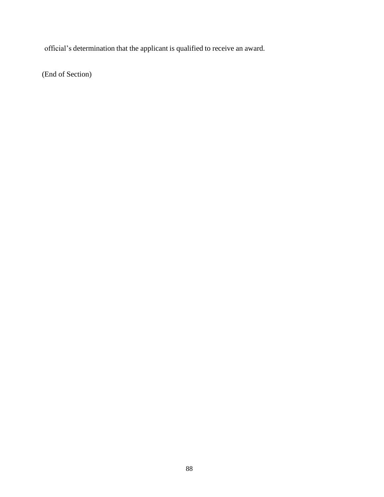official's determination that the applicant is qualified to receive an award.

(End of Section)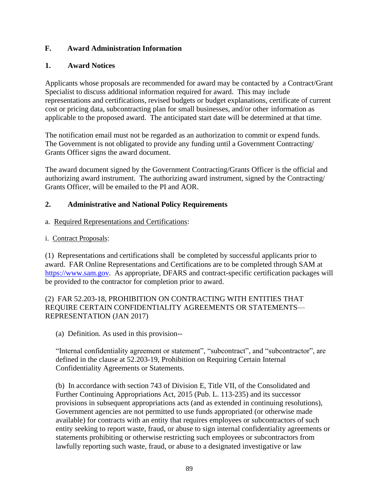## **F. Award Administration Information**

## **1. Award Notices**

Applicants whose proposals are recommended for award may be contacted by a Contract/Grant Specialist to discuss additional information required for award. This may include representations and certifications, revised budgets or budget explanations, certificate of current cost or pricing data, subcontracting plan for small businesses, and/or other information as applicable to the proposed award. The anticipated start date will be determined at that time.

The notification email must not be regarded as an authorization to commit or expend funds. The Government is not obligated to provide any funding until a Government Contracting/ Grants Officer signs the award document.

The award document signed by the Government Contracting/Grants Officer is the official and authorizing award instrument. The authorizing award instrument, signed by the Contracting/ Grants Officer, will be emailed to the PI and AOR.

## **2. Administrative and National Policy Requirements**

- a. Required Representations and Certifications:
- i. Contract Proposals:

(1) Representations and certifications shall be completed by successful applicants prior to award. FAR Online Representations and Certifications are to be completed through SAM at [https://www.sam.gov.](https://www.sam.gov/) As appropriate, DFARS and contract-specific certification packages will be provided to the contractor for completion prior to award.

## (2) FAR 52.203-18, PROHIBITION ON CONTRACTING WITH ENTITIES THAT REQUIRE CERTAIN CONFIDENTIALITY AGREEMENTS OR STATEMENTS— REPRESENTATION (JAN 2017)

(a) Definition. As used in this provision--

"Internal confidentiality agreement or statement", "subcontract", and "subcontractor", are defined in the clause at 52.203-19, Prohibition on Requiring Certain Internal Confidentiality Agreements or Statements.

(b) In accordance with section 743 of Division E, Title VII, of the Consolidated and Further Continuing Appropriations Act, 2015 (Pub. L. 113-235) and its successor provisions in subsequent appropriations acts (and as extended in continuing resolutions), Government agencies are not permitted to use funds appropriated (or otherwise made available) for contracts with an entity that requires employees or subcontractors of such entity seeking to report waste, fraud, or abuse to sign internal confidentiality agreements or statements prohibiting or otherwise restricting such employees or subcontractors from lawfully reporting such waste, fraud, or abuse to a designated investigative or law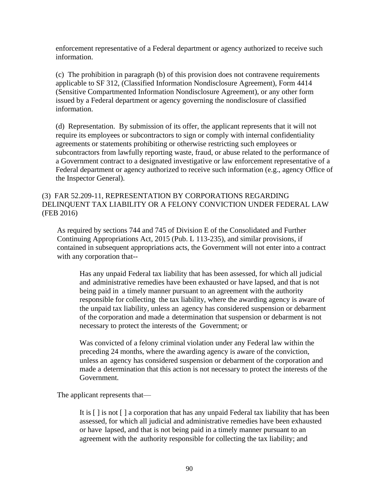enforcement representative of a Federal department or agency authorized to receive such information.

(c) The prohibition in paragraph (b) of this provision does not contravene requirements applicable to SF 312, (Classified Information Nondisclosure Agreement), Form 4414 (Sensitive Compartmented Information Nondisclosure Agreement), or any other form issued by a Federal department or agency governing the nondisclosure of classified information.

(d) Representation. By submission of its offer, the applicant represents that it will not require its employees or subcontractors to sign or comply with internal confidentiality agreements or statements prohibiting or otherwise restricting such employees or subcontractors from lawfully reporting waste, fraud, or abuse related to the performance of a Government contract to a designated investigative or law enforcement representative of a Federal department or agency authorized to receive such information (e.g., agency Office of the Inspector General).

#### (3) FAR 52.209-11, REPRESENTATION BY CORPORATIONS REGARDING DELINQUENT TAX LIABILITY OR A FELONY CONVICTION UNDER FEDERAL LAW (FEB 2016)

As required by sections 744 and 745 of Division E of the Consolidated and Further Continuing Appropriations Act, 2015 (Pub. L 113-235), and similar provisions, if contained in subsequent appropriations acts, the Government will not enter into a contract with any corporation that--

Has any unpaid Federal tax liability that has been assessed, for which all judicial and administrative remedies have been exhausted or have lapsed, and that is not being paid in a timely manner pursuant to an agreement with the authority responsible for collecting the tax liability, where the awarding agency is aware of the unpaid tax liability, unless an agency has considered suspension or debarment of the corporation and made a determination that suspension or debarment is not necessary to protect the interests of the Government; or

Was convicted of a felony criminal violation under any Federal law within the preceding 24 months, where the awarding agency is aware of the conviction, unless an agency has considered suspension or debarment of the corporation and made a determination that this action is not necessary to protect the interests of the Government.

The applicant represents that—

It is [ ] is not [ ] a corporation that has any unpaid Federal tax liability that has been assessed, for which all judicial and administrative remedies have been exhausted or have lapsed, and that is not being paid in a timely manner pursuant to an agreement with the authority responsible for collecting the tax liability; and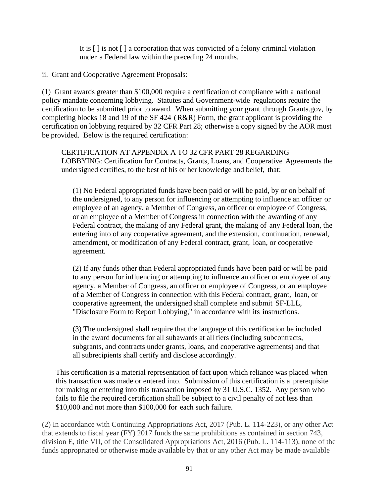It is [ ] is not [ ] a corporation that was convicted of a felony criminal violation under a Federal law within the preceding 24 months.

#### ii. Grant and Cooperative Agreement Proposals:

(1) Grant awards greater than \$100,000 require a certification of compliance with a national policy mandate concerning lobbying. Statutes and Government-wide regulations require the certification to be submitted prior to award. When submitting your grant through Grants.gov, by completing blocks 18 and 19 of the SF 424 (R&R) Form, the grant applicant is providing the certification on lobbying required by 32 CFR Part 28; otherwise a copy signed by the AOR must be provided. Below is the required certification:

CERTIFICATION AT APPENDIX A TO 32 CFR PART 28 REGARDING LOBBYING: Certification for Contracts, Grants, Loans, and Cooperative Agreements the undersigned certifies, to the best of his or her knowledge and belief, that:

(1) No Federal appropriated funds have been paid or will be paid, by or on behalf of the undersigned, to any person for influencing or attempting to influence an officer or employee of an agency, a Member of Congress, an officer or employee of Congress, or an employee of a Member of Congress in connection with the awarding of any Federal contract, the making of any Federal grant, the making of any Federal loan, the entering into of any cooperative agreement, and the extension, continuation, renewal, amendment, or modification of any Federal contract, grant, loan, or cooperative agreement.

(2) If any funds other than Federal appropriated funds have been paid or will be paid to any person for influencing or attempting to influence an officer or employee of any agency, a Member of Congress, an officer or employee of Congress, or an employee of a Member of Congress in connection with this Federal contract, grant, loan, or cooperative agreement, the undersigned shall complete and submit SF-LLL, "Disclosure Form to Report Lobbying," in accordance with its instructions.

(3) The undersigned shall require that the language of this certification be included in the award documents for all subawards at all tiers (including subcontracts, subgrants, and contracts under grants, loans, and cooperative agreements) and that all subrecipients shall certify and disclose accordingly.

This certification is a material representation of fact upon which reliance was placed when this transaction was made or entered into. Submission of this certification is a prerequisite for making or entering into this transaction imposed by 31 U.S.C. 1352. Any person who fails to file the required certification shall be subject to a civil penalty of not less than \$10,000 and not more than \$100,000 for each such failure.

(2) In accordance with Continuing Appropriations Act, 2017 (Pub. L. 114-223), or any other Act that extends to fiscal year (FY) 2017 funds the same prohibitions as contained in section 743, division E, title VII, of the Consolidated Appropriations Act, 2016 (Pub. L. 114-113), none of the funds appropriated or otherwise made available by that or any other Act may be made available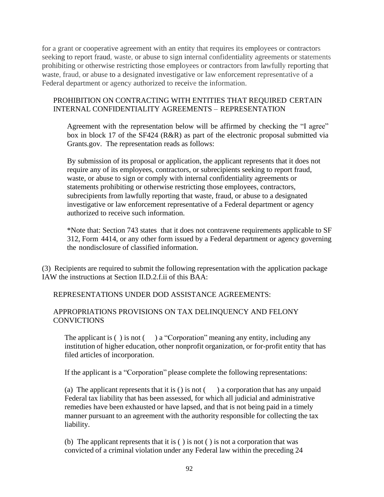for a grant or cooperative agreement with an entity that requires its employees or contractors seeking to report fraud, waste, or abuse to sign internal confidentiality agreements or statements prohibiting or otherwise restricting those employees or contractors from lawfully reporting that waste, fraud, or abuse to a designated investigative or law enforcement representative of a Federal department or agency authorized to receive the information.

#### PROHIBITION ON CONTRACTING WITH ENTITIES THAT REQUIRED CERTAIN INTERNAL CONFIDENTIALITY AGREEMENTS – REPRESENTATION

Agreement with the representation below will be affirmed by checking the "I agree" box in block 17 of the SF424 (R&R) as part of the electronic proposal submitted via Grants.gov. The representation reads as follows:

By submission of its proposal or application, the applicant represents that it does not require any of its employees, contractors, or subrecipients seeking to report fraud, waste, or abuse to sign or comply with internal confidentiality agreements or statements prohibiting or otherwise restricting those employees, contractors, subrecipients from lawfully reporting that waste, fraud, or abuse to a designated investigative or law enforcement representative of a Federal department or agency authorized to receive such information.

\*Note that: Section 743 states that it does not contravene requirements applicable to SF 312, Form 4414, or any other form issued by a Federal department or agency governing the nondisclosure of classified information.

(3) Recipients are required to submit the following representation with the application package IAW the instructions at Section II.D.2.f.ii of this BAA:

REPRESENTATIONS UNDER DOD ASSISTANCE AGREEMENTS:

## APPROPRIATIONS PROVISIONS ON TAX DELINQUENCY AND FELONY **CONVICTIONS**

The applicant is  $( )$  is not  $( )$  a "Corporation" meaning any entity, including any institution of higher education, other nonprofit organization, or for-profit entity that has filed articles of incorporation.

If the applicant is a "Corporation" please complete the following representations:

(a) The applicant represents that it is () is not  $($ ) a corporation that has any unpaid Federal tax liability that has been assessed, for which all judicial and administrative remedies have been exhausted or have lapsed, and that is not being paid in a timely manner pursuant to an agreement with the authority responsible for collecting the tax liability.

(b) The applicant represents that it is ( ) is not ( ) is not a corporation that was convicted of a criminal violation under any Federal law within the preceding 24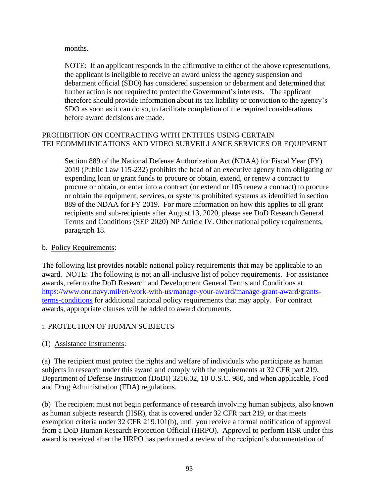months.

NOTE: If an applicant responds in the affirmative to either of the above representations, the applicant is ineligible to receive an award unless the agency suspension and debarment official (SDO) has considered suspension or debarment and determined that further action is not required to protect the Government's interests. The applicant therefore should provide information about its tax liability or conviction to the agency's SDO as soon as it can do so, to facilitate completion of the required considerations before award decisions are made.

## PROHIBITION ON CONTRACTING WITH ENTITIES USING CERTAIN TELECOMMUNICATIONS AND VIDEO SURVEILLANCE SERVICES OR EQUIPMENT

Section 889 of the National Defense Authorization Act (NDAA) for Fiscal Year (FY) 2019 (Public Law 115-232) prohibits the head of an executive agency from obligating or expending loan or grant funds to procure or obtain, extend, or renew a contract to procure or obtain, or enter into a contract (or extend or 105 renew a contract) to procure or obtain the equipment, services, or systems prohibited systems as identified in section 889 of the NDAA for FY 2019. For more information on how this applies to all grant recipients and sub-recipients after August 13, 2020, please see DoD Research General Terms and Conditions (SEP 2020) NP Article IV. Other national policy requirements, paragraph 18.

## b. Policy Requirements:

The following list provides notable national policy requirements that may be applicable to an award. NOTE: The following is not an all-inclusive list of policy requirements. For assistance awards, refer to the DoD Research and Development General Terms and Conditions at https://www.onr.navy.mil/en/work-with-us/manage-your-award/manage-grant-award/grantsterms-conditions for additional national policy requirements that may apply. For contract awards, appropriate clauses will be added to award documents.

# i. PROTECTION OF HUMAN SUBJECTS

(1) Assistance Instruments:

(a) The recipient must protect the rights and welfare of individuals who participate as human subjects in research under this award and comply with the requirements at 32 CFR part 219, Department of Defense Instruction (DoDI) 3216.02, 10 U.S.C. 980, and when applicable, Food and Drug Administration (FDA) regulations.

(b) The recipient must not begin performance of research involving human subjects, also known as human subjects research (HSR), that is covered under 32 CFR part 219, or that meets exemption criteria under 32 CFR 219.101(b), until you receive a formal notification of approval from a DoD Human Research Protection Official (HRPO). Approval to perform HSR under this award is received after the HRPO has performed a review of the recipient's documentation of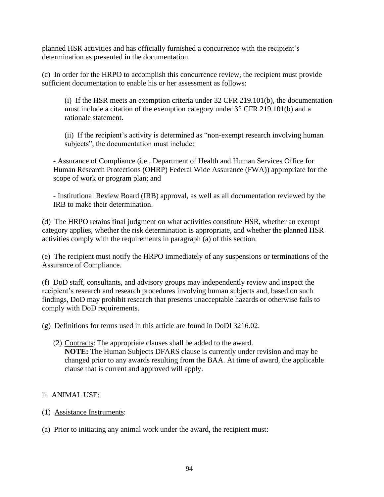planned HSR activities and has officially furnished a concurrence with the recipient's determination as presented in the documentation.

(c) In order for the HRPO to accomplish this concurrence review, the recipient must provide sufficient documentation to enable his or her assessment as follows:

(i) If the HSR meets an exemption criteria under 32 CFR 219.101(b), the documentation must include a citation of the exemption category under 32 CFR 219.101(b) and a rationale statement.

(ii) If the recipient's activity is determined as "non-exempt research involving human subjects", the documentation must include:

- Assurance of Compliance (i.e., Department of Health and Human Services Office for Human Research Protections (OHRP) Federal Wide Assurance (FWA)) appropriate for the scope of work or program plan; and

- Institutional Review Board (IRB) approval, as well as all documentation reviewed by the IRB to make their determination.

(d) The HRPO retains final judgment on what activities constitute HSR, whether an exempt category applies, whether the risk determination is appropriate, and whether the planned HSR activities comply with the requirements in paragraph (a) of this section.

(e) The recipient must notify the HRPO immediately of any suspensions or terminations of the Assurance of Compliance.

(f) DoD staff, consultants, and advisory groups may independently review and inspect the recipient's research and research procedures involving human subjects and, based on such findings, DoD may prohibit research that presents unacceptable hazards or otherwise fails to comply with DoD requirements.

(g) Definitions for terms used in this article are found in DoDI 3216.02.

(2) Contracts: The appropriate clauses shall be added to the award. **NOTE:** The Human Subjects DFARS clause is currently under revision and may be changed prior to any awards resulting from the BAA. At time of award, the applicable clause that is current and approved will apply.

## ii. ANIMAL USE:

- (1) Assistance Instruments:
- (a) Prior to initiating any animal work under the award, the recipient must: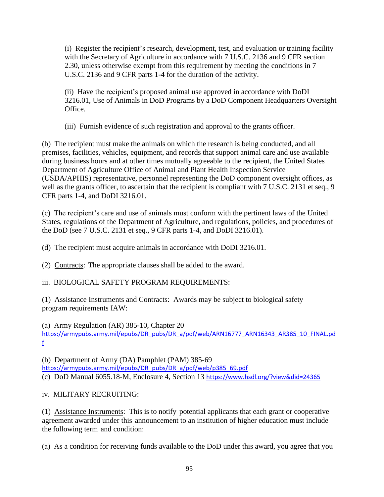(i) Register the recipient's research, development, test, and evaluation or training facility with the Secretary of Agriculture in accordance with 7 U.S.C. 2136 and 9 CFR section 2.30, unless otherwise exempt from this requirement by meeting the conditions in 7 U.S.C. 2136 and 9 CFR parts 1-4 for the duration of the activity.

(ii) Have the recipient's proposed animal use approved in accordance with DoDI 3216.01, Use of Animals in DoD Programs by a DoD Component Headquarters Oversight Office.

(iii) Furnish evidence of such registration and approval to the grants officer.

(b) The recipient must make the animals on which the research is being conducted, and all premises, facilities, vehicles, equipment, and records that support animal care and use available during business hours and at other times mutually agreeable to the recipient, the United States Department of Agriculture Office of Animal and Plant Health Inspection Service (USDA/APHIS) representative, personnel representing the DoD component oversight offices, as well as the grants officer, to ascertain that the recipient is compliant with 7 U.S.C. 2131 et seq., 9 CFR parts 1-4, and DoDI 3216.01.

(c) The recipient's care and use of animals must conform with the pertinent laws of the United States, regulations of the Department of Agriculture, and regulations, policies, and procedures of the DoD (see 7 U.S.C. 2131 et seq., 9 CFR parts 1-4, and DoDI 3216.01).

(d) The recipient must acquire animals in accordance with DoDI 3216.01.

(2) Contracts: The appropriate clauses shall be added to the award.

iii. BIOLOGICAL SAFETY PROGRAM REQUIREMENTS:

(1) Assistance Instruments and Contracts: Awards may be subject to biological safety program requirements IAW:

(a) Army Regulation (AR) 385-10, Chapter 20 [https://armypubs.army.mil/epubs/DR\\_pubs/DR\\_a/pdf/web/ARN16777\\_ARN16343\\_AR385\\_10\\_FINAL.pd](https://armypubs.army.mil/epubs/DR_pubs/DR_a/pdf/web/ARN16777_ARN16343_AR385_10_FINAL.pdf) [f](https://armypubs.army.mil/epubs/DR_pubs/DR_a/pdf/web/ARN16777_ARN16343_AR385_10_FINAL.pdf)

(b) Department of Army (DA) Pamphlet (PAM) 385-69 [https://armypubs.army.mil/epubs/DR\\_pubs/DR\\_a/pdf/web/p385\\_69.pdf](https://armypubs.army.mil/epubs/DR_pubs/DR_a/pdf/web/p385_69.pdf) (c) DoD Manual 6055.18-M, Enclosure 4, Section 13 <https://www.hsdl.org/?view&did=24365>

iv. MILITARY RECRUITING:

(1) Assistance Instruments: This is to notify potential applicants that each grant or cooperative agreement awarded under this announcement to an institution of higher education must include the following term and condition:

(a) As a condition for receiving funds available to the DoD under this award, you agree that you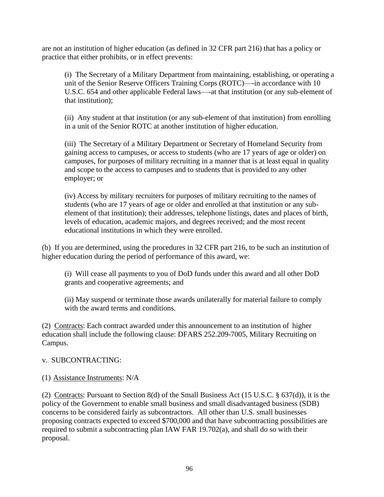are not an institution of higher education (as defined in 32 CFR part 216) that has a policy or practice that either prohibits, or in effect prevents:

(i) The Secretary of a Military Department from maintaining, establishing, or operating a unit of the Senior Reserve Officers Training Corps (ROTC)—-in accordance with 10 U.S.C. 654 and other applicable Federal laws—-at that institution (or any sub-element of that institution);

(ii) Any student at that institution (or any sub-element of that institution) from enrolling in a unit of the Senior ROTC at another institution of higher education.

(iii) The Secretary of a Military Department or Secretary of Homeland Security from gaining access to campuses, or access to students (who are 17 years of age or older) on campuses, for purposes of military recruiting in a manner that is at least equal in quality and scope to the access to campuses and to students that is provided to any other employer; or

(iv) Access by military recruiters for purposes of military recruiting to the names of students (who are 17 years of age or older and enrolled at that institution or any subelement of that institution); their addresses, telephone listings, dates and places of birth, levels of education, academic majors, and degrees received; and the most recent educational institutions in which they were enrolled.

(b) If you are determined, using the procedures in 32 CFR part 216, to be such an institution of higher education during the period of performance of this award, we:

(i) Will cease all payments to you of DoD funds under this award and all other DoD grants and cooperative agreements; and

(ii) May suspend or terminate those awards unilaterally for material failure to comply with the award terms and conditions.

(2) Contracts: Each contract awarded under this announcement to an institution of higher education shall include the following clause: DFARS 252.209-7005, Military Recruiting on Campus.

## v. SUBCONTRACTING:

## (1) Assistance Instruments: N/A

(2) Contracts: Pursuant to Section 8(d) of the Small Business Act (15 U.S.C. § 637(d)), it is the policy of the Government to enable small business and small disadvantaged business (SDB) concerns to be considered fairly as subcontractors. All other than U.S. small businesses proposing contracts expected to exceed \$700,000 and that have subcontracting possibilities are required to submit a subcontracting plan IAW FAR 19.702(a), and shall do so with their proposal.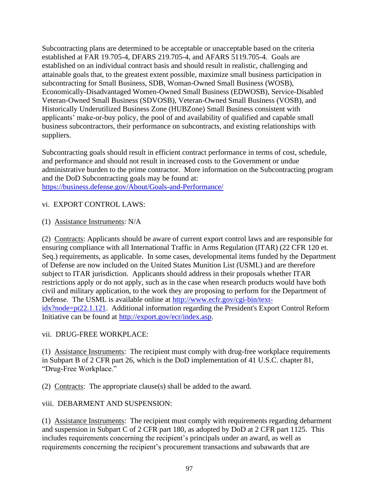Subcontracting plans are determined to be acceptable or unacceptable based on the criteria established at FAR 19.705-4, DFARS 219.705-4, and AFARS 5119.705-4. Goals are established on an individual contract basis and should result in realistic, challenging and attainable goals that, to the greatest extent possible, maximize small business participation in subcontracting for Small Business, SDB, Woman-Owned Small Business (WOSB), Economically-Disadvantaged Women-Owned Small Business (EDWOSB), Service-Disabled Veteran-Owned Small Business (SDVOSB), Veteran-Owned Small Business (VOSB), and Historically Underutilized Business Zone (HUBZone) Small Business consistent with applicants' make-or-buy policy, the pool of and availability of qualified and capable small business subcontractors, their performance on subcontracts, and existing relationships with suppliers.

Subcontracting goals should result in efficient contract performance in terms of cost, schedule, and performance and should not result in increased costs to the Government or undue administrative burden to the prime contractor. More information on the Subcontracting program and the DoD Subcontracting goals may be found at: <https://business.defense.gov/About/Goals-and-Performance/>

#### vi. EXPORT CONTROL LAWS:

(1) Assistance Instruments: N/A

(2) Contracts: Applicants should be aware of current export control laws and are responsible for ensuring compliance with all International Traffic in Arms Regulation (ITAR) (22 CFR 120 et. Seq.) requirements, as applicable. In some cases, developmental items funded by the Department of Defense are now included on the United States Munition List (USML) and are therefore subject to ITAR jurisdiction. Applicants should address in their proposals whether ITAR restrictions apply or do not apply, such as in the case when research products would have both civil and military application, to the work they are proposing to perform for the Department of Defense. The USML is available online at [http://www.ecfr.gov/cgi-bin/text](http://www.ecfr.gov/cgi-bin/text-idx?node=pt22.1.121)[idx?node=pt22.1.121.](http://www.ecfr.gov/cgi-bin/text-idx?node=pt22.1.121) Additional information regarding the President's Export Control Reform Initiative can be found at [http://export.gov/ecr/index.asp.](http://export.gov/ecr/index.asp)

#### vii. DRUG-FREE WORKPLACE:

(1) Assistance Instruments: The recipient must comply with drug-free workplace requirements in Subpart B of 2 CFR part 26, which is the DoD implementation of 41 U.S.C. chapter 81, "Drug-Free Workplace."

(2) Contracts: The appropriate clause(s) shall be added to the award.

## viii. DEBARMENT AND SUSPENSION:

(1) Assistance Instruments: The recipient must comply with requirements regarding debarment and suspension in Subpart C of 2 CFR part 180, as adopted by DoD at 2 CFR part 1125. This includes requirements concerning the recipient's principals under an award, as well as requirements concerning the recipient's procurement transactions and subawards that are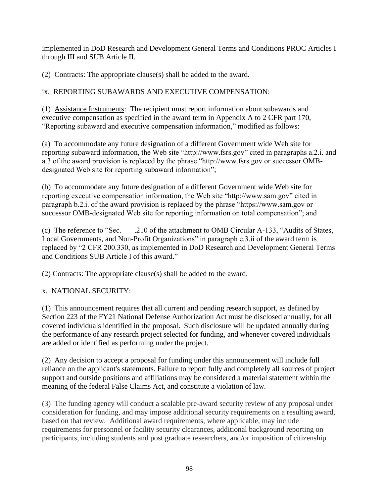implemented in DoD Research and Development General Terms and Conditions PROC Articles I through III and SUB Article II.

(2) Contracts: The appropriate clause(s) shall be added to the award.

# ix. REPORTING SUBAWARDS AND EXECUTIVE COMPENSATION:

(1) Assistance Instruments: The recipient must report information about subawards and executive compensation as specified in the award term in Appendix A to 2 CFR part 170, "Reporting subaward and executive compensation information," modified as follows:

(a) To accommodate any future designation of a different Government wide Web site for reporting subaward information, the Web site "http://www.fsrs.gov" cited in paragraphs a.2.i. and a.3 of the award provision is replaced by the phrase "http://www.fsrs.gov or successor OMBdesignated Web site for reporting subaward information";

(b) To accommodate any future designation of a different Government wide Web site for reporting executive compensation information, the Web site "http://www.sam.gov" cited in paragraph b.2.i. of the award provision is replaced by the phrase "https://www.sam.gov or successor OMB-designated Web site for reporting information on total compensation"; and

(c) The reference to "Sec. \_\_\_.210 of the attachment to OMB Circular A-133, "Audits of States, Local Governments, and Non-Profit Organizations" in paragraph e.3.ii of the award term is replaced by "2 CFR 200.330, as implemented in DoD Research and Development General Terms and Conditions SUB Article I of this award."

(2) Contracts: The appropriate clause(s) shall be added to the award.

x. NATIONAL SECURITY:

(1) This announcement requires that all current and pending research support, as defined by Section 223 of the FY21 National Defense Authorization Act must be disclosed annually, for all covered individuals identified in the proposal. Such disclosure will be updated annually during the performance of any research project selected for funding, and whenever covered individuals are added or identified as performing under the project.

(2) Any decision to accept a proposal for funding under this announcement will include full reliance on the applicant's statements. Failure to report fully and completely all sources of project support and outside positions and affiliations may be considered a material statement within the meaning of the federal False Claims Act, and constitute a violation of law.

(3) The funding agency will conduct a scalable pre-award security review of any proposal under consideration for funding, and may impose additional security requirements on a resulting award, based on that review. Additional award requirements, where applicable, may include requirements for personnel or facility security clearances, additional background reporting on participants, including students and post graduate researchers, and/or imposition of citizenship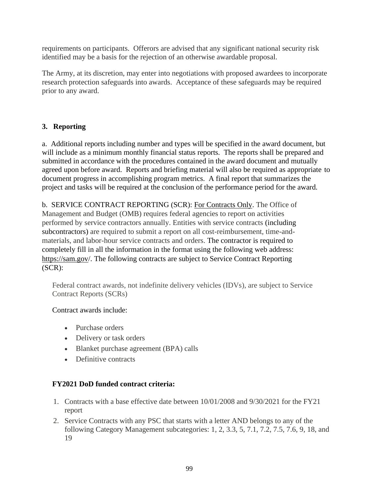requirements on participants. Offerors are advised that any significant national security risk identified may be a basis for the rejection of an otherwise awardable proposal.

The Army, at its discretion, may enter into negotiations with proposed awardees to incorporate research protection safeguards into awards. Acceptance of these safeguards may be required prior to any award.

# **3. Reporting**

a. Additional reports including number and types will be specified in the award document, but will include as a minimum monthly financial status reports. The reports shall be prepared and submitted in accordance with the procedures contained in the award document and mutually agreed upon before award. Reports and briefing material will also be required as appropriate to document progress in accomplishing program metrics. A final report that summarizes the project and tasks will be required at the conclusion of the performance period for the award.

b. SERVICE CONTRACT REPORTING (SCR): For Contracts Only. The Office of Management and Budget (OMB) requires federal agencies to report on activities performed by service contractors annually. Entities with service contracts (including subcontractors) are required to submit a report on all cost-reimbursement, time-andmaterials, and labor-hour service contracts and orders. The contractor is required to completely fill in all the information in the format using the following web address: https://sam.gov/. The following contracts are subject to Service Contract Reporting (SCR):

Federal contract awards, not indefinite delivery vehicles (IDVs), are subject to Service Contract Reports (SCRs)

# Contract awards include:

- Purchase orders
- Delivery or task orders
- Blanket purchase agreement (BPA) calls
- Definitive contracts

## **FY2021 DoD funded contract criteria:**

- 1. Contracts with a base effective date between 10/01/2008 and 9/30/2021 for the FY21 report
- 2. Service Contracts with any PSC that starts with a letter AND belongs to any of the following Category Management subcategories: 1, 2, 3.3, 5, 7.1, 7.2, 7.5, 7.6, 9, 18, and 19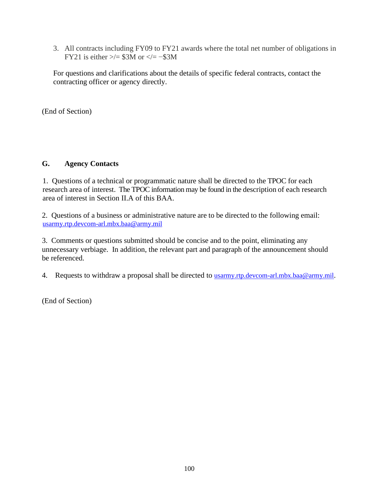3. All contracts including FY09 to FY21 awards where the total net number of obligations in FY21 is either  $\ge$ /= \$3M or  $\lt$ /= -\$3M

For questions and clarifications about the details of specific federal contracts, contact the contracting officer or agency directly.

(End of Section)

## **G. Agency Contacts**

1. Questions of a technical or programmatic nature shall be directed to the TPOC for each research area of interest. The TPOC information may be found in the description of each research area of interest in Section II.A of this BAA.

2. Questions of a business or administrative nature are to be directed to the following email: [usarmy.rtp.devcom-arl.mbx.baa@army.mil](mailto:usarmy.rtp.devcom-arl.mbx.baa@army.mil)

3. Comments or questions submitted should be concise and to the point, eliminating any unnecessary verbiage. In addition, the relevant part and paragraph of the announcement should be referenced.

4. Requests to withdraw a proposal shall be directed to [usarmy.rtp.devcom-arl.mbx.baa@army.mil](mailto:usarmy.rtp.devcom-arl.mbx.baa@army.mil).

(End of Section)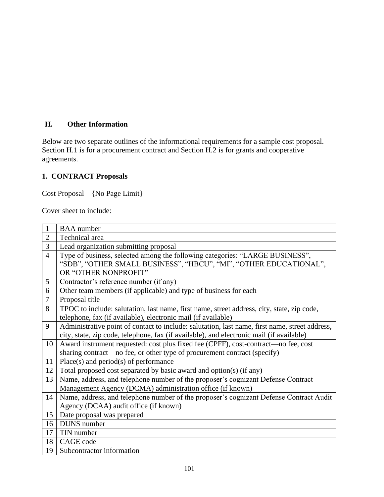# **H. Other Information**

Below are two separate outlines of the informational requirements for a sample cost proposal. Section H.1 is for a procurement contract and Section H.2 is for grants and cooperative agreements.

## **1. CONTRACT Proposals**

#### Cost Proposal – {No Page Limit}

Cover sheet to include:

| $\mathbf{1}$   | <b>BAA</b> number                                                                              |
|----------------|------------------------------------------------------------------------------------------------|
| $\overline{2}$ | Technical area                                                                                 |
| 3              | Lead organization submitting proposal                                                          |
| $\overline{4}$ | Type of business, selected among the following categories: "LARGE BUSINESS",                   |
|                | "SDB", "OTHER SMALL BUSINESS", "HBCU", "MI", "OTHER EDUCATIONAL",                              |
|                | OR "OTHER NONPROFIT"                                                                           |
| 5              | Contractor's reference number (if any)                                                         |
| 6              | Other team members (if applicable) and type of business for each                               |
| $\tau$         | Proposal title                                                                                 |
| 8              | TPOC to include: salutation, last name, first name, street address, city, state, zip code,     |
|                | telephone, fax (if available), electronic mail (if available)                                  |
| 9              | Administrative point of contact to include: salutation, last name, first name, street address, |
|                | city, state, zip code, telephone, fax (if available), and electronic mail (if available)       |
| 10             | Award instrument requested: cost plus fixed fee (CPFF), cost-contract-no fee, cost             |
|                | sharing contract – no fee, or other type of procurement contract (specify)                     |
| 11             | $Place(s)$ and $period(s)$ of performance                                                      |
| 12             | Total proposed cost separated by basic award and option(s) (if any)                            |
| 13             | Name, address, and telephone number of the proposer's cognizant Defense Contract               |
|                | Management Agency (DCMA) administration office (if known)                                      |
| 14             | Name, address, and telephone number of the proposer's cognizant Defense Contract Audit         |
|                | Agency (DCAA) audit office (if known)                                                          |
| 15             | Date proposal was prepared                                                                     |
| 16             | <b>DUNS</b> number                                                                             |
| 17             | TIN number                                                                                     |
| 18             | CAGE code                                                                                      |
| 19             | Subcontractor information                                                                      |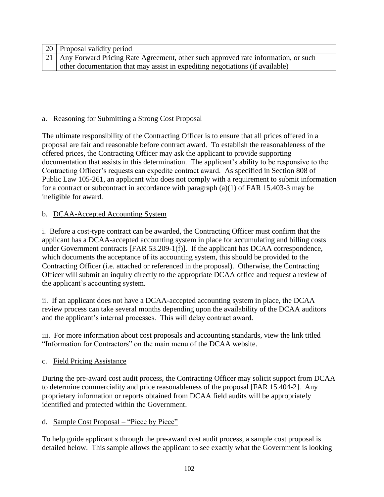| [20] Proposal validity period                                                          |
|----------------------------------------------------------------------------------------|
| 21   Any Forward Pricing Rate Agreement, other such approved rate information, or such |
| other documentation that may assist in expediting negotiations (if available)          |

## a. Reasoning for Submitting a Strong Cost Proposal

The ultimate responsibility of the Contracting Officer is to ensure that all prices offered in a proposal are fair and reasonable before contract award. To establish the reasonableness of the offered prices, the Contracting Officer may ask the applicant to provide supporting documentation that assists in this determination. The applicant's ability to be responsive to the Contracting Officer's requests can expedite contract award. As specified in Section 808 of Public Law 105-261, an applicant who does not comply with a requirement to submit information for a contract or subcontract in accordance with paragraph (a)(1) of FAR 15.403-3 may be ineligible for award.

## b. DCAA-Accepted Accounting System

i. Before a cost-type contract can be awarded, the Contracting Officer must confirm that the applicant has a DCAA-accepted accounting system in place for accumulating and billing costs under Government contracts [FAR 53.209-1(f)]. If the applicant has DCAA correspondence, which documents the acceptance of its accounting system, this should be provided to the Contracting Officer (i.e. attached or referenced in the proposal). Otherwise, the Contracting Officer will submit an inquiry directly to the appropriate DCAA office and request a review of the applicant's accounting system.

ii. If an applicant does not have a DCAA-accepted accounting system in place, the DCAA review process can take several months depending upon the availability of the DCAA auditors and the applicant's internal processes. This will delay contract award.

iii. For more information about cost proposals and accounting standards, view the link titled "Information for Contractors" on the main menu of the DCAA website.

## c. Field Pricing Assistance

During the pre-award cost audit process, the Contracting Officer may solicit support from DCAA to determine commerciality and price reasonableness of the proposal [FAR 15.404-2]. Any proprietary information or reports obtained from DCAA field audits will be appropriately identified and protected within the Government.

## d. Sample Cost Proposal – "Piece by Piece"

To help guide applicant s through the pre-award cost audit process, a sample cost proposal is detailed below. This sample allows the applicant to see exactly what the Government is looking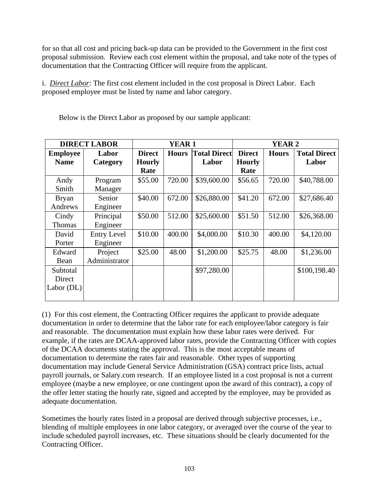for so that all cost and pricing back-up data can be provided to the Government in the first cost proposal submission. Review each cost element within the proposal, and take note of the types of documentation that the Contracting Officer will require from the applicant.

i. *Direct Labor*: The first cost element included in the cost proposal is Direct Labor. Each proposed employee must be listed by name and labor category.

| <b>DIRECT LABOR</b> |                    | <b>YEAR1</b>  |              |                     | <b>YEAR 2</b> |              |                     |
|---------------------|--------------------|---------------|--------------|---------------------|---------------|--------------|---------------------|
| <b>Employee</b>     | Labor              | <b>Direct</b> | <b>Hours</b> | <b>Total Direct</b> | <b>Direct</b> | <b>Hours</b> | <b>Total Direct</b> |
| <b>Name</b>         | Category           | <b>Hourly</b> |              | Labor               | <b>Hourly</b> |              | Labor               |
|                     |                    | Rate          |              |                     | Rate          |              |                     |
| Andy                | Program            | \$55.00       | 720.00       | \$39,600.00         | \$56.65       | 720.00       | \$40,788.00         |
| Smith               | Manager            |               |              |                     |               |              |                     |
| <b>Bryan</b>        | Senior             | \$40.00       | 672.00       | \$26,880.00         | \$41.20       | 672.00       | \$27,686.40         |
| Andrews             | Engineer           |               |              |                     |               |              |                     |
| Cindy               | Principal          | \$50.00       | 512.00       | \$25,600.00         | \$51.50       | 512.00       | \$26,368.00         |
| Thomas              | Engineer           |               |              |                     |               |              |                     |
| David               | <b>Entry Level</b> | \$10.00       | 400.00       | \$4,000.00          | \$10.30       | 400.00       | \$4,120.00          |
| Porter              | Engineer           |               |              |                     |               |              |                     |
| Edward              | Project            | \$25.00       | 48.00        | \$1,200.00          | \$25.75       | 48.00        | \$1,236.00          |
| Bean                | Administrator      |               |              |                     |               |              |                     |
| Subtotal            |                    |               |              | \$97,280.00         |               |              | \$100,198.40        |
| Direct              |                    |               |              |                     |               |              |                     |
| Labor $(DL)$        |                    |               |              |                     |               |              |                     |
|                     |                    |               |              |                     |               |              |                     |

Below is the Direct Labor as proposed by our sample applicant:

(1) For this cost element, the Contracting Officer requires the applicant to provide adequate documentation in order to determine that the labor rate for each employee/labor category is fair and reasonable. The documentation must explain how these labor rates were derived. For example, if the rates are DCAA-approved labor rates, provide the Contracting Officer with copies of the DCAA documents stating the approval. This is the most acceptable means of documentation to determine the rates fair and reasonable. Other types of supporting documentation may include General Service Administration (GSA) contract price lists, actual payroll journals, or Salary.com research. If an employee listed in a cost proposal is not a current employee (maybe a new employee, or one contingent upon the award of this contract), a copy of the offer letter stating the hourly rate, signed and accepted by the employee, may be provided as adequate documentation.

Sometimes the hourly rates listed in a proposal are derived through subjective processes, i.e., blending of multiple employees in one labor category, or averaged over the course of the year to include scheduled payroll increases, etc. These situations should be clearly documented for the Contracting Officer.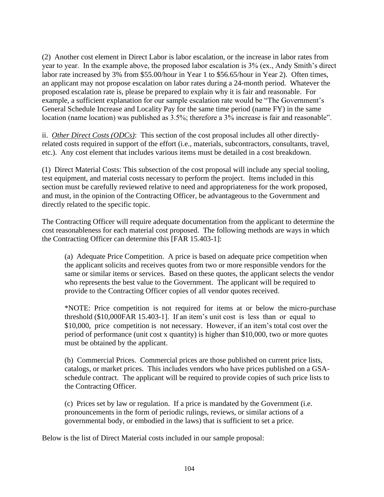(2) Another cost element in Direct Labor is labor escalation, or the increase in labor rates from year to year. In the example above, the proposed labor escalation is 3% (ex., Andy Smith's direct labor rate increased by 3% from \$55.00/hour in Year 1 to \$56.65/hour in Year 2). Often times, an applicant may not propose escalation on labor rates during a 24-month period. Whatever the proposed escalation rate is, please be prepared to explain why it is fair and reasonable. For example, a sufficient explanation for our sample escalation rate would be "The Government's General Schedule Increase and Locality Pay for the same time period (name FY) in the same location (name location) was published as 3.5%; therefore a 3% increase is fair and reasonable".

ii. *Other Direct Costs (ODCs)*: This section of the cost proposal includes all other directlyrelated costs required in support of the effort (i.e., materials, subcontractors, consultants, travel, etc.). Any cost element that includes various items must be detailed in a cost breakdown.

(1) Direct Material Costs: This subsection of the cost proposal will include any special tooling, test equipment, and material costs necessary to perform the project. Items included in this section must be carefully reviewed relative to need and appropriateness for the work proposed, and must, in the opinion of the Contracting Officer, be advantageous to the Government and directly related to the specific topic.

The Contracting Officer will require adequate documentation from the applicant to determine the cost reasonableness for each material cost proposed. The following methods are ways in which the Contracting Officer can determine this [FAR 15.403-1]:

(a) Adequate Price Competition. A price is based on adequate price competition when the applicant solicits and receives quotes from two or more responsible vendors for the same or similar items or services. Based on these quotes, the applicant selects the vendor who represents the best value to the Government. The applicant will be required to provide to the Contracting Officer copies of all vendor quotes received.

\*NOTE: Price competition is not required for items at or below the micro-purchase threshold (\$10,000FAR 15.403-1]. If an item's unit cost is less than or equal to \$10,000, price competition is not necessary. However, if an item's total cost over the period of performance (unit cost x quantity) is higher than \$10,000, two or more quotes must be obtained by the applicant.

(b) Commercial Prices. Commercial prices are those published on current price lists, catalogs, or market prices. This includes vendors who have prices published on a GSAschedule contract. The applicant will be required to provide copies of such price lists to the Contracting Officer.

(c) Prices set by law or regulation. If a price is mandated by the Government (i.e. pronouncements in the form of periodic rulings, reviews, or similar actions of a governmental body, or embodied in the laws) that is sufficient to set a price.

Below is the list of Direct Material costs included in our sample proposal: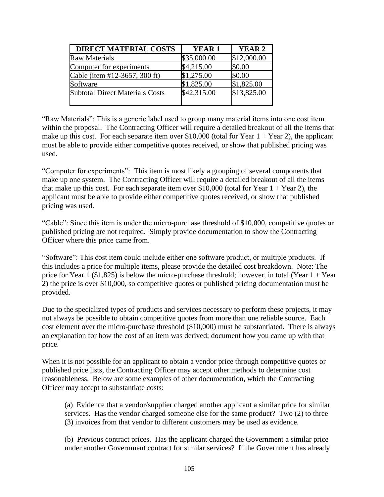| <b>DIRECT MATERIAL COSTS</b>           | YEAR <sub>1</sub> | YEAR <sub>2</sub> |
|----------------------------------------|-------------------|-------------------|
| <b>Raw Materials</b>                   | \$35,000.00       | \$12,000.00       |
| Computer for experiments               | \$4,215.00        | \$0.00            |
| Cable (item #12-3657, 300 ft)          | \$1,275.00        | \$0.00            |
| Software                               | \$1,825.00        | \$1,825.00        |
| <b>Subtotal Direct Materials Costs</b> | \$42,315.00       | \$13,825.00       |
|                                        |                   |                   |

"Raw Materials": This is a generic label used to group many material items into one cost item within the proposal. The Contracting Officer will require a detailed breakout of all the items that make up this cost. For each separate item over  $$10,000$  (total for Year 1 + Year 2), the applicant must be able to provide either competitive quotes received, or show that published pricing was used.

"Computer for experiments": This item is most likely a grouping of several components that make up one system. The Contracting Officer will require a detailed breakout of all the items that make up this cost. For each separate item over \$10,000 (total for Year  $1 +$  Year 2), the applicant must be able to provide either competitive quotes received, or show that published pricing was used.

"Cable": Since this item is under the micro-purchase threshold of \$10,000, competitive quotes or published pricing are not required. Simply provide documentation to show the Contracting Officer where this price came from.

"Software": This cost item could include either one software product, or multiple products. If this includes a price for multiple items, please provide the detailed cost breakdown. Note: The price for Year 1 (\$1,825) is below the micro-purchase threshold; however, in total (Year  $1 +$  Year 2) the price is over \$10,000, so competitive quotes or published pricing documentation must be provided.

Due to the specialized types of products and services necessary to perform these projects, it may not always be possible to obtain competitive quotes from more than one reliable source. Each cost element over the micro-purchase threshold (\$10,000) must be substantiated. There is always an explanation for how the cost of an item was derived; document how you came up with that price.

When it is not possible for an applicant to obtain a vendor price through competitive quotes or published price lists, the Contracting Officer may accept other methods to determine cost reasonableness. Below are some examples of other documentation, which the Contracting Officer may accept to substantiate costs:

(a) Evidence that a vendor/supplier charged another applicant a similar price for similar services. Has the vendor charged someone else for the same product? Two (2) to three (3) invoices from that vendor to different customers may be used as evidence.

(b) Previous contract prices. Has the applicant charged the Government a similar price under another Government contract for similar services? If the Government has already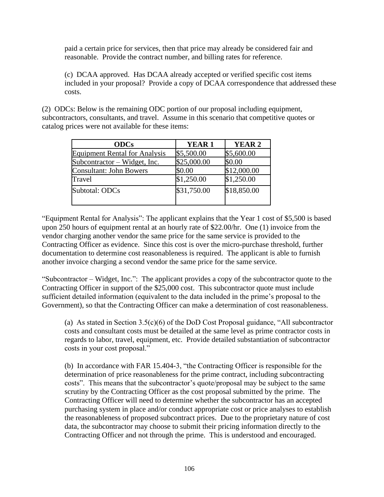paid a certain price for services, then that price may already be considered fair and reasonable. Provide the contract number, and billing rates for reference.

(c) DCAA approved. Has DCAA already accepted or verified specific cost items included in your proposal? Provide a copy of DCAA correspondence that addressed these costs.

(2) ODCs: Below is the remaining ODC portion of our proposal including equipment, subcontractors, consultants, and travel. Assume in this scenario that competitive quotes or catalog prices were not available for these items:

| <b>ODCs</b>                          | <b>YEAR1</b> | <b>YEAR 2</b> |
|--------------------------------------|--------------|---------------|
| <b>Equipment Rental for Analysis</b> | \$5,500.00   | \$5,600.00    |
| Subcontractor – Widget, Inc.         | \$25,000.00  | \$0.00        |
| <b>Consultant: John Bowers</b>       | \$0.00       | \$12,000.00   |
| Travel                               | \$1,250.00   | \$1,250.00    |
| Subtotal: ODCs                       | \$31,750.00  | \$18,850.00   |

"Equipment Rental for Analysis": The applicant explains that the Year 1 cost of \$5,500 is based upon 250 hours of equipment rental at an hourly rate of \$22.00/hr. One (1) invoice from the vendor charging another vendor the same price for the same service is provided to the Contracting Officer as evidence. Since this cost is over the micro-purchase threshold, further documentation to determine cost reasonableness is required. The applicant is able to furnish another invoice charging a second vendor the same price for the same service.

"Subcontractor – Widget, Inc.": The applicant provides a copy of the subcontractor quote to the Contracting Officer in support of the \$25,000 cost. This subcontractor quote must include sufficient detailed information (equivalent to the data included in the prime's proposal to the Government), so that the Contracting Officer can make a determination of cost reasonableness.

(a) As stated in Section 3.5(c)(6) of the DoD Cost Proposal guidance, "All subcontractor costs and consultant costs must be detailed at the same level as prime contractor costs in regards to labor, travel, equipment, etc. Provide detailed substantiation of subcontractor costs in your cost proposal."

(b) In accordance with FAR 15.404-3, "the Contracting Officer is responsible for the determination of price reasonableness for the prime contract, including subcontracting costs". This means that the subcontractor's quote/proposal may be subject to the same scrutiny by the Contracting Officer as the cost proposal submitted by the prime. The Contracting Officer will need to determine whether the subcontractor has an accepted purchasing system in place and/or conduct appropriate cost or price analyses to establish the reasonableness of proposed subcontract prices. Due to the proprietary nature of cost data, the subcontractor may choose to submit their pricing information directly to the Contracting Officer and not through the prime. This is understood and encouraged.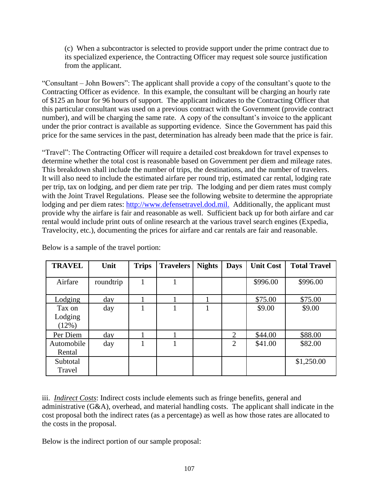(c) When a subcontractor is selected to provide support under the prime contract due to its specialized experience, the Contracting Officer may request sole source justification from the applicant.

"Consultant – John Bowers": The applicant shall provide a copy of the consultant's quote to the Contracting Officer as evidence. In this example, the consultant will be charging an hourly rate of \$125 an hour for 96 hours of support. The applicant indicates to the Contracting Officer that this particular consultant was used on a previous contract with the Government (provide contract number), and will be charging the same rate. A copy of the consultant's invoice to the applicant under the prior contract is available as supporting evidence. Since the Government has paid this price for the same services in the past, determination has already been made that the price is fair.

"Travel": The Contracting Officer will require a detailed cost breakdown for travel expenses to determine whether the total cost is reasonable based on Government per diem and mileage rates. This breakdown shall include the number of trips, the destinations, and the number of travelers. It will also need to include the estimated airfare per round trip, estimated car rental, lodging rate per trip, tax on lodging, and per diem rate per trip. The lodging and per diem rates must comply with the Joint Travel Regulations. Please see the following website to determine the appropriate lodging and per diem rates: [http://www.defensetravel.dod.mil.](http://www.defensetravel.dod.mil./) Additionally, the applicant must provide why the airfare is fair and reasonable as well. Sufficient back up for both airfare and car rental would include print outs of online research at the various travel search engines (Expedia, Travelocity, etc.), documenting the prices for airfare and car rentals are fair and reasonable.

| <b>TRAVEL</b>              | Unit      | <b>Trips</b> | <b>Travelers</b> | <b>Nights</b> | <b>Days</b>    | <b>Unit Cost</b> | <b>Total Travel</b> |
|----------------------------|-----------|--------------|------------------|---------------|----------------|------------------|---------------------|
| Airfare                    | roundtrip | 1            |                  |               |                | \$996.00         | \$996.00            |
| Lodging                    | day       |              |                  |               |                | \$75.00          | \$75.00             |
| Tax on<br>Lodging<br>(12%) | day       |              |                  |               |                | \$9.00           | \$9.00              |
| Per Diem                   | day       |              |                  |               | $\overline{2}$ | \$44.00          | \$88.00             |
| Automobile<br>Rental       | day       |              |                  |               | $\overline{2}$ | \$41.00          | \$82.00             |
| Subtotal<br>Travel         |           |              |                  |               |                |                  | \$1,250.00          |

Below is a sample of the travel portion:

iii. *Indirect Costs*: Indirect costs include elements such as fringe benefits, general and administrative (G&A), overhead, and material handling costs. The applicant shall indicate in the cost proposal both the indirect rates (as a percentage) as well as how those rates are allocated to the costs in the proposal.

Below is the indirect portion of our sample proposal: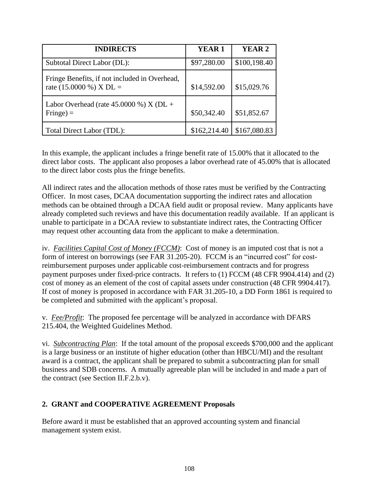| <b>INDIRECTS</b>                                                           | <b>YEAR1</b> | YEAR <sub>2</sub> |
|----------------------------------------------------------------------------|--------------|-------------------|
| Subtotal Direct Labor (DL):                                                | \$97,280.00  | \$100,198.40      |
| Fringe Benefits, if not included in Overhead,<br>rate $(15.0000\%)$ X DL = | \$14,592.00  | \$15,029.76       |
| Labor Overhead (rate $45.0000$ %) X (DL +<br>$\text{Fringe}) =$            | \$50,342.40  | \$51,852.67       |
| Total Direct Labor (TDL):                                                  | \$162,214.40 | \$167,080.83      |

In this example, the applicant includes a fringe benefit rate of 15.00% that it allocated to the direct labor costs. The applicant also proposes a labor overhead rate of 45.00% that is allocated to the direct labor costs plus the fringe benefits.

All indirect rates and the allocation methods of those rates must be verified by the Contracting Officer. In most cases, DCAA documentation supporting the indirect rates and allocation methods can be obtained through a DCAA field audit or proposal review. Many applicants have already completed such reviews and have this documentation readily available. If an applicant is unable to participate in a DCAA review to substantiate indirect rates, the Contracting Officer may request other accounting data from the applicant to make a determination.

iv. *Facilities Capital Cost of Money (FCCM)*: Cost of money is an imputed cost that is not a form of interest on borrowings (see FAR 31.205-20). FCCM is an "incurred cost" for costreimbursement purposes under applicable cost-reimbursement contracts and for progress payment purposes under fixed-price contracts. It refers to (1) FCCM (48 CFR 9904.414) and (2) cost of money as an element of the cost of capital assets under construction (48 CFR 9904.417). If cost of money is proposed in accordance with FAR 31.205-10, a DD Form 1861 is required to be completed and submitted with the applicant's proposal.

v. *Fee/Profit*: The proposed fee percentage will be analyzed in accordance with DFARS 215.404, the Weighted Guidelines Method.

vi. *Subcontracting Plan*: If the total amount of the proposal exceeds \$700,000 and the applicant is a large business or an institute of higher education (other than HBCU/MI) and the resultant award is a contract, the applicant shall be prepared to submit a subcontracting plan for small business and SDB concerns. A mutually agreeable plan will be included in and made a part of the contract (see Section II.F.2.b.v).

## **2. GRANT and COOPERATIVE AGREEMENT Proposals**

Before award it must be established that an approved accounting system and financial management system exist.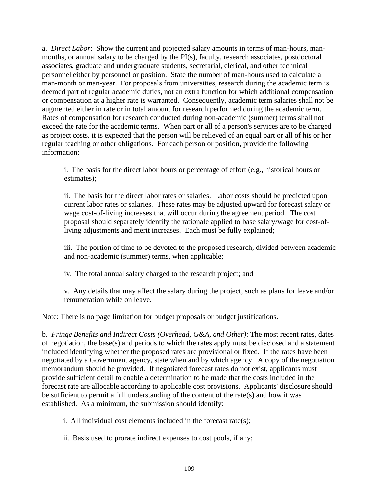a. *Direct Labor*: Show the current and projected salary amounts in terms of man-hours, manmonths, or annual salary to be charged by the PI(s), faculty, research associates, postdoctoral associates, graduate and undergraduate students, secretarial, clerical, and other technical personnel either by personnel or position. State the number of man-hours used to calculate a man-month or man-year. For proposals from universities, research during the academic term is deemed part of regular academic duties, not an extra function for which additional compensation or compensation at a higher rate is warranted. Consequently, academic term salaries shall not be augmented either in rate or in total amount for research performed during the academic term. Rates of compensation for research conducted during non-academic (summer) terms shall not exceed the rate for the academic terms. When part or all of a person's services are to be charged as project costs, it is expected that the person will be relieved of an equal part or all of his or her regular teaching or other obligations. For each person or position, provide the following information:

i. The basis for the direct labor hours or percentage of effort (e.g., historical hours or estimates);

ii. The basis for the direct labor rates or salaries. Labor costs should be predicted upon current labor rates or salaries. These rates may be adjusted upward for forecast salary or wage cost-of-living increases that will occur during the agreement period. The cost proposal should separately identify the rationale applied to base salary/wage for cost-ofliving adjustments and merit increases. Each must be fully explained;

iii. The portion of time to be devoted to the proposed research, divided between academic and non-academic (summer) terms, when applicable;

iv. The total annual salary charged to the research project; and

v. Any details that may affect the salary during the project, such as plans for leave and/or remuneration while on leave.

Note: There is no page limitation for budget proposals or budget justifications.

b. *Fringe Benefits and Indirect Costs (Overhead, G&A, and Other)*: The most recent rates, dates of negotiation, the base(s) and periods to which the rates apply must be disclosed and a statement included identifying whether the proposed rates are provisional or fixed. If the rates have been negotiated by a Government agency, state when and by which agency. A copy of the negotiation memorandum should be provided. If negotiated forecast rates do not exist, applicants must provide sufficient detail to enable a determination to be made that the costs included in the forecast rate are allocable according to applicable cost provisions. Applicants' disclosure should be sufficient to permit a full understanding of the content of the rate(s) and how it was established. As a minimum, the submission should identify:

- i. All individual cost elements included in the forecast rate(s);
- ii. Basis used to prorate indirect expenses to cost pools, if any;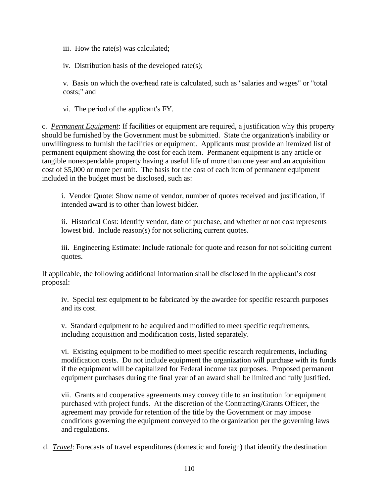iii. How the rate(s) was calculated;

iv. Distribution basis of the developed rate(s);

v. Basis on which the overhead rate is calculated, such as "salaries and wages" or "total costs;" and

vi. The period of the applicant's FY.

c. *Permanent Equipment*: If facilities or equipment are required, a justification why this property should be furnished by the Government must be submitted. State the organization's inability or unwillingness to furnish the facilities or equipment. Applicants must provide an itemized list of permanent equipment showing the cost for each item. Permanent equipment is any article or tangible nonexpendable property having a useful life of more than one year and an acquisition cost of \$5,000 or more per unit. The basis for the cost of each item of permanent equipment included in the budget must be disclosed, such as:

i. Vendor Quote: Show name of vendor, number of quotes received and justification, if intended award is to other than lowest bidder.

ii. Historical Cost: Identify vendor, date of purchase, and whether or not cost represents lowest bid. Include reason(s) for not soliciting current quotes.

iii. Engineering Estimate: Include rationale for quote and reason for not soliciting current quotes.

If applicable, the following additional information shall be disclosed in the applicant's cost proposal:

iv. Special test equipment to be fabricated by the awardee for specific research purposes and its cost.

v. Standard equipment to be acquired and modified to meet specific requirements, including acquisition and modification costs, listed separately.

vi. Existing equipment to be modified to meet specific research requirements, including modification costs. Do not include equipment the organization will purchase with its funds if the equipment will be capitalized for Federal income tax purposes. Proposed permanent equipment purchases during the final year of an award shall be limited and fully justified.

vii. Grants and cooperative agreements may convey title to an institution for equipment purchased with project funds. At the discretion of the Contracting/Grants Officer, the agreement may provide for retention of the title by the Government or may impose conditions governing the equipment conveyed to the organization per the governing laws and regulations.

d. *Travel*: Forecasts of travel expenditures (domestic and foreign) that identify the destination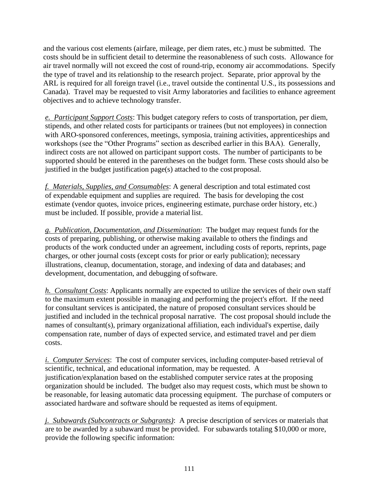and the various cost elements (airfare, mileage, per diem rates, etc.) must be submitted. The costs should be in sufficient detail to determine the reasonableness of such costs. Allowance for air travel normally will not exceed the cost of round-trip, economy air accommodations. Specify the type of travel and its relationship to the research project. Separate, prior approval by the ARL is required for all foreign travel (i.e., travel outside the continental U.S., its possessions and Canada). Travel may be requested to visit Army laboratories and facilities to enhance agreement objectives and to achieve technology transfer.

*e. Participant Support Costs*: This budget category refers to costs of transportation, per diem, stipends, and other related costs for participants or trainees (but not employees) in connection with ARO-sponsored conferences, meetings, symposia, training activities, apprenticeships and workshops (see the "Other Programs" section as described earlier in this BAA). Generally, indirect costs are not allowed on participant support costs. The number of participants to be supported should be entered in the parentheses on the budget form. These costs should also be justified in the budget justification page(s) attached to the cost proposal.

*f. Materials, Supplies, and Consumables*: A general description and total estimated cost of expendable equipment and supplies are required. The basis for developing the cost estimate (vendor quotes, invoice prices, engineering estimate, purchase order history, etc.) must be included. If possible, provide a material list.

*g. Publication, Documentation, and Dissemination*: The budget may request funds for the costs of preparing, publishing, or otherwise making available to others the findings and products of the work conducted under an agreement, including costs of reports, reprints, page charges, or other journal costs (except costs for prior or early publication); necessary illustrations, cleanup, documentation, storage, and indexing of data and databases; and development, documentation, and debugging of software.

*h. Consultant Costs*: Applicants normally are expected to utilize the services of their own staff to the maximum extent possible in managing and performing the project's effort. If the need for consultant services is anticipated, the nature of proposed consultant services should be justified and included in the technical proposal narrative. The cost proposal should include the names of consultant(s), primary organizational affiliation, each individual's expertise, daily compensation rate, number of days of expected service, and estimated travel and per diem costs.

*i. Computer Services*: The cost of computer services, including computer-based retrieval of scientific, technical, and educational information, may be requested. A justification/explanation based on the established computer service rates at the proposing organization should be included. The budget also may request costs, which must be shown to be reasonable, for leasing automatic data processing equipment. The purchase of computers or associated hardware and software should be requested as items of equipment.

*j. Subawards (Subcontracts or Subgrants)*: A precise description of services or materials that are to be awarded by a subaward must be provided. For subawards totaling \$10,000 or more, provide the following specific information: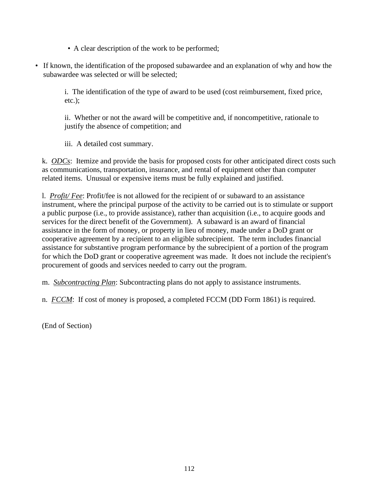- A clear description of the work to be performed;
- If known, the identification of the proposed subawardee and an explanation of why and how the subawardee was selected or will be selected;

i. The identification of the type of award to be used (cost reimbursement, fixed price, etc.);

ii. Whether or not the award will be competitive and, if noncompetitive, rationale to justify the absence of competition; and

iii. A detailed cost summary.

k. *ODCs*: Itemize and provide the basis for proposed costs for other anticipated direct costs such as communications, transportation, insurance, and rental of equipment other than computer related items. Unusual or expensive items must be fully explained and justified.

l. *Profit/ Fee*: Profit/fee is not allowed for the recipient of or subaward to an assistance instrument, where the principal purpose of the activity to be carried out is to stimulate or support a public purpose (i.e., to provide assistance), rather than acquisition (i.e., to acquire goods and services for the direct benefit of the Government). A subaward is an award of financial assistance in the form of money, or property in lieu of money, made under a DoD grant or cooperative agreement by a recipient to an eligible subrecipient. The term includes financial assistance for substantive program performance by the subrecipient of a portion of the program for which the DoD grant or cooperative agreement was made. It does not include the recipient's procurement of goods and services needed to carry out the program.

m. *Subcontracting Plan*: Subcontracting plans do not apply to assistance instruments.

n. *FCCM*: If cost of money is proposed, a completed FCCM (DD Form 1861) is required.

(End of Section)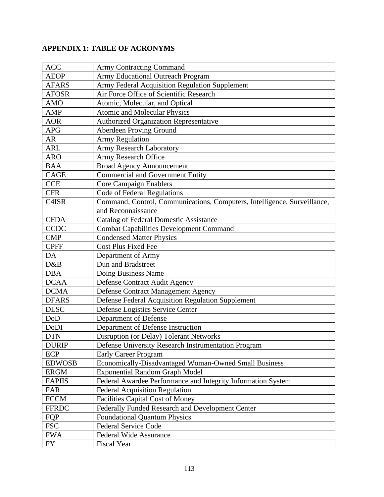## **APPENDIX 1: TABLE OF ACRONYMS**

| <b>ACC</b>    | <b>Army Contracting Command</b>                                          |
|---------------|--------------------------------------------------------------------------|
| <b>AEOP</b>   | Army Educational Outreach Program                                        |
| <b>AFARS</b>  | Army Federal Acquisition Regulation Supplement                           |
| <b>AFOSR</b>  | Air Force Office of Scientific Research                                  |
| <b>AMO</b>    | Atomic, Molecular, and Optical                                           |
| <b>AMP</b>    | <b>Atomic and Molecular Physics</b>                                      |
| <b>AOR</b>    | Authorized Organization Representative                                   |
| <b>APG</b>    | Aberdeen Proving Ground                                                  |
| AR            | <b>Army Regulation</b>                                                   |
| <b>ARL</b>    | <b>Army Research Laboratory</b>                                          |
| <b>ARO</b>    | Army Research Office                                                     |
| <b>BAA</b>    | <b>Broad Agency Announcement</b>                                         |
| <b>CAGE</b>   | <b>Commercial and Government Entity</b>                                  |
| <b>CCE</b>    | <b>Core Campaign Enablers</b>                                            |
| <b>CFR</b>    | Code of Federal Regulations                                              |
| C4ISR         | Command, Control, Communications, Computers, Intelligence, Surveillance, |
|               | and Reconnaissance                                                       |
| <b>CFDA</b>   | <b>Catalog of Federal Domestic Assistance</b>                            |
| <b>CCDC</b>   | <b>Combat Capabilities Development Command</b>                           |
| <b>CMP</b>    | <b>Condensed Matter Physics</b>                                          |
| <b>CPFF</b>   | <b>Cost Plus Fixed Fee</b>                                               |
| DA            | Department of Army                                                       |
| D&B           | Dun and Bradstreet                                                       |
| <b>DBA</b>    | Doing Business Name                                                      |
| <b>DCAA</b>   | Defense Contract Audit Agency                                            |
| <b>DCMA</b>   | Defense Contract Management Agency                                       |
| <b>DFARS</b>  | Defense Federal Acquisition Regulation Supplement                        |
| <b>DLSC</b>   | Defense Logistics Service Center                                         |
| DoD           | Department of Defense                                                    |
| DoDI          | Department of Defense Instruction                                        |
| <b>DTN</b>    | Disruption (or Delay) Tolerant Networks                                  |
| <b>DURIP</b>  | Defense University Research Instrumentation Program                      |
| ECP           | <b>Early Career Program</b>                                              |
| <b>EDWOSB</b> | Economically-Disadvantaged Woman-Owned Small Business                    |
| <b>ERGM</b>   | <b>Exponential Random Graph Model</b>                                    |
| <b>FAPIIS</b> | Federal Awardee Performance and Integrity Information System             |
| FAR           | <b>Federal Acquisition Regulation</b>                                    |
| <b>FCCM</b>   | <b>Facilities Capital Cost of Money</b>                                  |
| <b>FFRDC</b>  | Federally Funded Research and Development Center                         |
| FQP           | <b>Foundational Quantum Physics</b>                                      |
| <b>FSC</b>    | <b>Federal Service Code</b>                                              |
| <b>FWA</b>    | <b>Federal Wide Assurance</b>                                            |
| FY            | <b>Fiscal Year</b>                                                       |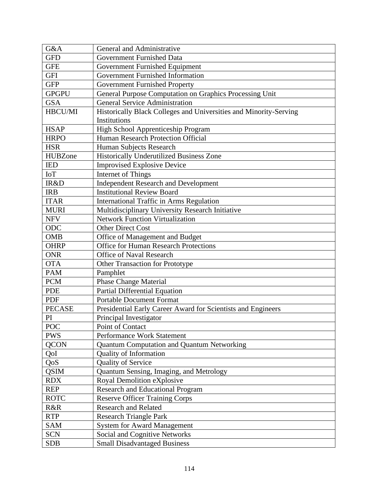| G&A            | General and Administrative                                        |
|----------------|-------------------------------------------------------------------|
| <b>GFD</b>     | Government Furnished Data                                         |
| <b>GFE</b>     | Government Furnished Equipment                                    |
| <b>GFI</b>     | Government Furnished Information                                  |
| <b>GFP</b>     | Government Furnished Property                                     |
| <b>GPGPU</b>   | General Purpose Computation on Graphics Processing Unit           |
| <b>GSA</b>     | <b>General Service Administration</b>                             |
| HBCU/MI        | Historically Black Colleges and Universities and Minority-Serving |
|                | Institutions                                                      |
| <b>HSAP</b>    | High School Apprenticeship Program                                |
| <b>HRPO</b>    | Human Research Protection Official                                |
| <b>HSR</b>     | Human Subjects Research                                           |
| <b>HUBZone</b> | Historically Underutilized Business Zone                          |
| <b>IED</b>     | <b>Improvised Explosive Device</b>                                |
| <b>IoT</b>     | Internet of Things                                                |
| IR&D           | <b>Independent Research and Development</b>                       |
| <b>IRB</b>     | <b>Institutional Review Board</b>                                 |
| <b>ITAR</b>    | International Traffic in Arms Regulation                          |
| <b>MURI</b>    | Multidisciplinary University Research Initiative                  |
| <b>NFV</b>     | <b>Network Function Virtualization</b>                            |
| ODC            | <b>Other Direct Cost</b>                                          |
| <b>OMB</b>     | Office of Management and Budget                                   |
| <b>OHRP</b>    | <b>Office for Human Research Protections</b>                      |
| <b>ONR</b>     | <b>Office of Naval Research</b>                                   |
| <b>OTA</b>     | Other Transaction for Prototype                                   |
| <b>PAM</b>     | Pamphlet                                                          |
| <b>PCM</b>     | <b>Phase Change Material</b>                                      |
| <b>PDE</b>     | Partial Differential Equation                                     |
| <b>PDF</b>     | <b>Portable Document Format</b>                                   |
| <b>PECASE</b>  | Presidential Early Career Award for Scientists and Engineers      |
| PI             | Principal Investigator                                            |
| <b>POC</b>     | Point of Contact                                                  |
| <b>PWS</b>     | Performance Work Statement                                        |
| <b>QCON</b>    | <b>Quantum Computation and Quantum Networking</b>                 |
| QoI            | <b>Quality of Information</b>                                     |
| QoS            | Quality of Service                                                |
| <b>QSIM</b>    | Quantum Sensing, Imaging, and Metrology                           |
| <b>RDX</b>     | Royal Demolition eXplosive                                        |
| <b>REP</b>     | <b>Research and Educational Program</b>                           |
| <b>ROTC</b>    | <b>Reserve Officer Training Corps</b>                             |
| R&R            | <b>Research and Related</b>                                       |
| <b>RTP</b>     | <b>Research Triangle Park</b>                                     |
| <b>SAM</b>     | <b>System for Award Management</b>                                |
| <b>SCN</b>     | Social and Cognitive Networks                                     |
| <b>SDB</b>     | <b>Small Disadvantaged Business</b>                               |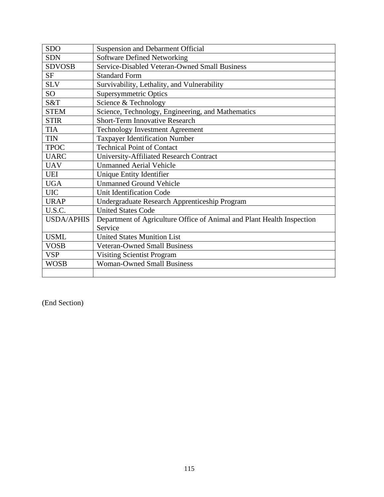| <b>SDO</b>        | <b>Suspension and Debarment Official</b>                               |
|-------------------|------------------------------------------------------------------------|
| <b>SDN</b>        | <b>Software Defined Networking</b>                                     |
| <b>SDVOSB</b>     | Service-Disabled Veteran-Owned Small Business                          |
| <b>SF</b>         | <b>Standard Form</b>                                                   |
| <b>SLV</b>        | Survivability, Lethality, and Vulnerability                            |
| SO <sub>1</sub>   | <b>Supersymmetric Optics</b>                                           |
| S&T               | Science & Technology                                                   |
| <b>STEM</b>       | Science, Technology, Engineering, and Mathematics                      |
| <b>STIR</b>       | <b>Short-Term Innovative Research</b>                                  |
| <b>TIA</b>        | <b>Technology Investment Agreement</b>                                 |
| <b>TIN</b>        | <b>Taxpayer Identification Number</b>                                  |
| <b>TPOC</b>       | <b>Technical Point of Contact</b>                                      |
| <b>UARC</b>       | University-Affiliated Research Contract                                |
| <b>UAV</b>        | <b>Unmanned Aerial Vehicle</b>                                         |
| <b>UEI</b>        | Unique Entity Identifier                                               |
| <b>UGA</b>        | <b>Unmanned Ground Vehicle</b>                                         |
| <b>UIC</b>        | Unit Identification Code                                               |
| <b>URAP</b>       | Undergraduate Research Apprenticeship Program                          |
| U.S.C.            | <b>United States Code</b>                                              |
| <b>USDA/APHIS</b> | Department of Agriculture Office of Animal and Plant Health Inspection |
|                   | Service                                                                |
| <b>USML</b>       | <b>United States Munition List</b>                                     |
| <b>VOSB</b>       | <b>Veteran-Owned Small Business</b>                                    |
| <b>VSP</b>        | <b>Visiting Scientist Program</b>                                      |
| <b>WOSB</b>       | <b>Woman-Owned Small Business</b>                                      |
|                   |                                                                        |

(End Section)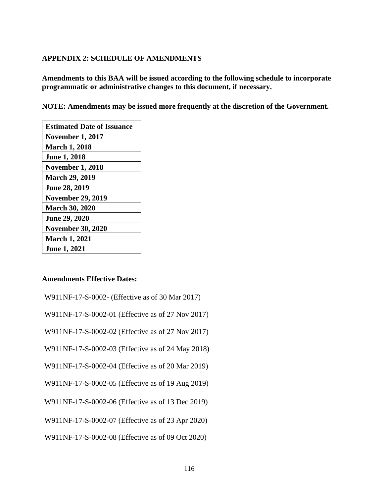## **APPENDIX 2: SCHEDULE OF AMENDMENTS**

**Amendments to this BAA will be issued according to the following schedule to incorporate programmatic or administrative changes to this document, if necessary.** 

**NOTE: Amendments may be issued more frequently at the discretion of the Government.** 

| <b>Estimated Date of Issuance</b> |
|-----------------------------------|
| <b>November 1, 2017</b>           |
| <b>March 1, 2018</b>              |
| <b>June 1, 2018</b>               |
| <b>November 1, 2018</b>           |
| <b>March 29, 2019</b>             |
| <b>June 28, 2019</b>              |
| <b>November 29, 2019</b>          |
| <b>March 30, 2020</b>             |
| June 29, 2020                     |
| <b>November 30, 2020</b>          |
| <b>March 1, 2021</b>              |
| <b>June 1, 2021</b>               |

## **Amendments Effective Dates:**

W911NF-17-S-0002-01 (Effective as of 27 Nov 2017)

W911NF-17-S-0002-02 (Effective as of 27 Nov 2017)

W911NF-17-S-0002-03 (Effective as of 24 May 2018)

W911NF-17-S-0002-04 (Effective as of 20 Mar 2019)

W911NF-17-S-0002-05 (Effective as of 19 Aug 2019)

W911NF-17-S-0002-06 (Effective as of 13 Dec 2019)

W911NF-17-S-0002-07 (Effective as of 23 Apr 2020)

W911NF-17-S-0002-08 (Effective as of 09 Oct 2020)